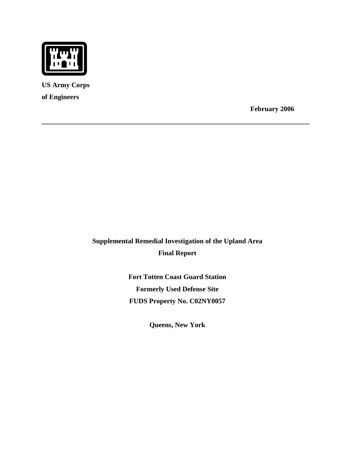

**US Army Corps of Engineers** 

**February 2006** 

**Supplemental Remedial Investigation of the Upland Area Final Report** 

**\_\_\_\_\_\_\_\_\_\_\_\_\_\_\_\_\_\_\_\_\_\_\_\_\_\_\_\_\_\_\_\_\_\_\_\_\_\_\_\_\_\_\_\_\_\_\_\_\_\_\_\_\_\_\_\_\_\_\_\_\_\_\_\_\_\_\_\_\_\_\_\_\_\_\_\_\_**

**Fort Totten Coast Guard Station Formerly Used Defense Site FUDS Property No. C02NY0057** 

**Queens, New York**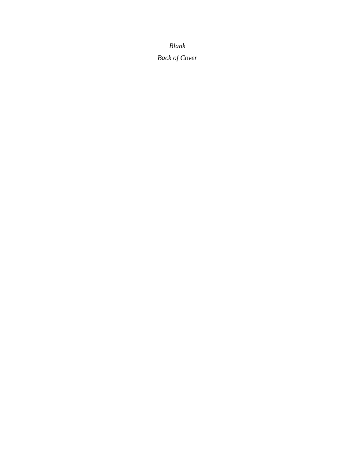*Blank* 

*Back of Cover*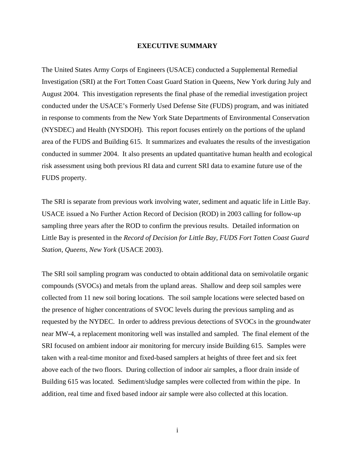# **EXECUTIVE SUMMARY**

The United States Army Corps of Engineers (USACE) conducted a Supplemental Remedial Investigation (SRI) at the Fort Totten Coast Guard Station in Queens, New York during July and August 2004. This investigation represents the final phase of the remedial investigation project conducted under the USACE's Formerly Used Defense Site (FUDS) program, and was initiated in response to comments from the New York State Departments of Environmental Conservation (NYSDEC) and Health (NYSDOH). This report focuses entirely on the portions of the upland area of the FUDS and Building 615. It summarizes and evaluates the results of the investigation conducted in summer 2004. It also presents an updated quantitative human health and ecological risk assessment using both previous RI data and current SRI data to examine future use of the FUDS property.

The SRI is separate from previous work involving water, sediment and aquatic life in Little Bay. USACE issued a No Further Action Record of Decision (ROD) in 2003 calling for follow-up sampling three years after the ROD to confirm the previous results. Detailed information on Little Bay is presented in the *Record of Decision for Little Bay, FUDS Fort Totten Coast Guard Station, Queens, New York* (USACE 2003).

The SRI soil sampling program was conducted to obtain additional data on semivolatile organic compounds (SVOCs) and metals from the upland areas. Shallow and deep soil samples were collected from 11 new soil boring locations. The soil sample locations were selected based on the presence of higher concentrations of SVOC levels during the previous sampling and as requested by the NYDEC. In order to address previous detections of SVOCs in the groundwater near MW-4, a replacement monitoring well was installed and sampled. The final element of the SRI focused on ambient indoor air monitoring for mercury inside Building 615. Samples were taken with a real-time monitor and fixed-based samplers at heights of three feet and six feet above each of the two floors. During collection of indoor air samples, a floor drain inside of Building 615 was located. Sediment/sludge samples were collected from within the pipe. In addition, real time and fixed based indoor air sample were also collected at this location.

i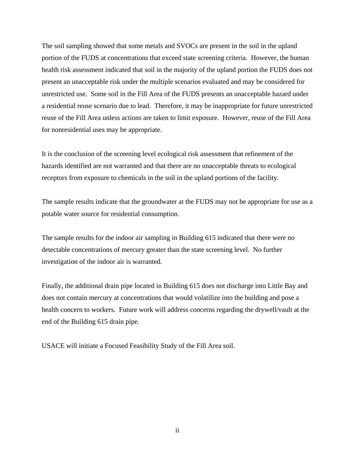The soil sampling showed that some metals and SVOCs are present in the soil in the upland portion of the FUDS at concentrations that exceed state screening criteria. However, the human health risk assessment indicated that soil in the majority of the upland portion the FUDS does not present an unacceptable risk under the multiple scenarios evaluated and may be considered for unrestricted use. Some soil in the Fill Area of the FUDS presents an unacceptable hazard under a residential reuse scenario due to lead. Therefore, it may be inappropriate for future unrestricted reuse of the Fill Area unless actions are taken to limit exposure. However, reuse of the Fill Area for nonresidential uses may be appropriate.

It is the conclusion of the screening level ecological risk assessment that refinement of the hazards identified are not warranted and that there are no unacceptable threats to ecological receptors from exposure to chemicals in the soil in the upland portions of the facility.

The sample results indicate that the groundwater at the FUDS may not be appropriate for use as a potable water source for residential consumption.

The sample results for the indoor air sampling in Building 615 indicated that there were no detectable concentrations of mercury greater than the state screening level. No further investigation of the indoor air is warranted.

Finally, the additional drain pipe located in Building 615 does not discharge into Little Bay and does not contain mercury at concentrations that would volatilize into the building and pose a health concern to workers. Future work will address concerns regarding the drywell/vault at the end of the Building 615 drain pipe.

USACE will initiate a Focused Feasibility Study of the Fill Area soil.

ii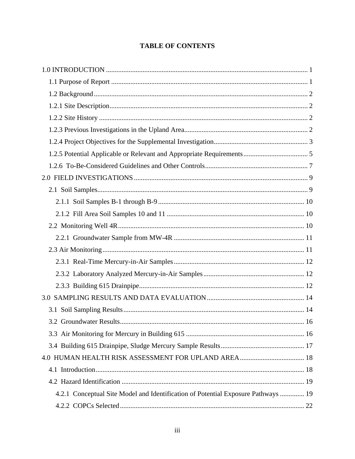# **TABLE OF CONTENTS**

| 4.2.1 Conceptual Site Model and Identification of Potential Exposure Pathways  19 |  |
|-----------------------------------------------------------------------------------|--|
|                                                                                   |  |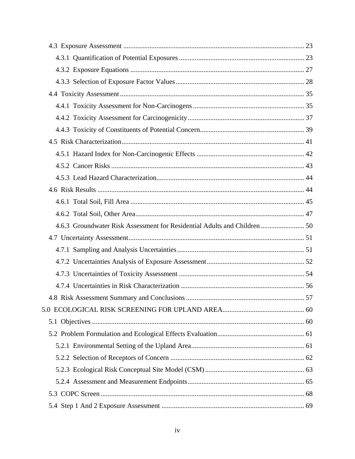| 4.6.3 Groundwater Risk Assessment for Residential Adults and Children  50 |  |
|---------------------------------------------------------------------------|--|
|                                                                           |  |
|                                                                           |  |
|                                                                           |  |
|                                                                           |  |
|                                                                           |  |
|                                                                           |  |
|                                                                           |  |
|                                                                           |  |
|                                                                           |  |
|                                                                           |  |
|                                                                           |  |
|                                                                           |  |
|                                                                           |  |
|                                                                           |  |
|                                                                           |  |
|                                                                           |  |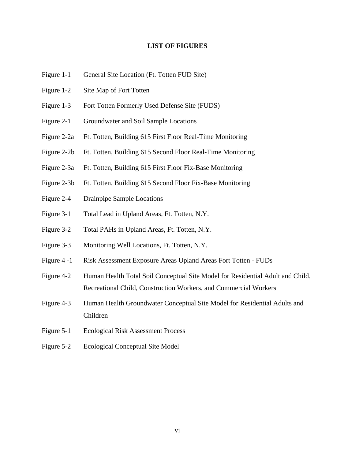# **LIST OF FIGURES**

- Figure 1-1 General Site Location (Ft. Totten FUD Site)
- Figure 1-2 Site Map of Fort Totten
- Figure 1-3 Fort Totten Formerly Used Defense Site (FUDS)
- Figure 2-1 Groundwater and Soil Sample Locations
- Figure 2-2a Ft. Totten, Building 615 First Floor Real-Time Monitoring
- Figure 2-2b Ft. Totten, Building 615 Second Floor Real-Time Monitoring
- Figure 2-3a Ft. Totten, Building 615 First Floor Fix-Base Monitoring
- Figure 2-3b Ft. Totten, Building 615 Second Floor Fix-Base Monitoring
- Figure 2-4 Drainpipe Sample Locations
- Figure 3-1 Total Lead in Upland Areas, Ft. Totten, N.Y.
- Figure 3-2 Total PAHs in Upland Areas, Ft. Totten, N.Y.
- Figure 3-3 Monitoring Well Locations, Ft. Totten, N.Y.
- Figure 4 -1 Risk Assessment Exposure Areas Upland Areas Fort Totten FUDs
- Figure 4-2 Human Health Total Soil Conceptual Site Model for Residential Adult and Child, Recreational Child, Construction Workers, and Commercial Workers
- Figure 4-3 Human Health Groundwater Conceptual Site Model for Residential Adults and Children
- Figure 5-1 Ecological Risk Assessment Process
- Figure 5-2 Ecological Conceptual Site Model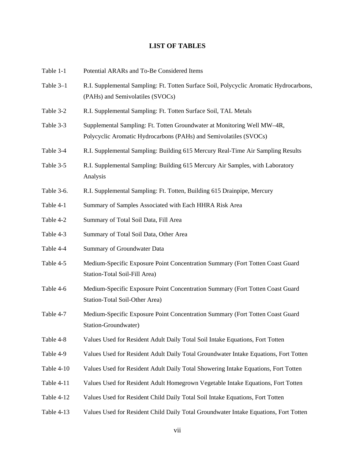# **LIST OF TABLES**

| Table 1-1  | Potential ARARs and To-Be Considered Items                                                                                                   |
|------------|----------------------------------------------------------------------------------------------------------------------------------------------|
| Table 3-1  | R.I. Supplemental Sampling: Ft. Totten Surface Soil, Polycyclic Aromatic Hydrocarbons,<br>(PAHs) and Semivolatiles (SVOCs)                   |
| Table 3-2  | R.I. Supplemental Sampling: Ft. Totten Surface Soil, TAL Metals                                                                              |
| Table 3-3  | Supplemental Sampling: Ft. Totten Groundwater at Monitoring Well MW-4R,<br>Polycyclic Aromatic Hydrocarbons (PAHs) and Semivolatiles (SVOCs) |
| Table 3-4  | R.I. Supplemental Sampling: Building 615 Mercury Real-Time Air Sampling Results                                                              |
| Table 3-5  | R.I. Supplemental Sampling: Building 615 Mercury Air Samples, with Laboratory<br>Analysis                                                    |
| Table 3-6. | R.I. Supplemental Sampling: Ft. Totten, Building 615 Drainpipe, Mercury                                                                      |
| Table 4-1  | Summary of Samples Associated with Each HHRA Risk Area                                                                                       |
| Table 4-2  | Summary of Total Soil Data, Fill Area                                                                                                        |
| Table 4-3  | Summary of Total Soil Data, Other Area                                                                                                       |
| Table 4-4  | Summary of Groundwater Data                                                                                                                  |
| Table 4-5  | Medium-Specific Exposure Point Concentration Summary (Fort Totten Coast Guard<br>Station-Total Soil-Fill Area)                               |
| Table 4-6  | Medium-Specific Exposure Point Concentration Summary (Fort Totten Coast Guard<br>Station-Total Soil-Other Area)                              |
| Table 4-7  | Medium-Specific Exposure Point Concentration Summary (Fort Totten Coast Guard<br>Station-Groundwater)                                        |
| Table 4-8  | Values Used for Resident Adult Daily Total Soil Intake Equations, Fort Totten                                                                |
| Table 4-9  | Values Used for Resident Adult Daily Total Groundwater Intake Equations, Fort Totten                                                         |
| Table 4-10 | Values Used for Resident Adult Daily Total Showering Intake Equations, Fort Totten                                                           |
| Table 4-11 | Values Used for Resident Adult Homegrown Vegetable Intake Equations, Fort Totten                                                             |
| Table 4-12 | Values Used for Resident Child Daily Total Soil Intake Equations, Fort Totten                                                                |
| Table 4-13 | Values Used for Resident Child Daily Total Groundwater Intake Equations, Fort Totten                                                         |
|            |                                                                                                                                              |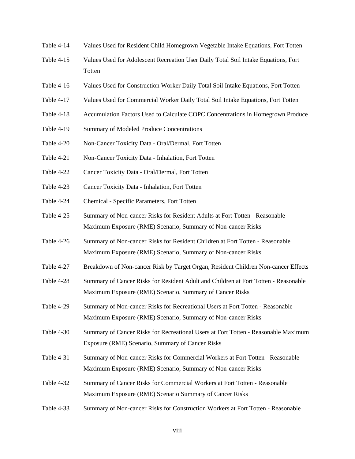- Table 4-14 Values Used for Resident Child Homegrown Vegetable Intake Equations, Fort Totten
- Table 4-15 Values Used for Adolescent Recreation User Daily Total Soil Intake Equations, Fort Totten
- Table 4-16 Values Used for Construction Worker Daily Total Soil Intake Equations, Fort Totten
- Table 4-17 Values Used for Commercial Worker Daily Total Soil Intake Equations, Fort Totten
- Table 4-18 Accumulation Factors Used to Calculate COPC Concentrations in Homegrown Produce
- Table 4-19 Summary of Modeled Produce Concentrations
- Table 4-20 Non-Cancer Toxicity Data Oral/Dermal, Fort Totten
- Table 4-21 Non-Cancer Toxicity Data Inhalation, Fort Totten
- Table 4-22 Cancer Toxicity Data Oral/Dermal, Fort Totten
- Table 4-23 Cancer Toxicity Data Inhalation, Fort Totten
- Table 4-24 Chemical Specific Parameters, Fort Totten
- Table 4-25 Summary of Non-cancer Risks for Resident Adults at Fort Totten Reasonable Maximum Exposure (RME) Scenario, Summary of Non-cancer Risks
- Table 4-26 Summary of Non-cancer Risks for Resident Children at Fort Totten Reasonable Maximum Exposure (RME) Scenario, Summary of Non-cancer Risks
- Table 4-27 Breakdown of Non-cancer Risk by Target Organ, Resident Children Non-cancer Effects
- Table 4-28 Summary of Cancer Risks for Resident Adult and Children at Fort Totten Reasonable Maximum Exposure (RME) Scenario, Summary of Cancer Risks
- Table 4-29 Summary of Non-cancer Risks for Recreational Users at Fort Totten Reasonable Maximum Exposure (RME) Scenario, Summary of Non-cancer Risks
- Table 4-30 Summary of Cancer Risks for Recreational Users at Fort Totten Reasonable Maximum Exposure (RME) Scenario, Summary of Cancer Risks
- Table 4-31 Summary of Non-cancer Risks for Commercial Workers at Fort Totten Reasonable Maximum Exposure (RME) Scenario, Summary of Non-cancer Risks
- Table 4-32 Summary of Cancer Risks for Commercial Workers at Fort Totten Reasonable Maximum Exposure (RME) Scenario Summary of Cancer Risks
- Table 4-33 Summary of Non-cancer Risks for Construction Workers at Fort Totten Reasonable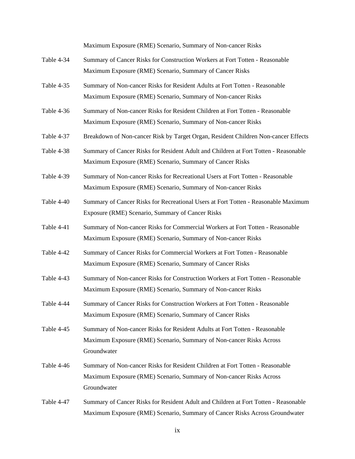Maximum Exposure (RME) Scenario, Summary of Non-cancer Risks

- Table 4-34 Summary of Cancer Risks for Construction Workers at Fort Totten Reasonable Maximum Exposure (RME) Scenario, Summary of Cancer Risks
- Table 4-35 Summary of Non-cancer Risks for Resident Adults at Fort Totten Reasonable Maximum Exposure (RME) Scenario, Summary of Non-cancer Risks
- Table 4-36 Summary of Non-cancer Risks for Resident Children at Fort Totten Reasonable Maximum Exposure (RME) Scenario, Summary of Non-cancer Risks
- Table 4-37 Breakdown of Non-cancer Risk by Target Organ, Resident Children Non-cancer Effects
- Table 4-38 Summary of Cancer Risks for Resident Adult and Children at Fort Totten Reasonable Maximum Exposure (RME) Scenario, Summary of Cancer Risks
- Table 4-39 Summary of Non-cancer Risks for Recreational Users at Fort Totten Reasonable Maximum Exposure (RME) Scenario, Summary of Non-cancer Risks
- Table 4-40 Summary of Cancer Risks for Recreational Users at Fort Totten Reasonable Maximum Exposure (RME) Scenario, Summary of Cancer Risks
- Table 4-41 Summary of Non-cancer Risks for Commercial Workers at Fort Totten Reasonable Maximum Exposure (RME) Scenario, Summary of Non-cancer Risks
- Table 4-42 Summary of Cancer Risks for Commercial Workers at Fort Totten Reasonable Maximum Exposure (RME) Scenario, Summary of Cancer Risks
- Table 4-43 Summary of Non-cancer Risks for Construction Workers at Fort Totten Reasonable Maximum Exposure (RME) Scenario, Summary of Non-cancer Risks
- Table 4-44 Summary of Cancer Risks for Construction Workers at Fort Totten Reasonable Maximum Exposure (RME) Scenario, Summary of Cancer Risks
- Table 4-45 Summary of Non-cancer Risks for Resident Adults at Fort Totten Reasonable Maximum Exposure (RME) Scenario, Summary of Non-cancer Risks Across Groundwater
- Table 4-46 Summary of Non-cancer Risks for Resident Children at Fort Totten Reasonable Maximum Exposure (RME) Scenario, Summary of Non-cancer Risks Across Groundwater
- Table 4-47 Summary of Cancer Risks for Resident Adult and Children at Fort Totten Reasonable Maximum Exposure (RME) Scenario, Summary of Cancer Risks Across Groundwater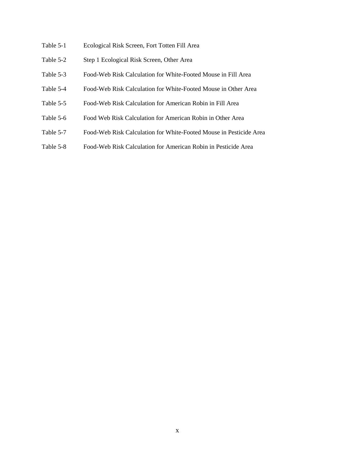- Table 5-1 Ecological Risk Screen, Fort Totten Fill Area
- Table 5-2 Step 1 Ecological Risk Screen, Other Area
- Table 5-3 Food-Web Risk Calculation for White-Footed Mouse in Fill Area
- Table 5-4 Food-Web Risk Calculation for White-Footed Mouse in Other Area
- Table 5-5 Food-Web Risk Calculation for American Robin in Fill Area
- Table 5-6 Food Web Risk Calculation for American Robin in Other Area
- Table 5-7 Food-Web Risk Calculation for White-Footed Mouse in Pesticide Area
- Table 5-8 Food-Web Risk Calculation for American Robin in Pesticide Area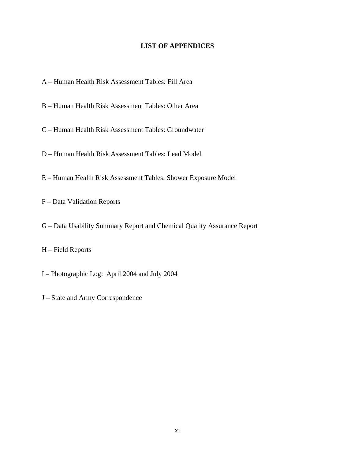# **LIST OF APPENDICES**

- A Human Health Risk Assessment Tables: Fill Area
- B Human Health Risk Assessment Tables: Other Area
- C Human Health Risk Assessment Tables: Groundwater
- D Human Health Risk Assessment Tables: Lead Model
- E Human Health Risk Assessment Tables: Shower Exposure Model

F – Data Validation Reports

G – Data Usability Summary Report and Chemical Quality Assurance Report

H – Field Reports

- I Photographic Log: April 2004 and July 2004
- J State and Army Correspondence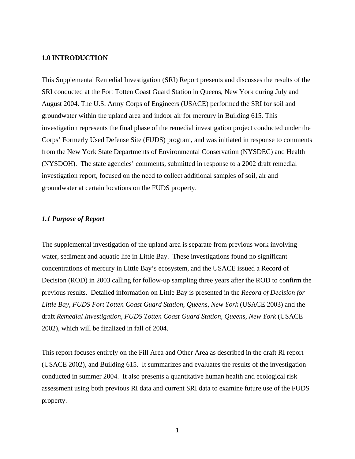# **1.0 INTRODUCTION**

This Supplemental Remedial Investigation (SRI) Report presents and discusses the results of the SRI conducted at the Fort Totten Coast Guard Station in Queens, New York during July and August 2004. The U.S. Army Corps of Engineers (USACE) performed the SRI for soil and groundwater within the upland area and indoor air for mercury in Building 615. This investigation represents the final phase of the remedial investigation project conducted under the Corps' Formerly Used Defense Site (FUDS) program, and was initiated in response to comments from the New York State Departments of Environmental Conservation (NYSDEC) and Health (NYSDOH). The state agencies' comments, submitted in response to a 2002 draft remedial investigation report, focused on the need to collect additional samples of soil, air and groundwater at certain locations on the FUDS property.

#### *1.1 Purpose of Report*

The supplemental investigation of the upland area is separate from previous work involving water, sediment and aquatic life in Little Bay. These investigations found no significant concentrations of mercury in Little Bay's ecosystem, and the USACE issued a Record of Decision (ROD) in 2003 calling for follow-up sampling three years after the ROD to confirm the previous results. Detailed information on Little Bay is presented in the *Record of Decision for Little Bay, FUDS Fort Totten Coast Guard Station, Queens, New York* (USACE 2003) and the draft *Remedial Investigation, FUDS Totten Coast Guard Station, Queens, New York* (USACE 2002), which will be finalized in fall of 2004.

This report focuses entirely on the Fill Area and Other Area as described in the draft RI report (USACE 2002), and Building 615. It summarizes and evaluates the results of the investigation conducted in summer 2004. It also presents a quantitative human health and ecological risk assessment using both previous RI data and current SRI data to examine future use of the FUDS property.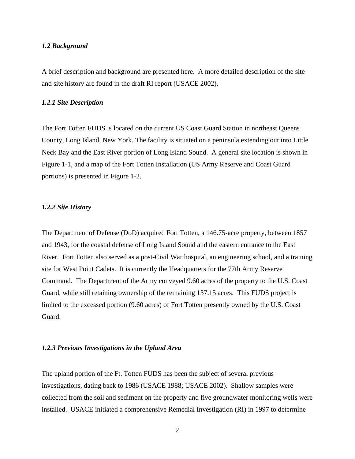# *1.2 Background*

A brief description and background are presented here. A more detailed description of the site and site history are found in the draft RI report (USACE 2002).

### *1.2.1 Site Description*

The Fort Totten FUDS is located on the current US Coast Guard Station in northeast Queens County, Long Island, New York. The facility is situated on a peninsula extending out into Little Neck Bay and the East River portion of Long Island Sound. A general site location is shown in Figure 1-1, and a map of the Fort Totten Installation (US Army Reserve and Coast Guard portions) is presented in Figure 1-2.

# *1.2.2 Site History*

The Department of Defense (DoD) acquired Fort Totten, a 146.75-acre property, between 1857 and 1943, for the coastal defense of Long Island Sound and the eastern entrance to the East River. Fort Totten also served as a post-Civil War hospital, an engineering school, and a training site for West Point Cadets. It is currently the Headquarters for the 77th Army Reserve Command. The Department of the Army conveyed 9.60 acres of the property to the U.S. Coast Guard, while still retaining ownership of the remaining 137.15 acres. This FUDS project is limited to the excessed portion (9.60 acres) of Fort Totten presently owned by the U.S. Coast Guard.

# *1.2.3 Previous Investigations in the Upland Area*

The upland portion of the Ft. Totten FUDS has been the subject of several previous investigations, dating back to 1986 (USACE 1988; USACE 2002). Shallow samples were collected from the soil and sediment on the property and five groundwater monitoring wells were installed. USACE initiated a comprehensive Remedial Investigation (RI) in 1997 to determine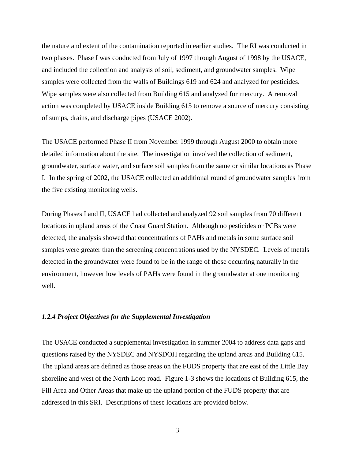the nature and extent of the contamination reported in earlier studies. The RI was conducted in two phases. Phase I was conducted from July of 1997 through August of 1998 by the USACE, and included the collection and analysis of soil, sediment, and groundwater samples. Wipe samples were collected from the walls of Buildings 619 and 624 and analyzed for pesticides. Wipe samples were also collected from Building 615 and analyzed for mercury. A removal action was completed by USACE inside Building 615 to remove a source of mercury consisting of sumps, drains, and discharge pipes (USACE 2002).

The USACE performed Phase II from November 1999 through August 2000 to obtain more detailed information about the site. The investigation involved the collection of sediment, groundwater, surface water, and surface soil samples from the same or similar locations as Phase I. In the spring of 2002, the USACE collected an additional round of groundwater samples from the five existing monitoring wells.

During Phases I and II, USACE had collected and analyzed 92 soil samples from 70 different locations in upland areas of the Coast Guard Station. Although no pesticides or PCBs were detected, the analysis showed that concentrations of PAHs and metals in some surface soil samples were greater than the screening concentrations used by the NYSDEC. Levels of metals detected in the groundwater were found to be in the range of those occurring naturally in the environment, however low levels of PAHs were found in the groundwater at one monitoring well.

# *1.2.4 Project Objectives for the Supplemental Investigation*

The USACE conducted a supplemental investigation in summer 2004 to address data gaps and questions raised by the NYSDEC and NYSDOH regarding the upland areas and Building 615. The upland areas are defined as those areas on the FUDS property that are east of the Little Bay shoreline and west of the North Loop road. Figure 1-3 shows the locations of Building 615, the Fill Area and Other Areas that make up the upland portion of the FUDS property that are addressed in this SRI. Descriptions of these locations are provided below.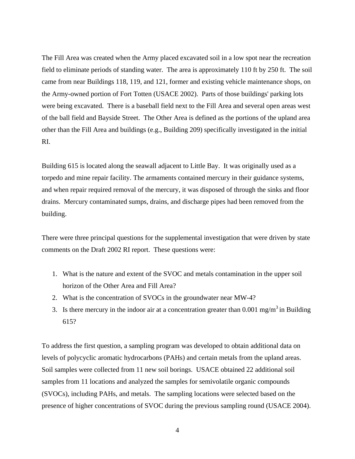The Fill Area was created when the Army placed excavated soil in a low spot near the recreation field to eliminate periods of standing water. The area is approximately 110 ft by 250 ft. The soil came from near Buildings 118, 119, and 121, former and existing vehicle maintenance shops, on the Army-owned portion of Fort Totten (USACE 2002). Parts of those buildings' parking lots were being excavated. There is a baseball field next to the Fill Area and several open areas west of the ball field and Bayside Street. The Other Area is defined as the portions of the upland area other than the Fill Area and buildings (e.g., Building 209) specifically investigated in the initial RI.

Building 615 is located along the seawall adjacent to Little Bay. It was originally used as a torpedo and mine repair facility. The armaments contained mercury in their guidance systems, and when repair required removal of the mercury, it was disposed of through the sinks and floor drains. Mercury contaminated sumps, drains, and discharge pipes had been removed from the building.

There were three principal questions for the supplemental investigation that were driven by state comments on the Draft 2002 RI report. These questions were:

- 1. What is the nature and extent of the SVOC and metals contamination in the upper soil horizon of the Other Area and Fill Area?
- 2. What is the concentration of SVOCs in the groundwater near MW-4?
- 3. Is there mercury in the indoor air at a concentration greater than  $0.001 \text{ mg/m}^3$  in Building 615?

To address the first question, a sampling program was developed to obtain additional data on levels of polycyclic aromatic hydrocarbons (PAHs) and certain metals from the upland areas. Soil samples were collected from 11 new soil borings. USACE obtained 22 additional soil samples from 11 locations and analyzed the samples for semivolatile organic compounds (SVOCs), including PAHs, and metals. The sampling locations were selected based on the presence of higher concentrations of SVOC during the previous sampling round (USACE 2004).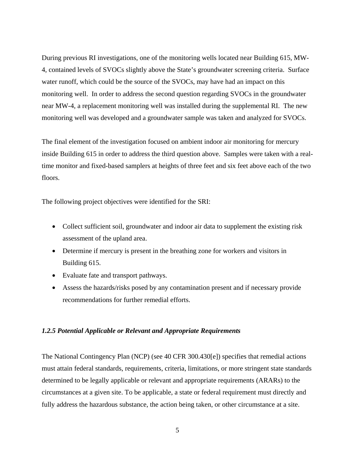During previous RI investigations, one of the monitoring wells located near Building 615, MW-4, contained levels of SVOCs slightly above the State's groundwater screening criteria. Surface water runoff, which could be the source of the SVOCs, may have had an impact on this monitoring well. In order to address the second question regarding SVOCs in the groundwater near MW-4, a replacement monitoring well was installed during the supplemental RI. The new monitoring well was developed and a groundwater sample was taken and analyzed for SVOCs.

The final element of the investigation focused on ambient indoor air monitoring for mercury inside Building 615 in order to address the third question above. Samples were taken with a realtime monitor and fixed-based samplers at heights of three feet and six feet above each of the two floors.

The following project objectives were identified for the SRI:

- Collect sufficient soil, groundwater and indoor air data to supplement the existing risk assessment of the upland area.
- Determine if mercury is present in the breathing zone for workers and visitors in Building 615.
- Evaluate fate and transport pathways.
- Assess the hazards/risks posed by any contamination present and if necessary provide recommendations for further remedial efforts.

#### *1.2.5 Potential Applicable or Relevant and Appropriate Requirements*

The National Contingency Plan (NCP) (see 40 CFR 300.430[e]) specifies that remedial actions must attain federal standards, requirements, criteria, limitations, or more stringent state standards determined to be legally applicable or relevant and appropriate requirements (ARARs) to the circumstances at a given site. To be applicable, a state or federal requirement must directly and fully address the hazardous substance, the action being taken, or other circumstance at a site.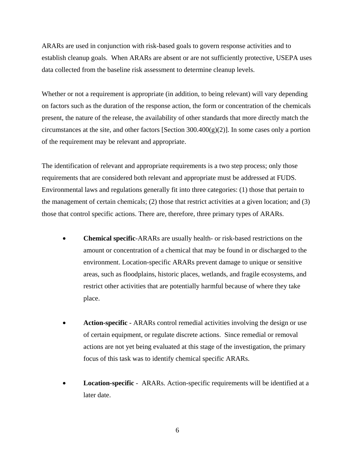ARARs are used in conjunction with risk-based goals to govern response activities and to establish cleanup goals. When ARARs are absent or are not sufficiently protective, USEPA uses data collected from the baseline risk assessment to determine cleanup levels.

Whether or not a requirement is appropriate (in addition, to being relevant) will vary depending on factors such as the duration of the response action, the form or concentration of the chemicals present, the nature of the release, the availability of other standards that more directly match the circumstances at the site, and other factors [Section  $300.400(g)(2)$ ]. In some cases only a portion of the requirement may be relevant and appropriate.

The identification of relevant and appropriate requirements is a two step process; only those requirements that are considered both relevant and appropriate must be addressed at FUDS. Environmental laws and regulations generally fit into three categories: (1) those that pertain to the management of certain chemicals; (2) those that restrict activities at a given location; and (3) those that control specific actions. There are, therefore, three primary types of ARARs.

- **Chemical specific**-ARARs are usually health- or risk-based restrictions on the amount or concentration of a chemical that may be found in or discharged to the environment. Location-specific ARARs prevent damage to unique or sensitive areas, such as floodplains, historic places, wetlands, and fragile ecosystems, and restrict other activities that are potentially harmful because of where they take place.
- **Action-specific** ARARs control remedial activities involving the design or use of certain equipment, or regulate discrete actions. Since remedial or removal actions are not yet being evaluated at this stage of the investigation, the primary focus of this task was to identify chemical specific ARARs.
- **Location-specific** ARARs. Action-specific requirements will be identified at a later date.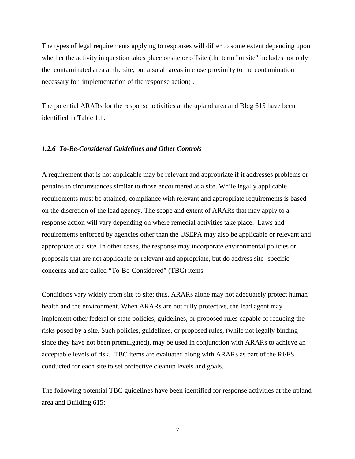The types of legal requirements applying to responses will differ to some extent depending upon whether the activity in question takes place onsite or offsite (the term "onsite" includes not only the contaminated area at the site, but also all areas in close proximity to the contamination necessary for implementation of the response action) .

The potential ARARs for the response activities at the upland area and Bldg 615 have been identified in Table 1.1.

# *1.2.6 To-Be-Considered Guidelines and Other Controls*

A requirement that is not applicable may be relevant and appropriate if it addresses problems or pertains to circumstances similar to those encountered at a site. While legally applicable requirements must be attained, compliance with relevant and appropriate requirements is based on the discretion of the lead agency. The scope and extent of ARARs that may apply to a response action will vary depending on where remedial activities take place. Laws and requirements enforced by agencies other than the USEPA may also be applicable or relevant and appropriate at a site. In other cases, the response may incorporate environmental policies or proposals that are not applicable or relevant and appropriate, but do address site- specific concerns and are called "To-Be-Considered" (TBC) items.

Conditions vary widely from site to site; thus, ARARs alone may not adequately protect human health and the environment. When ARARs are not fully protective, the lead agent may implement other federal or state policies, guidelines, or proposed rules capable of reducing the risks posed by a site. Such policies, guidelines, or proposed rules, (while not legally binding since they have not been promulgated), may be used in conjunction with ARARs to achieve an acceptable levels of risk. TBC items are evaluated along with ARARs as part of the RI/FS conducted for each site to set protective cleanup levels and goals.

The following potential TBC guidelines have been identified for response activities at the upland area and Building 615: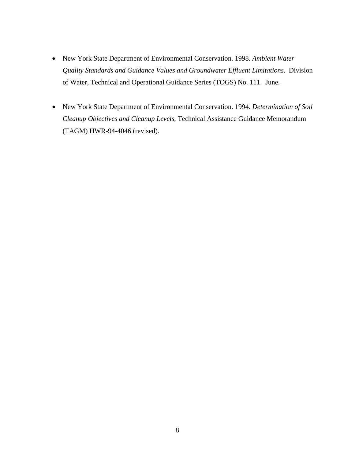- New York State Department of Environmental Conservation. 1998. *Ambient Water Quality Standards and Guidance Values and Groundwater Effluent Limitations*. Division of Water, Technical and Operational Guidance Series (TOGS) No. 111. June.
- New York State Department of Environmental Conservation. 1994. *Determination of Soil Cleanup Objectives and Cleanup Levels*, Technical Assistance Guidance Memorandum (TAGM) HWR-94-4046 (revised).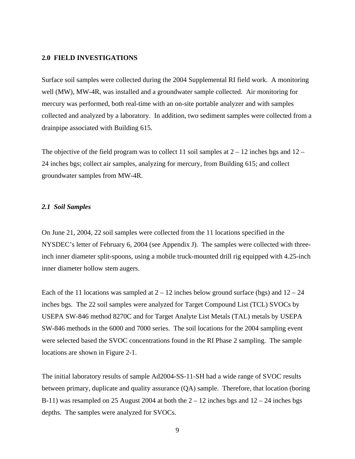## **2.0 FIELD INVESTIGATIONS**

Surface soil samples were collected during the 2004 Supplemental RI field work. A monitoring well (MW), MW-4R, was installed and a groundwater sample collected. Air monitoring for mercury was performed, both real-time with an on-site portable analyzer and with samples collected and analyzed by a laboratory. In addition, two sediment samples were collected from a drainpipe associated with Building 615.

The objective of the field program was to collect 11 soil samples at  $2 - 12$  inches bgs and  $12 - 12$ 24 inches bgs; collect air samples, analyzing for mercury, from Building 615; and collect groundwater samples from MW-4R.

# *2.1 Soil Samples*

On June 21, 2004, 22 soil samples were collected from the 11 locations specified in the NYSDEC's letter of February 6, 2004 (see Appendix J). The samples were collected with threeinch inner diameter split-spoons, using a mobile truck-mounted drill rig equipped with 4.25-inch inner diameter hollow stem augers.

Each of the 11 locations was sampled at  $2 - 12$  inches below ground surface (bgs) and  $12 - 24$ inches bgs. The 22 soil samples were analyzed for Target Compound List (TCL) SVOCs by USEPA SW-846 method 8270C and for Target Analyte List Metals (TAL) metals by USEPA SW-846 methods in the 6000 and 7000 series. The soil locations for the 2004 sampling event were selected based the SVOC concentrations found in the RI Phase 2 sampling. The sample locations are shown in Figure 2-1.

The initial laboratory results of sample Ad2004-SS-11-SH had a wide range of SVOC results between primary, duplicate and quality assurance (QA) sample. Therefore, that location (boring B-11) was resampled on 25 August 2004 at both the  $2 - 12$  inches bgs and  $12 - 24$  inches bgs depths. The samples were analyzed for SVOCs.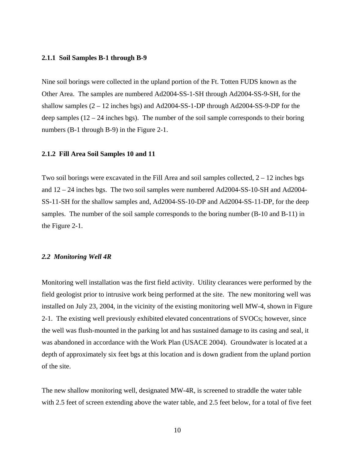### **2.1.1 Soil Samples B-1 through B-9**

Nine soil borings were collected in the upland portion of the Ft. Totten FUDS known as the Other Area. The samples are numbered Ad2004-SS-1-SH through Ad2004-SS-9-SH, for the shallow samples (2 – 12 inches bgs) and Ad2004-SS-1-DP through Ad2004-SS-9-DP for the deep samples  $(12 – 24$  inches bgs). The number of the soil sample corresponds to their boring numbers (B-1 through B-9) in the Figure 2-1.

## **2.1.2 Fill Area Soil Samples 10 and 11**

Two soil borings were excavated in the Fill Area and soil samples collected,  $2 - 12$  inches bgs and 12 – 24 inches bgs. The two soil samples were numbered Ad2004-SS-10-SH and Ad2004- SS-11-SH for the shallow samples and, Ad2004-SS-10-DP and Ad2004-SS-11-DP, for the deep samples. The number of the soil sample corresponds to the boring number (B-10 and B-11) in the Figure 2-1.

#### *2.2 Monitoring Well 4R*

Monitoring well installation was the first field activity. Utility clearances were performed by the field geologist prior to intrusive work being performed at the site. The new monitoring well was installed on July 23, 2004, in the vicinity of the existing monitoring well MW-4, shown in Figure 2-1. The existing well previously exhibited elevated concentrations of SVOCs; however, since the well was flush-mounted in the parking lot and has sustained damage to its casing and seal, it was abandoned in accordance with the Work Plan (USACE 2004). Groundwater is located at a depth of approximately six feet bgs at this location and is down gradient from the upland portion of the site.

The new shallow monitoring well, designated MW-4R, is screened to straddle the water table with 2.5 feet of screen extending above the water table, and 2.5 feet below, for a total of five feet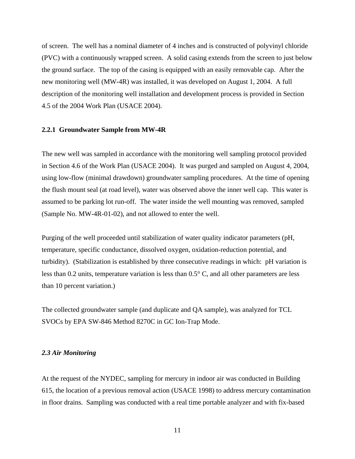of screen. The well has a nominal diameter of 4 inches and is constructed of polyvinyl chloride (PVC) with a continuously wrapped screen. A solid casing extends from the screen to just below the ground surface. The top of the casing is equipped with an easily removable cap. After the new monitoring well (MW-4R) was installed, it was developed on August 1, 2004. A full description of the monitoring well installation and development process is provided in Section 4.5 of the 2004 Work Plan (USACE 2004).

#### **2.2.1 Groundwater Sample from MW-4R**

The new well was sampled in accordance with the monitoring well sampling protocol provided in Section 4.6 of the Work Plan (USACE 2004). It was purged and sampled on August 4, 2004, using low-flow (minimal drawdown) groundwater sampling procedures. At the time of opening the flush mount seal (at road level), water was observed above the inner well cap. This water is assumed to be parking lot run-off. The water inside the well mounting was removed, sampled (Sample No. MW-4R-01-02), and not allowed to enter the well.

Purging of the well proceeded until stabilization of water quality indicator parameters (pH, temperature, specific conductance, dissolved oxygen, oxidation-reduction potential, and turbidity). (Stabilization is established by three consecutive readings in which: pH variation is less than 0.2 units, temperature variation is less than 0.5° C, and all other parameters are less than 10 percent variation.)

The collected groundwater sample (and duplicate and QA sample), was analyzed for TCL SVOCs by EPA SW-846 Method 8270C in GC Ion-Trap Mode.

#### *2.3 Air Monitoring*

At the request of the NYDEC, sampling for mercury in indoor air was conducted in Building 615, the location of a previous removal action (USACE 1998) to address mercury contamination in floor drains. Sampling was conducted with a real time portable analyzer and with fix-based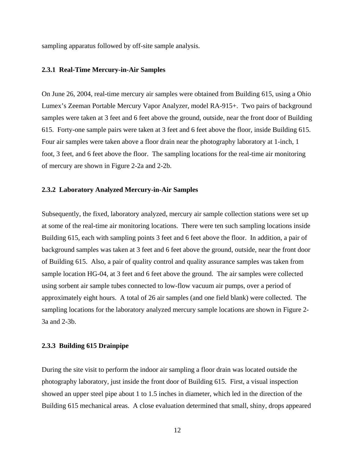sampling apparatus followed by off-site sample analysis.

# **2.3.1 Real-Time Mercury-in-Air Samples**

On June 26, 2004, real-time mercury air samples were obtained from Building 615, using a Ohio Lumex's Zeeman Portable Mercury Vapor Analyzer, model RA-915+. Two pairs of background samples were taken at 3 feet and 6 feet above the ground, outside, near the front door of Building 615. Forty-one sample pairs were taken at 3 feet and 6 feet above the floor, inside Building 615. Four air samples were taken above a floor drain near the photography laboratory at 1-inch, 1 foot, 3 feet, and 6 feet above the floor. The sampling locations for the real-time air monitoring of mercury are shown in Figure 2-2a and 2-2b.

#### **2.3.2 Laboratory Analyzed Mercury-in-Air Samples**

Subsequently, the fixed, laboratory analyzed, mercury air sample collection stations were set up at some of the real-time air monitoring locations. There were ten such sampling locations inside Building 615, each with sampling points 3 feet and 6 feet above the floor. In addition, a pair of background samples was taken at 3 feet and 6 feet above the ground, outside, near the front door of Building 615. Also, a pair of quality control and quality assurance samples was taken from sample location HG-04, at 3 feet and 6 feet above the ground. The air samples were collected using sorbent air sample tubes connected to low-flow vacuum air pumps, over a period of approximately eight hours. A total of 26 air samples (and one field blank) were collected. The sampling locations for the laboratory analyzed mercury sample locations are shown in Figure 2- 3a and 2-3b.

# **2.3.3 Building 615 Drainpipe**

During the site visit to perform the indoor air sampling a floor drain was located outside the photography laboratory, just inside the front door of Building 615. First, a visual inspection showed an upper steel pipe about 1 to 1.5 inches in diameter, which led in the direction of the Building 615 mechanical areas. A close evaluation determined that small, shiny, drops appeared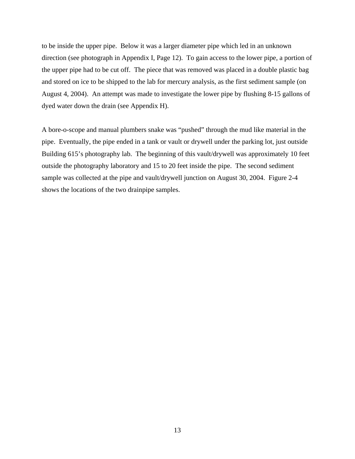to be inside the upper pipe. Below it was a larger diameter pipe which led in an unknown direction (see photograph in Appendix I, Page 12). To gain access to the lower pipe, a portion of the upper pipe had to be cut off. The piece that was removed was placed in a double plastic bag and stored on ice to be shipped to the lab for mercury analysis, as the first sediment sample (on August 4, 2004). An attempt was made to investigate the lower pipe by flushing 8-15 gallons of dyed water down the drain (see Appendix H).

A bore-o-scope and manual plumbers snake was "pushed" through the mud like material in the pipe. Eventually, the pipe ended in a tank or vault or drywell under the parking lot, just outside Building 615's photography lab. The beginning of this vault/drywell was approximately 10 feet outside the photography laboratory and 15 to 20 feet inside the pipe. The second sediment sample was collected at the pipe and vault/drywell junction on August 30, 2004. Figure 2-4 shows the locations of the two drainpipe samples.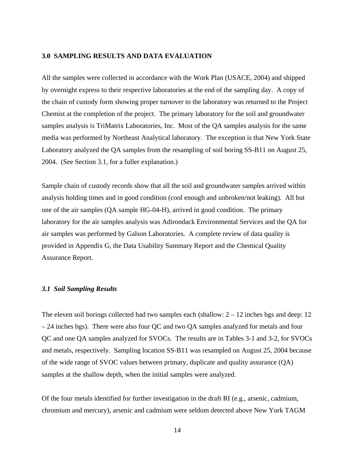# **3.0 SAMPLING RESULTS AND DATA EVALUATION**

All the samples were collected in accordance with the Work Plan (USACE, 2004) and shipped by overnight express to their respective laboratories at the end of the sampling day. A copy of the chain of custody form showing proper turnover to the laboratory was returned to the Project Chemist at the completion of the project. The primary laboratory for the soil and groundwater samples analysis is TriMatrix Laboratories, Inc. Most of the QA samples analysis for the same media was performed by Northeast Analytical laboratory. The exception is that New York State Laboratory analyzed the QA samples from the resampling of soil boring SS-B11 on August 25, 2004. (See Section 3.1, for a fuller explanation.)

Sample chain of custody records show that all the soil and groundwater samples arrived within analysis holding times and in good condition (cool enough and unbroken/not leaking). All but one of the air samples (QA sample HG-04-H), arrived in good condition. The primary laboratory for the air samples analysis was Adirondack Environmental Services and the QA for air samples was performed by Galson Laboratories. A complete review of data quality is provided in Appendix G, the Data Usability Summary Report and the Chemical Quality Assurance Report.

### *3.1 Soil Sampling Results*

The eleven soil borings collected had two samples each (shallow:  $2 - 12$  inches bgs and deep: 12  $-24$  inches bgs). There were also four QC and two QA samples analyzed for metals and four QC and one QA samples analyzed for SVOCs. The results are in Tables 3-1 and 3-2, for SVOCs and metals, respectively. Sampling location SS-B11 was resampled on August 25, 2004 because of the wide range of SVOC values between primary, duplicate and quality assurance (QA) samples at the shallow depth, when the initial samples were analyzed.

Of the four metals identified for further investigation in the draft RI (e.g., arsenic, cadmium, chromium and mercury), arsenic and cadmium were seldom detected above New York TAGM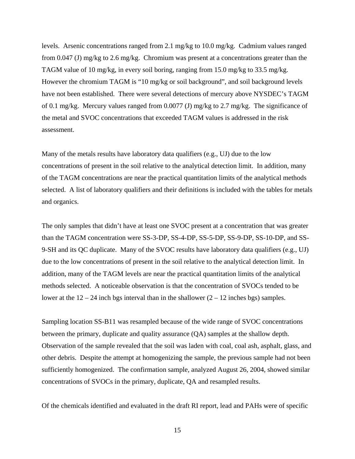levels. Arsenic concentrations ranged from 2.1 mg/kg to 10.0 mg/kg. Cadmium values ranged from 0.047 (J) mg/kg to 2.6 mg/kg. Chromium was present at a concentrations greater than the TAGM value of 10 mg/kg, in every soil boring, ranging from 15.0 mg/kg to 33.5 mg/kg. However the chromium TAGM is "10 mg/kg or soil background", and soil background levels have not been established. There were several detections of mercury above NYSDEC's TAGM of 0.1 mg/kg. Mercury values ranged from 0.0077 (J) mg/kg to 2.7 mg/kg. The significance of the metal and SVOC concentrations that exceeded TAGM values is addressed in the risk assessment.

Many of the metals results have laboratory data qualifiers (e.g., UJ) due to the low concentrations of present in the soil relative to the analytical detection limit. In addition, many of the TAGM concentrations are near the practical quantitation limits of the analytical methods selected. A list of laboratory qualifiers and their definitions is included with the tables for metals and organics.

The only samples that didn't have at least one SVOC present at a concentration that was greater than the TAGM concentration were SS-3-DP, SS-4-DP, SS-5-DP, SS-9-DP, SS-10-DP, and SS-9-SH and its QC duplicate. Many of the SVOC results have laboratory data qualifiers (e.g., UJ) due to the low concentrations of present in the soil relative to the analytical detection limit. In addition, many of the TAGM levels are near the practical quantitation limits of the analytical methods selected. A noticeable observation is that the concentration of SVOCs tended to be lower at the  $12 - 24$  inch bgs interval than in the shallower  $(2 - 12$  inches bgs) samples.

Sampling location SS-B11 was resampled because of the wide range of SVOC concentrations between the primary, duplicate and quality assurance (QA) samples at the shallow depth. Observation of the sample revealed that the soil was laden with coal, coal ash, asphalt, glass, and other debris. Despite the attempt at homogenizing the sample, the previous sample had not been sufficiently homogenized. The confirmation sample, analyzed August 26, 2004, showed similar concentrations of SVOCs in the primary, duplicate, QA and resampled results.

Of the chemicals identified and evaluated in the draft RI report, lead and PAHs were of specific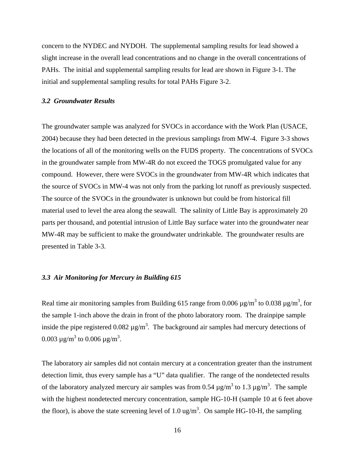concern to the NYDEC and NYDOH. The supplemental sampling results for lead showed a slight increase in the overall lead concentrations and no change in the overall concentrations of PAHs. The initial and supplemental sampling results for lead are shown in Figure 3-1. The initial and supplemental sampling results for total PAHs Figure 3-2.

### *3.2 Groundwater Results*

The groundwater sample was analyzed for SVOCs in accordance with the Work Plan (USACE, 2004) because they had been detected in the previous samplings from MW-4. Figure 3-3 shows the locations of all of the monitoring wells on the FUDS property. The concentrations of SVOCs in the groundwater sample from MW-4R do not exceed the TOGS promulgated value for any compound. However, there were SVOCs in the groundwater from MW-4R which indicates that the source of SVOCs in MW-4 was not only from the parking lot runoff as previously suspected. The source of the SVOCs in the groundwater is unknown but could be from historical fill material used to level the area along the seawall. The salinity of Little Bay is approximately 20 parts per thousand, and potential intrusion of Little Bay surface water into the groundwater near MW-4R may be sufficient to make the groundwater undrinkable. The groundwater results are presented in Table 3-3.

# *3.3 Air Monitoring for Mercury in Building 615*

Real time air monitoring samples from Building 615 range from 0.006  $\mu$ g/m<sup>3</sup> to 0.038  $\mu$ g/m<sup>3</sup>, for the sample 1-inch above the drain in front of the photo laboratory room. The drainpipe sample inside the pipe registered 0.082  $\mu$ g/m<sup>3</sup>. The background air samples had mercury detections of 0.003 μg/m<sup>3</sup> to 0.006 μg/m<sup>3</sup>.

The laboratory air samples did not contain mercury at a concentration greater than the instrument detection limit, thus every sample has a "U" data qualifier. The range of the nondetected results of the laboratory analyzed mercury air samples was from 0.54  $\mu$ g/m<sup>3</sup> to 1.3  $\mu$ g/m<sup>3</sup>. The sample with the highest nondetected mercury concentration, sample HG-10-H (sample 10 at 6 feet above the floor), is above the state screening level of 1.0 ug/m<sup>3</sup>. On sample HG-10-H, the sampling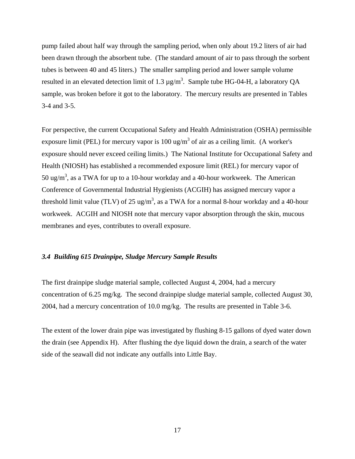pump failed about half way through the sampling period, when only about 19.2 liters of air had been drawn through the absorbent tube. (The standard amount of air to pass through the sorbent tubes is between 40 and 45 liters.) The smaller sampling period and lower sample volume resulted in an elevated detection limit of 1.3  $\mu$ g/m<sup>3</sup>. Sample tube HG-04-H, a laboratory QA sample, was broken before it got to the laboratory. The mercury results are presented in Tables 3-4 and 3-5.

For perspective, the current Occupational Safety and Health Administration (OSHA) permissible exposure limit (PEL) for mercury vapor is 100 ug/m<sup>3</sup> of air as a ceiling limit. (A worker's exposure should never exceed ceiling limits.) The National Institute for Occupational Safety and Health (NIOSH) has established a recommended exposure limit (REL) for mercury vapor of 50 ug/m<sup>3</sup>, as a TWA for up to a 10-hour workday and a 40-hour workweek. The American Conference of Governmental Industrial Hygienists (ACGIH) has assigned mercury vapor a threshold limit value (TLV) of 25 ug/m<sup>3</sup>, as a TWA for a normal 8-hour workday and a 40-hour workweek. ACGIH and NIOSH note that mercury vapor absorption through the skin, mucous membranes and eyes, contributes to overall exposure.

# *3.4 Building 615 Drainpipe, Sludge Mercury Sample Results*

The first drainpipe sludge material sample, collected August 4, 2004, had a mercury concentration of 6.25 mg/kg. The second drainpipe sludge material sample, collected August 30, 2004, had a mercury concentration of 10.0 mg/kg. The results are presented in Table 3-6.

The extent of the lower drain pipe was investigated by flushing 8-15 gallons of dyed water down the drain (see Appendix H). After flushing the dye liquid down the drain, a search of the water side of the seawall did not indicate any outfalls into Little Bay.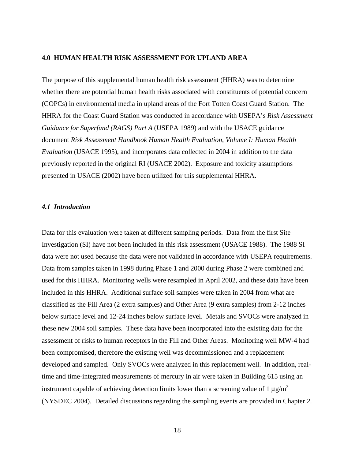# **4.0 HUMAN HEALTH RISK ASSESSMENT FOR UPLAND AREA**

The purpose of this supplemental human health risk assessment (HHRA) was to determine whether there are potential human health risks associated with constituents of potential concern (COPCs) in environmental media in upland areas of the Fort Totten Coast Guard Station. The HHRA for the Coast Guard Station was conducted in accordance with USEPA's *Risk Assessment Guidance for Superfund (RAGS) Part A* (USEPA 1989) and with the USACE guidance document *Risk Assessment Handbook Human Health Evaluation, Volume I: Human Health Evaluation* (USACE 1995), and incorporates data collected in 2004 in addition to the data previously reported in the original RI (USACE 2002). Exposure and toxicity assumptions presented in USACE (2002) have been utilized for this supplemental HHRA.

# *4.1 Introduction*

Data for this evaluation were taken at different sampling periods. Data from the first Site Investigation (SI) have not been included in this risk assessment (USACE 1988). The 1988 SI data were not used because the data were not validated in accordance with USEPA requirements. Data from samples taken in 1998 during Phase 1 and 2000 during Phase 2 were combined and used for this HHRA. Monitoring wells were resampled in April 2002, and these data have been included in this HHRA. Additional surface soil samples were taken in 2004 from what are classified as the Fill Area (2 extra samples) and Other Area (9 extra samples) from 2-12 inches below surface level and 12-24 inches below surface level. Metals and SVOCs were analyzed in these new 2004 soil samples. These data have been incorporated into the existing data for the assessment of risks to human receptors in the Fill and Other Areas. Monitoring well MW-4 had been compromised, therefore the existing well was decommissioned and a replacement developed and sampled. Only SVOCs were analyzed in this replacement well. In addition, realtime and time-integrated measurements of mercury in air were taken in Building 615 using an instrument capable of achieving detection limits lower than a screening value of 1  $\mu$ g/m<sup>3</sup> (NYSDEC 2004). Detailed discussions regarding the sampling events are provided in Chapter 2.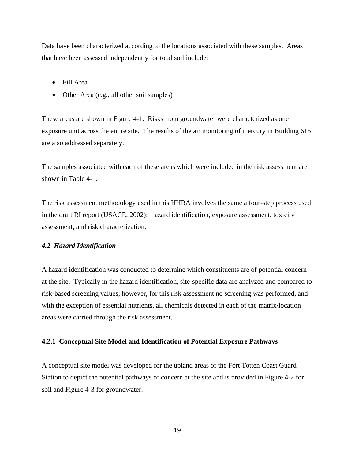Data have been characterized according to the locations associated with these samples. Areas that have been assessed independently for total soil include:

- Fill Area
- Other Area (e.g., all other soil samples)

These areas are shown in Figure 4-1. Risks from groundwater were characterized as one exposure unit across the entire site. The results of the air monitoring of mercury in Building 615 are also addressed separately.

The samples associated with each of these areas which were included in the risk assessment are shown in Table 4-1.

The risk assessment methodology used in this HHRA involves the same a four-step process used in the draft RI report (USACE, 2002): hazard identification, exposure assessment, toxicity assessment, and risk characterization.

# *4.2 Hazard Identification*

A hazard identification was conducted to determine which constituents are of potential concern at the site. Typically in the hazard identification, site-specific data are analyzed and compared to risk-based screening values; however, for this risk assessment no screening was performed, and with the exception of essential nutrients, all chemicals detected in each of the matrix/location areas were carried through the risk assessment.

# **4.2.1 Conceptual Site Model and Identification of Potential Exposure Pathways**

A conceptual site model was developed for the upland areas of the Fort Totten Coast Guard Station to depict the potential pathways of concern at the site and is provided in Figure 4-2 for soil and Figure 4-3 for groundwater.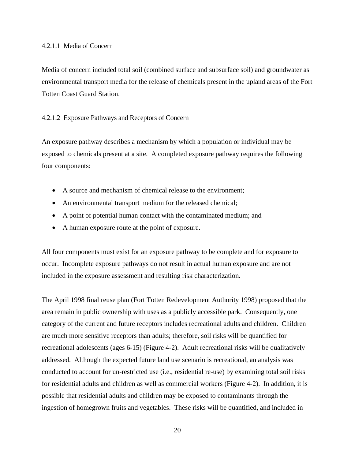Media of concern included total soil (combined surface and subsurface soil) and groundwater as environmental transport media for the release of chemicals present in the upland areas of the Fort Totten Coast Guard Station.

# 4.2.1.2 Exposure Pathways and Receptors of Concern

An exposure pathway describes a mechanism by which a population or individual may be exposed to chemicals present at a site. A completed exposure pathway requires the following four components:

- A source and mechanism of chemical release to the environment;
- An environmental transport medium for the released chemical;
- A point of potential human contact with the contaminated medium; and
- A human exposure route at the point of exposure.

All four components must exist for an exposure pathway to be complete and for exposure to occur. Incomplete exposure pathways do not result in actual human exposure and are not included in the exposure assessment and resulting risk characterization.

The April 1998 final reuse plan (Fort Totten Redevelopment Authority 1998) proposed that the area remain in public ownership with uses as a publicly accessible park. Consequently, one category of the current and future receptors includes recreational adults and children. Children are much more sensitive receptors than adults; therefore, soil risks will be quantified for recreational adolescents (ages 6-15) (Figure 4-2). Adult recreational risks will be qualitatively addressed. Although the expected future land use scenario is recreational, an analysis was conducted to account for un-restricted use (i.e., residential re-use) by examining total soil risks for residential adults and children as well as commercial workers (Figure 4-2). In addition, it is possible that residential adults and children may be exposed to contaminants through the ingestion of homegrown fruits and vegetables. These risks will be quantified, and included in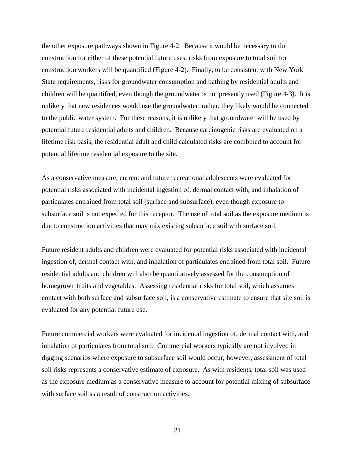the other exposure pathways shown in Figure 4-2. Because it would be necessary to do construction for either of these potential future uses, risks from exposure to total soil for construction workers will be quantified (Figure 4-2). Finally, to be consistent with New York State requirements, risks for groundwater consumption and bathing by residential adults and children will be quantified, even though the groundwater is not presently used (Figure 4-3). It is unlikely that new residences would use the groundwater; rather, they likely would be connected to the public water system. For these reasons, it is unlikely that groundwater will be used by potential future residential adults and children. Because carcinogenic risks are evaluated on a lifetime risk basis, the residential adult and child calculated risks are combined to account for potential lifetime residential exposure to the site.

As a conservative measure, current and future recreational adolescents were evaluated for potential risks associated with incidental ingestion of, dermal contact with, and inhalation of particulates entrained from total soil (surface and subsurface), even though exposure to subsurface soil is not expected for this receptor. The use of total soil as the exposure medium is due to construction activities that may mix existing subsurface soil with surface soil.

Future resident adults and children were evaluated for potential risks associated with incidental ingestion of, dermal contact with, and inhalation of particulates entrained from total soil. Future residential adults and children will also be quantitatively assessed for the consumption of homegrown fruits and vegetables. Assessing residential risks for total soil, which assumes contact with both surface and subsurface soil, is a conservative estimate to ensure that site soil is evaluated for any potential future use.

Future commercial workers were evaluated for incidental ingestion of, dermal contact with, and inhalation of particulates from total soil. Commercial workers typically are not involved in digging scenarios where exposure to subsurface soil would occur; however, assessment of total soil risks represents a conservative estimate of exposure. As with residents, total soil was used as the exposure medium as a conservative measure to account for potential mixing of subsurface with surface soil as a result of construction activities.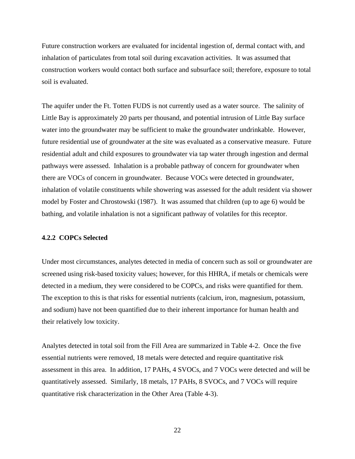Future construction workers are evaluated for incidental ingestion of, dermal contact with, and inhalation of particulates from total soil during excavation activities. It was assumed that construction workers would contact both surface and subsurface soil; therefore, exposure to total soil is evaluated.

The aquifer under the Ft. Totten FUDS is not currently used as a water source. The salinity of Little Bay is approximately 20 parts per thousand, and potential intrusion of Little Bay surface water into the groundwater may be sufficient to make the groundwater undrinkable. However, future residential use of groundwater at the site was evaluated as a conservative measure. Future residential adult and child exposures to groundwater via tap water through ingestion and dermal pathways were assessed. Inhalation is a probable pathway of concern for groundwater when there are VOCs of concern in groundwater. Because VOCs were detected in groundwater, inhalation of volatile constituents while showering was assessed for the adult resident via shower model by Foster and Chrostowski (1987). It was assumed that children (up to age 6) would be bathing, and volatile inhalation is not a significant pathway of volatiles for this receptor.

# **4.2.2 COPCs Selected**

Under most circumstances, analytes detected in media of concern such as soil or groundwater are screened using risk-based toxicity values; however, for this HHRA, if metals or chemicals were detected in a medium, they were considered to be COPCs, and risks were quantified for them. The exception to this is that risks for essential nutrients (calcium, iron, magnesium, potassium, and sodium) have not been quantified due to their inherent importance for human health and their relatively low toxicity.

Analytes detected in total soil from the Fill Area are summarized in Table 4-2. Once the five essential nutrients were removed, 18 metals were detected and require quantitative risk assessment in this area. In addition, 17 PAHs, 4 SVOCs, and 7 VOCs were detected and will be quantitatively assessed. Similarly, 18 metals, 17 PAHs, 8 SVOCs, and 7 VOCs will require quantitative risk characterization in the Other Area (Table 4-3).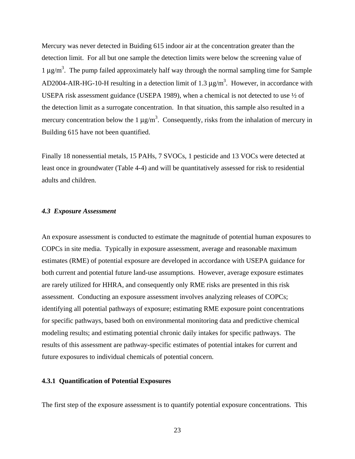Mercury was never detected in Buiding 615 indoor air at the concentration greater than the detection limit. For all but one sample the detection limits were below the screening value of 1  $\mu$ g/m<sup>3</sup>. The pump failed approximately half way through the normal sampling time for Sample AD2004-AIR-HG-10-H resulting in a detection limit of 1.3  $\mu$ g/m<sup>3</sup>. However, in accordance with USEPA risk assessment guidance (USEPA 1989), when a chemical is not detected to use ½ of the detection limit as a surrogate concentration. In that situation, this sample also resulted in a mercury concentration below the 1  $\mu$ g/m<sup>3</sup>. Consequently, risks from the inhalation of mercury in Building 615 have not been quantified.

Finally 18 nonessential metals, 15 PAHs, 7 SVOCs, 1 pesticide and 13 VOCs were detected at least once in groundwater (Table 4-4) and will be quantitatively assessed for risk to residential adults and children.

# *4.3 Exposure Assessment*

An exposure assessment is conducted to estimate the magnitude of potential human exposures to COPCs in site media. Typically in exposure assessment, average and reasonable maximum estimates (RME) of potential exposure are developed in accordance with USEPA guidance for both current and potential future land-use assumptions. However, average exposure estimates are rarely utilized for HHRA, and consequently only RME risks are presented in this risk assessment. Conducting an exposure assessment involves analyzing releases of COPCs; identifying all potential pathways of exposure; estimating RME exposure point concentrations for specific pathways, based both on environmental monitoring data and predictive chemical modeling results; and estimating potential chronic daily intakes for specific pathways. The results of this assessment are pathway-specific estimates of potential intakes for current and future exposures to individual chemicals of potential concern.

# **4.3.1 Quantification of Potential Exposures**

The first step of the exposure assessment is to quantify potential exposure concentrations. This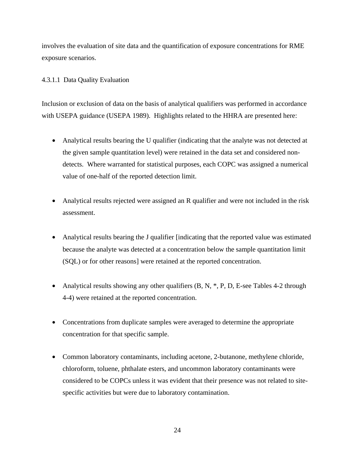involves the evaluation of site data and the quantification of exposure concentrations for RME exposure scenarios.

# 4.3.1.1 Data Quality Evaluation

Inclusion or exclusion of data on the basis of analytical qualifiers was performed in accordance with USEPA guidance (USEPA 1989). Highlights related to the HHRA are presented here:

- Analytical results bearing the U qualifier (indicating that the analyte was not detected at the given sample quantitation level) were retained in the data set and considered nondetects. Where warranted for statistical purposes, each COPC was assigned a numerical value of one-half of the reported detection limit.
- Analytical results rejected were assigned an R qualifier and were not included in the risk assessment.
- Analytical results bearing the J qualifier [indicating that the reported value was estimated because the analyte was detected at a concentration below the sample quantitation limit (SQL) or for other reasons] were retained at the reported concentration.
- Analytical results showing any other qualifiers  $(B, N, *, P, D, E)$ -see Tables 4-2 through 4-4) were retained at the reported concentration.
- Concentrations from duplicate samples were averaged to determine the appropriate concentration for that specific sample.
- Common laboratory contaminants, including acetone, 2-butanone, methylene chloride, chloroform, toluene, phthalate esters, and uncommon laboratory contaminants were considered to be COPCs unless it was evident that their presence was not related to sitespecific activities but were due to laboratory contamination.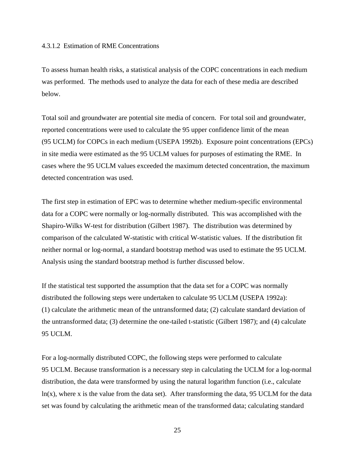## 4.3.1.2 Estimation of RME Concentrations

To assess human health risks, a statistical analysis of the COPC concentrations in each medium was performed. The methods used to analyze the data for each of these media are described below.

Total soil and groundwater are potential site media of concern. For total soil and groundwater, reported concentrations were used to calculate the 95 upper confidence limit of the mean (95 UCLM) for COPCs in each medium (USEPA 1992b). Exposure point concentrations (EPCs) in site media were estimated as the 95 UCLM values for purposes of estimating the RME. In cases where the 95 UCLM values exceeded the maximum detected concentration, the maximum detected concentration was used.

The first step in estimation of EPC was to determine whether medium-specific environmental data for a COPC were normally or log-normally distributed. This was accomplished with the Shapiro-Wilks W-test for distribution (Gilbert 1987). The distribution was determined by comparison of the calculated W-statistic with critical W-statistic values. If the distribution fit neither normal or log-normal, a standard bootstrap method was used to estimate the 95 UCLM. Analysis using the standard bootstrap method is further discussed below.

If the statistical test supported the assumption that the data set for a COPC was normally distributed the following steps were undertaken to calculate 95 UCLM (USEPA 1992a): (1) calculate the arithmetic mean of the untransformed data; (2) calculate standard deviation of the untransformed data; (3) determine the one-tailed t-statistic (Gilbert 1987); and (4) calculate 95 UCLM.

For a log-normally distributed COPC, the following steps were performed to calculate 95 UCLM. Because transformation is a necessary step in calculating the UCLM for a log-normal distribution, the data were transformed by using the natural logarithm function (i.e., calculate ln(x), where x is the value from the data set). After transforming the data, 95 UCLM for the data set was found by calculating the arithmetic mean of the transformed data; calculating standard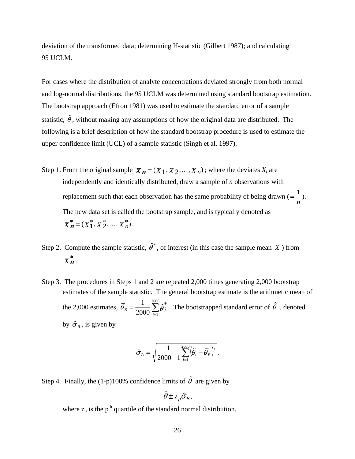deviation of the transformed data; determining H-statistic (Gilbert 1987); and calculating 95 UCLM.

For cases where the distribution of analyte concentrations deviated strongly from both normal and log-normal distributions, the 95 UCLM was determined using standard bootstrap estimation. The bootstrap approach (Efron 1981) was used to estimate the standard error of a sample statistic,  $\hat{\theta}$ , without making any assumptions of how the original data are distributed. The following is a brief description of how the standard bootstrap procedure is used to estimate the upper confidence limit (UCL) of a sample statistic (Singh et al. 1997).

- Step 1. From the original sample  $X_n = (X_1, X_2, ..., X_n)$ ; where the deviates  $X_i$  are independently and identically distributed, draw a sample of *n* observations with replacement such that each observation has the same probability of being drawn ( *n*  $=\frac{1}{2}$ . The new data set is called the bootstrap sample, and is typically denoted as  $X_n^* = (X_1^*, X_2^*, \ldots, X_n^*)$ .
- Step 2. Compute the sample statistic,  $\hat{\theta}^*$ , of interest (in this case the sample mean  $\overline{X}$ ) from  $X^*_{\bm{n}}$ .
- Step 3. The procedures in Steps 1 and 2 are repeated 2,000 times generating 2,000 bootstrap estimates of the sample statistic. The general bootstrap estimate is the arithmetic mean of the 2,000 estimates,  $\overline{\theta}_B = \frac{1}{2000} \sum_{i=1}$ = 2000 1  $\hat{j}^*_i$ 2000 1  $\overline{\theta}_B = \frac{1}{2000} \sum_{i=1}^{8} \hat{\theta}_i^*$ . The bootstrapped standard error of  $\hat{\theta}$ , denoted by  $\hat{\sigma}_B$ , is given by

$$
\hat{\sigma}_B = \sqrt{\frac{1}{2000 - 1} \sum_{i=1}^{2000} (\hat{\theta}_i - \overline{\theta}_B)^2}.
$$

Step 4. Finally, the (1-p)100% confidence limits of  $\hat{\theta}$  are given by

$$
\hat{\theta} \pm z_p \hat{\sigma}_B.
$$

where  $z_p$  is the  $p^{th}$  quantile of the standard normal distribution.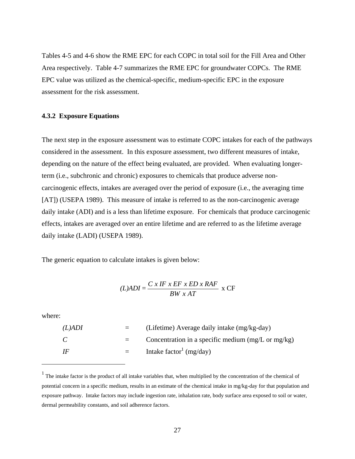Tables 4-5 and 4-6 show the RME EPC for each COPC in total soil for the Fill Area and Other Area respectively. Table 4-7 summarizes the RME EPC for groundwater COPCs. The RME EPC value was utilized as the chemical-specific, medium-specific EPC in the exposure assessment for the risk assessment.

# **4.3.2 Exposure Equations**

The next step in the exposure assessment was to estimate COPC intakes for each of the pathways considered in the assessment. In this exposure assessment, two different measures of intake, depending on the nature of the effect being evaluated, are provided. When evaluating longerterm (i.e., subchronic and chronic) exposures to chemicals that produce adverse noncarcinogenic effects, intakes are averaged over the period of exposure (i.e., the averaging time [AT]) (USEPA 1989). This measure of intake is referred to as the non-carcinogenic average daily intake (ADI) and is a less than lifetime exposure. For chemicals that produce carcinogenic effects, intakes are averaged over an entire lifetime and are referred to as the lifetime average daily intake (LADI) (USEPA 1989).

The generic equation to calculate intakes is given below:

$$
(L)ADI = \frac{C \times IF \times EF \times ED \times RAF}{BW \times AT} \times CF
$$

where:

<u>.</u>

| $(L)$ ADI      | $\equiv$ | (Lifetime) Average daily intake (mg/kg-day)                   |
|----------------|----------|---------------------------------------------------------------|
| <sup>-</sup> C | $=$ $-$  | Concentration in a specific medium $(mg/L \text{ or } mg/kg)$ |
| - IF           | $=$      | Intake factor <sup>1</sup> (mg/day)                           |

 $<sup>1</sup>$  The intake factor is the product of all intake variables that, when multiplied by the concentration of the chemical of</sup> potential concern in a specific medium, results in an estimate of the chemical intake in mg/kg-day for that population and exposure pathway. Intake factors may include ingestion rate, inhalation rate, body surface area exposed to soil or water, dermal permeability constants, and soil adherence factors.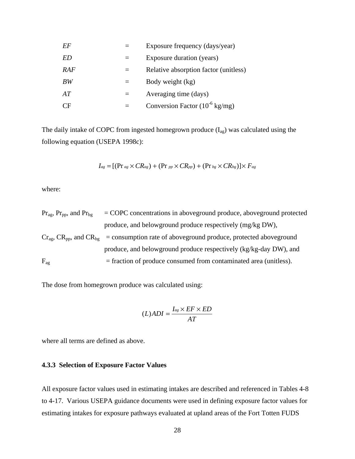| EF  | Exposure frequency (days/year)              |
|-----|---------------------------------------------|
| ED  | Exposure duration (years)                   |
| RAF | Relative absorption factor (unitless)       |
| BW  | Body weight (kg)                            |
| AТ  | Averaging time (days)                       |
| CF  | Conversion Factor $(10^{-6} \text{ kg/mg})$ |

The daily intake of COPC from ingested homegrown produce  $(I_{ag})$  was calculated using the following equation (USEPA 1998c):

$$
I_{ag} = [(Pr_{ag} \times CR_{ag}) + (Pr_{pp} \times CR_{pp}) + (Pr_{bg} \times CR_{bg})] \times F_{ag}
$$

where:

 $Pr<sub>ag</sub>, Pr<sub>pp</sub>, and Pr<sub>bg</sub> = COPC concentrations in aboveground produce, aboveground protected$ produce, and belowground produce respectively (mg/kg DW),  $Cr<sub>ag</sub>, CR<sub>pp</sub>,$  and  $CR<sub>bg</sub>$  = consumption rate of aboveground produce, protected aboveground produce, and belowground produce respectively (kg/kg-day DW), and  $F_{\text{ag}}$  = fraction of produce consumed from contaminated area (unitless).

The dose from homegrown produce was calculated using:

$$
(L)ADI = \frac{I_{ag} \times EF \times ED}{AT}
$$

where all terms are defined as above.

# **4.3.3 Selection of Exposure Factor Values**

All exposure factor values used in estimating intakes are described and referenced in Tables 4-8 to 4-17. Various USEPA guidance documents were used in defining exposure factor values for estimating intakes for exposure pathways evaluated at upland areas of the Fort Totten FUDS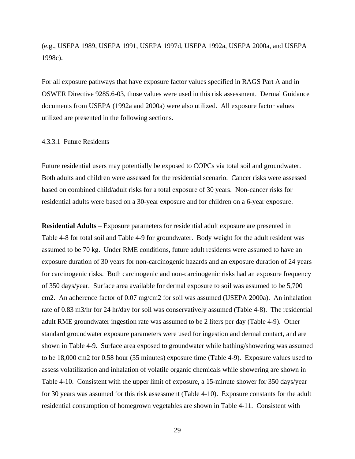(e.g., USEPA 1989, USEPA 1991, USEPA 1997d, USEPA 1992a, USEPA 2000a, and USEPA 1998c).

For all exposure pathways that have exposure factor values specified in RAGS Part A and in OSWER Directive 9285.6-03, those values were used in this risk assessment. Dermal Guidance documents from USEPA (1992a and 2000a) were also utilized. All exposure factor values utilized are presented in the following sections.

### 4.3.3.1 Future Residents

Future residential users may potentially be exposed to COPCs via total soil and groundwater. Both adults and children were assessed for the residential scenario. Cancer risks were assessed based on combined child/adult risks for a total exposure of 30 years. Non-cancer risks for residential adults were based on a 30-year exposure and for children on a 6-year exposure.

**Residential Adults** – Exposure parameters for residential adult exposure are presented in Table 4-8 for total soil and Table 4-9 for groundwater. Body weight for the adult resident was assumed to be 70 kg. Under RME conditions, future adult residents were assumed to have an exposure duration of 30 years for non-carcinogenic hazards and an exposure duration of 24 years for carcinogenic risks. Both carcinogenic and non-carcinogenic risks had an exposure frequency of 350 days/year. Surface area available for dermal exposure to soil was assumed to be 5,700 cm2. An adherence factor of 0.07 mg/cm2 for soil was assumed (USEPA 2000a). An inhalation rate of 0.83 m3/hr for 24 hr/day for soil was conservatively assumed (Table 4-8). The residential adult RME groundwater ingestion rate was assumed to be 2 liters per day (Table 4-9). Other standard groundwater exposure parameters were used for ingestion and dermal contact, and are shown in Table 4-9. Surface area exposed to groundwater while bathing/showering was assumed to be 18,000 cm2 for 0.58 hour (35 minutes) exposure time (Table 4-9). Exposure values used to assess volatilization and inhalation of volatile organic chemicals while showering are shown in Table 4-10. Consistent with the upper limit of exposure, a 15-minute shower for 350 days/year for 30 years was assumed for this risk assessment (Table 4-10). Exposure constants for the adult residential consumption of homegrown vegetables are shown in Table 4-11. Consistent with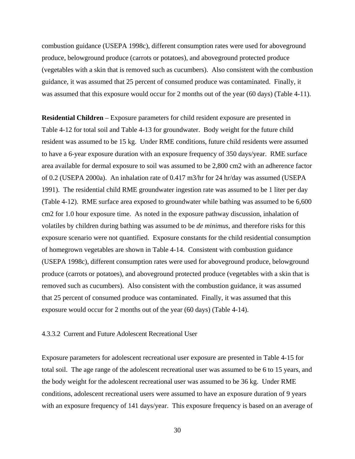combustion guidance (USEPA 1998c), different consumption rates were used for aboveground produce, belowground produce (carrots or potatoes), and aboveground protected produce (vegetables with a skin that is removed such as cucumbers). Also consistent with the combustion guidance, it was assumed that 25 percent of consumed produce was contaminated. Finally, it was assumed that this exposure would occur for 2 months out of the year (60 days) (Table 4-11).

**Residential Children** – Exposure parameters for child resident exposure are presented in Table 4-12 for total soil and Table 4-13 for groundwater. Body weight for the future child resident was assumed to be 15 kg. Under RME conditions, future child residents were assumed to have a 6-year exposure duration with an exposure frequency of 350 days/year. RME surface area available for dermal exposure to soil was assumed to be 2,800 cm2 with an adherence factor of 0.2 (USEPA 2000a). An inhalation rate of 0.417 m3/hr for 24 hr/day was assumed (USEPA 1991). The residential child RME groundwater ingestion rate was assumed to be 1 liter per day (Table 4-12). RME surface area exposed to groundwater while bathing was assumed to be 6,600 cm2 for 1.0 hour exposure time. As noted in the exposure pathway discussion, inhalation of volatiles by children during bathing was assumed to be *de minimus*, and therefore risks for this exposure scenario were not quantified. Exposure constants for the child residential consumption of homegrown vegetables are shown in Table 4-14. Consistent with combustion guidance (USEPA 1998c), different consumption rates were used for aboveground produce, belowground produce (carrots or potatoes), and aboveground protected produce (vegetables with a skin that is removed such as cucumbers). Also consistent with the combustion guidance, it was assumed that 25 percent of consumed produce was contaminated. Finally, it was assumed that this exposure would occur for 2 months out of the year (60 days) (Table 4-14).

## 4.3.3.2 Current and Future Adolescent Recreational User

Exposure parameters for adolescent recreational user exposure are presented in Table 4-15 for total soil. The age range of the adolescent recreational user was assumed to be 6 to 15 years, and the body weight for the adolescent recreational user was assumed to be 36 kg. Under RME conditions, adolescent recreational users were assumed to have an exposure duration of 9 years with an exposure frequency of 141 days/year. This exposure frequency is based on an average of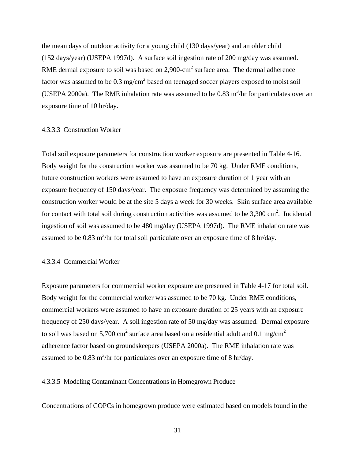the mean days of outdoor activity for a young child (130 days/year) and an older child (152 days/year) (USEPA 1997d). A surface soil ingestion rate of 200 mg/day was assumed. RME dermal exposure to soil was based on 2,900-cm<sup>2</sup> surface area. The dermal adherence factor was assumed to be 0.3 mg/cm<sup>2</sup> based on teenaged soccer players exposed to moist soil (USEPA 2000a). The RME inhalation rate was assumed to be 0.83  $\text{m}^3/\text{hr}$  for particulates over an exposure time of 10 hr/day.

### 4.3.3.3 Construction Worker

Total soil exposure parameters for construction worker exposure are presented in Table 4-16. Body weight for the construction worker was assumed to be 70 kg. Under RME conditions, future construction workers were assumed to have an exposure duration of 1 year with an exposure frequency of 150 days/year. The exposure frequency was determined by assuming the construction worker would be at the site 5 days a week for 30 weeks. Skin surface area available for contact with total soil during construction activities was assumed to be  $3,300 \text{ cm}^2$ . Incidental ingestion of soil was assumed to be 480 mg/day (USEPA 1997d). The RME inhalation rate was assumed to be 0.83 m<sup>3</sup>/hr for total soil particulate over an exposure time of 8 hr/day.

# 4.3.3.4 Commercial Worker

Exposure parameters for commercial worker exposure are presented in Table 4-17 for total soil. Body weight for the commercial worker was assumed to be 70 kg. Under RME conditions, commercial workers were assumed to have an exposure duration of 25 years with an exposure frequency of 250 days/year. A soil ingestion rate of 50 mg/day was assumed. Dermal exposure to soil was based on 5,700 cm<sup>2</sup> surface area based on a residential adult and 0.1 mg/cm<sup>2</sup> adherence factor based on groundskeepers (USEPA 2000a). The RME inhalation rate was assumed to be 0.83 m<sup>3</sup>/hr for particulates over an exposure time of 8 hr/day.

4.3.3.5 Modeling Contaminant Concentrations in Homegrown Produce

Concentrations of COPCs in homegrown produce were estimated based on models found in the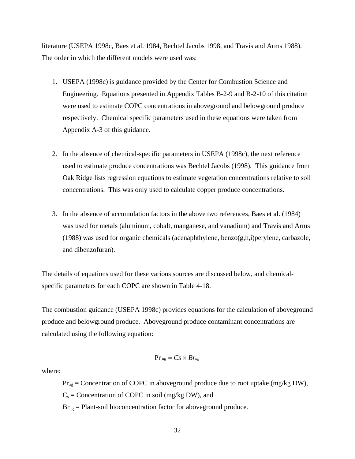literature (USEPA 1998c, Baes et al. 1984, Bechtel Jacobs 1998, and Travis and Arms 1988). The order in which the different models were used was:

- 1. USEPA (1998c) is guidance provided by the Center for Combustion Science and Engineering. Equations presented in Appendix Tables B-2-9 and B-2-10 of this citation were used to estimate COPC concentrations in aboveground and belowground produce respectively. Chemical specific parameters used in these equations were taken from Appendix A-3 of this guidance.
- 2. In the absence of chemical-specific parameters in USEPA (1998c), the next reference used to estimate produce concentrations was Bechtel Jacobs (1998). This guidance from Oak Ridge lists regression equations to estimate vegetation concentrations relative to soil concentrations. This was only used to calculate copper produce concentrations.
- 3. In the absence of accumulation factors in the above two references, Baes et al. (1984) was used for metals (aluminum, cobalt, manganese, and vanadium) and Travis and Arms (1988) was used for organic chemicals (acenaphthylene, benzo(g,h,i)perylene, carbazole, and dibenzofuran).

The details of equations used for these various sources are discussed below, and chemicalspecific parameters for each COPC are shown in Table 4-18.

The combustion guidance (USEPA 1998c) provides equations for the calculation of aboveground produce and belowground produce. Aboveground produce contaminant concentrations are calculated using the following equation:

$$
Pr_{ag} = Cs \times Br_{ag}
$$

where:

 $Pr_{\text{ag}}$  = Concentration of COPC in aboveground produce due to root uptake (mg/kg DW),  $C_s$  = Concentration of COPC in soil (mg/kg DW), and  $Br<sub>ag</sub>$  = Plant-soil bioconcentration factor for aboveground produce.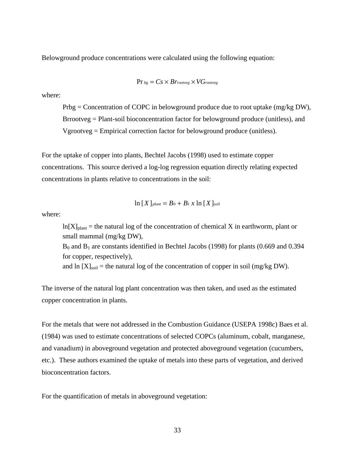Belowground produce concentrations were calculated using the following equation:

$$
Pr_{bg} = Cs \times Br_{rootveg} \times VG_{rootveg}
$$

where:

 Prbg = Concentration of COPC in belowground produce due to root uptake (mg/kg DW), Brrootveg = Plant-soil bioconcentration factor for belowground produce (unitless), and Vgrootveg = Empirical correction factor for belowground produce (unitless).

For the uptake of copper into plants, Bechtel Jacobs (1998) used to estimate copper concentrations. This source derived a log-log regression equation directly relating expected concentrations in plants relative to concentrations in the soil:

$$
\ln [X]_{\text{plant}} = B_0 + B_1 x \ln [X]_{\text{solid}}
$$

where:

 $ln[X]_{plant}$  = the natural log of the concentration of chemical X in earthworm, plant or small mammal (mg/kg DW),  $B_0$  and  $B_1$  are constants identified in Bechtel Jacobs (1998) for plants (0.669 and 0.394 for copper, respectively), and ln  $[X]_{\text{solid}}$  = the natural log of the concentration of copper in soil (mg/kg DW).

The inverse of the natural log plant concentration was then taken, and used as the estimated copper concentration in plants.

For the metals that were not addressed in the Combustion Guidance (USEPA 1998c) Baes et al. (1984) was used to estimate concentrations of selected COPCs (aluminum, cobalt, manganese, and vanadium) in aboveground vegetation and protected aboveground vegetation (cucumbers, etc.). These authors examined the uptake of metals into these parts of vegetation, and derived bioconcentration factors.

For the quantification of metals in aboveground vegetation: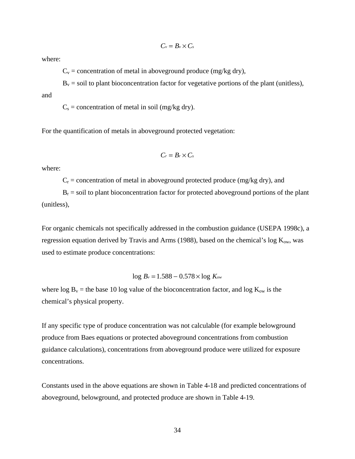$$
C_v=B_v\times C_s
$$

where:

 $C_v$  = concentration of metal in aboveground produce (mg/kg dry),

 $B<sub>v</sub>$  = soil to plant bioconcentration factor for vegetative portions of the plant (unitless), and

 $C_s$  = concentration of metal in soil (mg/kg dry).

For the quantification of metals in aboveground protected vegetation:

$$
C_r=B_r\times C_s
$$

where:

 $C_r$  = concentration of metal in aboveground protected produce (mg/kg dry), and

 $B<sub>r</sub>$  = soil to plant bioconcentration factor for protected aboveground portions of the plant (unitless),

For organic chemicals not specifically addressed in the combustion guidance (USEPA 1998c), a regression equation derived by Travis and Arms (1988), based on the chemical's log  $K_{ow}$ , was used to estimate produce concentrations:

$$
\log B_{\nu} = 1.588 - 0.578 \times \log K_{\text{ow}}
$$

where  $\log B_v$  = the base 10 log value of the bioconcentration factor, and log  $K_{ow}$  is the chemical's physical property.

If any specific type of produce concentration was not calculable (for example belowground produce from Baes equations or protected aboveground concentrations from combustion guidance calculations), concentrations from aboveground produce were utilized for exposure concentrations.

Constants used in the above equations are shown in Table 4-18 and predicted concentrations of aboveground, belowground, and protected produce are shown in Table 4-19.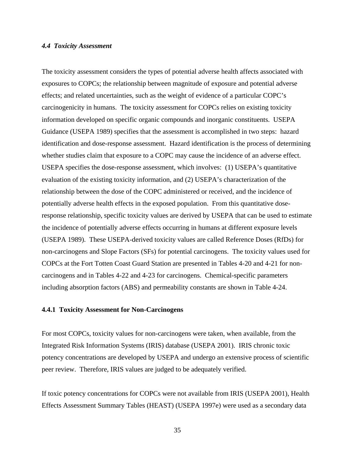#### *4.4 Toxicity Assessment*

The toxicity assessment considers the types of potential adverse health affects associated with exposures to COPCs; the relationship between magnitude of exposure and potential adverse effects; and related uncertainties, such as the weight of evidence of a particular COPC's carcinogenicity in humans. The toxicity assessment for COPCs relies on existing toxicity information developed on specific organic compounds and inorganic constituents. USEPA Guidance (USEPA 1989) specifies that the assessment is accomplished in two steps: hazard identification and dose-response assessment. Hazard identification is the process of determining whether studies claim that exposure to a COPC may cause the incidence of an adverse effect. USEPA specifies the dose-response assessment, which involves: (1) USEPA's quantitative evaluation of the existing toxicity information, and (2) USEPA's characterization of the relationship between the dose of the COPC administered or received, and the incidence of potentially adverse health effects in the exposed population. From this quantitative doseresponse relationship, specific toxicity values are derived by USEPA that can be used to estimate the incidence of potentially adverse effects occurring in humans at different exposure levels (USEPA 1989). These USEPA-derived toxicity values are called Reference Doses (RfDs) for non-carcinogens and Slope Factors (SFs) for potential carcinogens. The toxicity values used for COPCs at the Fort Totten Coast Guard Station are presented in Tables 4-20 and 4-21 for noncarcinogens and in Tables 4-22 and 4-23 for carcinogens. Chemical-specific parameters including absorption factors (ABS) and permeability constants are shown in Table 4-24.

# **4.4.1 Toxicity Assessment for Non-Carcinogens**

For most COPCs, toxicity values for non-carcinogens were taken, when available, from the Integrated Risk Information Systems (IRIS) database (USEPA 2001). IRIS chronic toxic potency concentrations are developed by USEPA and undergo an extensive process of scientific peer review. Therefore, IRIS values are judged to be adequately verified.

If toxic potency concentrations for COPCs were not available from IRIS (USEPA 2001), Health Effects Assessment Summary Tables (HEAST) (USEPA 1997e) were used as a secondary data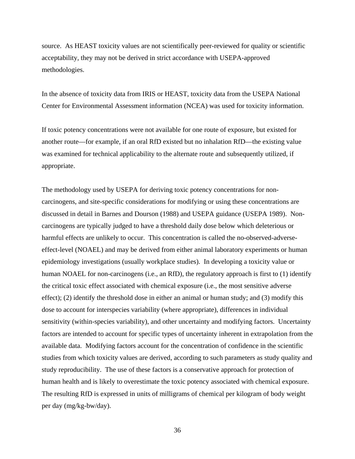source. As HEAST toxicity values are not scientifically peer-reviewed for quality or scientific acceptability, they may not be derived in strict accordance with USEPA-approved methodologies.

In the absence of toxicity data from IRIS or HEAST, toxicity data from the USEPA National Center for Environmental Assessment information (NCEA) was used for toxicity information.

If toxic potency concentrations were not available for one route of exposure, but existed for another route—for example, if an oral RfD existed but no inhalation RfD—the existing value was examined for technical applicability to the alternate route and subsequently utilized, if appropriate.

The methodology used by USEPA for deriving toxic potency concentrations for noncarcinogens, and site-specific considerations for modifying or using these concentrations are discussed in detail in Barnes and Dourson (1988) and USEPA guidance (USEPA 1989). Noncarcinogens are typically judged to have a threshold daily dose below which deleterious or harmful effects are unlikely to occur. This concentration is called the no-observed-adverseeffect-level (NOAEL) and may be derived from either animal laboratory experiments or human epidemiology investigations (usually workplace studies). In developing a toxicity value or human NOAEL for non-carcinogens (i.e., an RfD), the regulatory approach is first to (1) identify the critical toxic effect associated with chemical exposure (i.e., the most sensitive adverse effect); (2) identify the threshold dose in either an animal or human study; and (3) modify this dose to account for interspecies variability (where appropriate), differences in individual sensitivity (within-species variability), and other uncertainty and modifying factors. Uncertainty factors are intended to account for specific types of uncertainty inherent in extrapolation from the available data. Modifying factors account for the concentration of confidence in the scientific studies from which toxicity values are derived, according to such parameters as study quality and study reproducibility. The use of these factors is a conservative approach for protection of human health and is likely to overestimate the toxic potency associated with chemical exposure. The resulting RfD is expressed in units of milligrams of chemical per kilogram of body weight per day (mg/kg-bw/day).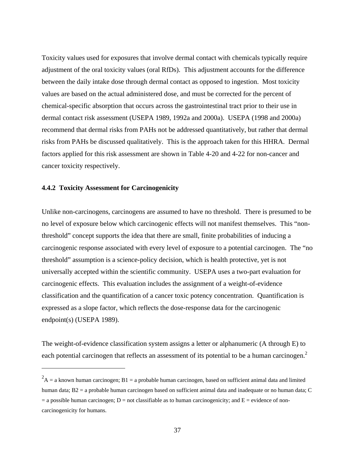Toxicity values used for exposures that involve dermal contact with chemicals typically require adjustment of the oral toxicity values (oral RfDs). This adjustment accounts for the difference between the daily intake dose through dermal contact as opposed to ingestion. Most toxicity values are based on the actual administered dose, and must be corrected for the percent of chemical-specific absorption that occurs across the gastrointestinal tract prior to their use in dermal contact risk assessment (USEPA 1989, 1992a and 2000a). USEPA (1998 and 2000a) recommend that dermal risks from PAHs not be addressed quantitatively, but rather that dermal risks from PAHs be discussed qualitatively. This is the approach taken for this HHRA. Dermal factors applied for this risk assessment are shown in Table 4-20 and 4-22 for non-cancer and cancer toxicity respectively.

# **4.4.2 Toxicity Assessment for Carcinogenicity**

 $\overline{a}$ 

Unlike non-carcinogens, carcinogens are assumed to have no threshold. There is presumed to be no level of exposure below which carcinogenic effects will not manifest themselves. This "nonthreshold" concept supports the idea that there are small, finite probabilities of inducing a carcinogenic response associated with every level of exposure to a potential carcinogen. The "no threshold" assumption is a science-policy decision, which is health protective, yet is not universally accepted within the scientific community. USEPA uses a two-part evaluation for carcinogenic effects. This evaluation includes the assignment of a weight-of-evidence classification and the quantification of a cancer toxic potency concentration. Quantification is expressed as a slope factor, which reflects the dose-response data for the carcinogenic endpoint(s) (USEPA 1989).

The weight-of-evidence classification system assigns a letter or alphanumeric (A through E) to each potential carcinogen that reflects an assessment of its potential to be a human carcinogen.<sup>2</sup>

 $A^2$ A = a known human carcinogen; B1 = a probable human carcinogen, based on sufficient animal data and limited human data; B2 = a probable human carcinogen based on sufficient animal data and inadequate or no human data; C  $=$  a possible human carcinogen; D  $=$  not classifiable as to human carcinogenicity; and E  $=$  evidence of noncarcinogenicity for humans.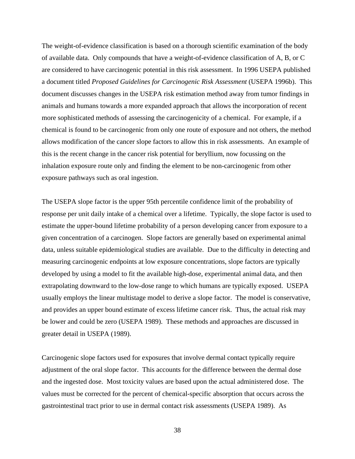The weight-of-evidence classification is based on a thorough scientific examination of the body of available data. Only compounds that have a weight-of-evidence classification of A, B, or C are considered to have carcinogenic potential in this risk assessment. In 1996 USEPA published a document titled *Proposed Guidelines for Carcinogenic Risk Assessment* (USEPA 1996b). This document discusses changes in the USEPA risk estimation method away from tumor findings in animals and humans towards a more expanded approach that allows the incorporation of recent more sophisticated methods of assessing the carcinogenicity of a chemical. For example, if a chemical is found to be carcinogenic from only one route of exposure and not others, the method allows modification of the cancer slope factors to allow this in risk assessments. An example of this is the recent change in the cancer risk potential for beryllium, now focussing on the inhalation exposure route only and finding the element to be non-carcinogenic from other exposure pathways such as oral ingestion.

The USEPA slope factor is the upper 95th percentile confidence limit of the probability of response per unit daily intake of a chemical over a lifetime. Typically, the slope factor is used to estimate the upper-bound lifetime probability of a person developing cancer from exposure to a given concentration of a carcinogen. Slope factors are generally based on experimental animal data, unless suitable epidemiological studies are available. Due to the difficulty in detecting and measuring carcinogenic endpoints at low exposure concentrations, slope factors are typically developed by using a model to fit the available high-dose, experimental animal data, and then extrapolating downward to the low-dose range to which humans are typically exposed. USEPA usually employs the linear multistage model to derive a slope factor. The model is conservative, and provides an upper bound estimate of excess lifetime cancer risk. Thus, the actual risk may be lower and could be zero (USEPA 1989). These methods and approaches are discussed in greater detail in USEPA (1989).

Carcinogenic slope factors used for exposures that involve dermal contact typically require adjustment of the oral slope factor. This accounts for the difference between the dermal dose and the ingested dose. Most toxicity values are based upon the actual administered dose. The values must be corrected for the percent of chemical-specific absorption that occurs across the gastrointestinal tract prior to use in dermal contact risk assessments (USEPA 1989). As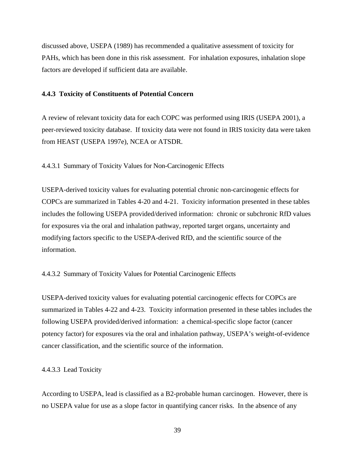discussed above, USEPA (1989) has recommended a qualitative assessment of toxicity for PAHs, which has been done in this risk assessment. For inhalation exposures, inhalation slope factors are developed if sufficient data are available.

# **4.4.3 Toxicity of Constituents of Potential Concern**

A review of relevant toxicity data for each COPC was performed using IRIS (USEPA 2001), a peer-reviewed toxicity database. If toxicity data were not found in IRIS toxicity data were taken from HEAST (USEPA 1997e), NCEA or ATSDR.

4.4.3.1 Summary of Toxicity Values for Non-Carcinogenic Effects

USEPA-derived toxicity values for evaluating potential chronic non-carcinogenic effects for COPCs are summarized in Tables 4-20 and 4-21. Toxicity information presented in these tables includes the following USEPA provided/derived information: chronic or subchronic RfD values for exposures via the oral and inhalation pathway, reported target organs, uncertainty and modifying factors specific to the USEPA-derived RfD, and the scientific source of the information.

# 4.4.3.2 Summary of Toxicity Values for Potential Carcinogenic Effects

USEPA-derived toxicity values for evaluating potential carcinogenic effects for COPCs are summarized in Tables 4-22 and 4-23. Toxicity information presented in these tables includes the following USEPA provided/derived information: a chemical-specific slope factor (cancer potency factor) for exposures via the oral and inhalation pathway, USEPA's weight-of-evidence cancer classification, and the scientific source of the information.

### 4.4.3.3 Lead Toxicity

According to USEPA, lead is classified as a B2-probable human carcinogen. However, there is no USEPA value for use as a slope factor in quantifying cancer risks. In the absence of any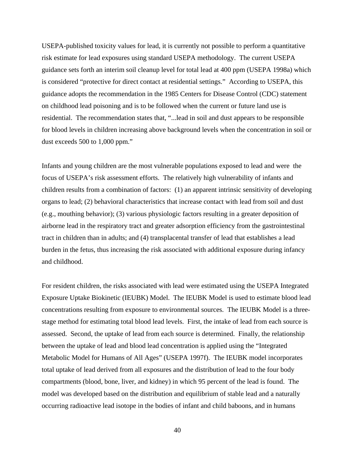USEPA-published toxicity values for lead, it is currently not possible to perform a quantitative risk estimate for lead exposures using standard USEPA methodology. The current USEPA guidance sets forth an interim soil cleanup level for total lead at 400 ppm (USEPA 1998a) which is considered "protective for direct contact at residential settings." According to USEPA, this guidance adopts the recommendation in the 1985 Centers for Disease Control (CDC) statement on childhood lead poisoning and is to be followed when the current or future land use is residential. The recommendation states that, "...lead in soil and dust appears to be responsible for blood levels in children increasing above background levels when the concentration in soil or dust exceeds 500 to 1,000 ppm."

Infants and young children are the most vulnerable populations exposed to lead and were the focus of USEPA's risk assessment efforts. The relatively high vulnerability of infants and children results from a combination of factors: (1) an apparent intrinsic sensitivity of developing organs to lead; (2) behavioral characteristics that increase contact with lead from soil and dust (e.g., mouthing behavior); (3) various physiologic factors resulting in a greater deposition of airborne lead in the respiratory tract and greater adsorption efficiency from the gastrointestinal tract in children than in adults; and (4) transplacental transfer of lead that establishes a lead burden in the fetus, thus increasing the risk associated with additional exposure during infancy and childhood.

For resident children, the risks associated with lead were estimated using the USEPA Integrated Exposure Uptake Biokinetic (IEUBK) Model. The IEUBK Model is used to estimate blood lead concentrations resulting from exposure to environmental sources. The IEUBK Model is a threestage method for estimating total blood lead levels. First, the intake of lead from each source is assessed. Second, the uptake of lead from each source is determined. Finally, the relationship between the uptake of lead and blood lead concentration is applied using the "Integrated Metabolic Model for Humans of All Ages" (USEPA 1997f). The IEUBK model incorporates total uptake of lead derived from all exposures and the distribution of lead to the four body compartments (blood, bone, liver, and kidney) in which 95 percent of the lead is found. The model was developed based on the distribution and equilibrium of stable lead and a naturally occurring radioactive lead isotope in the bodies of infant and child baboons, and in humans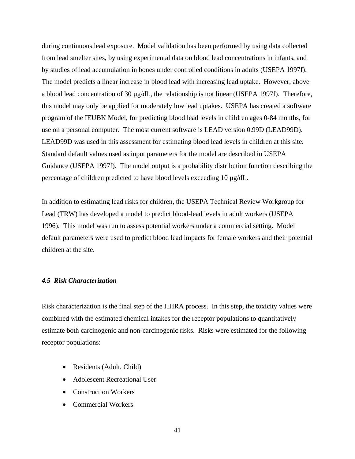during continuous lead exposure. Model validation has been performed by using data collected from lead smelter sites, by using experimental data on blood lead concentrations in infants, and by studies of lead accumulation in bones under controlled conditions in adults (USEPA 1997f). The model predicts a linear increase in blood lead with increasing lead uptake. However, above a blood lead concentration of 30 µg/dL, the relationship is not linear (USEPA 1997f). Therefore, this model may only be applied for moderately low lead uptakes. USEPA has created a software program of the IEUBK Model, for predicting blood lead levels in children ages 0-84 months, for use on a personal computer. The most current software is LEAD version 0.99D (LEAD99D). LEAD99D was used in this assessment for estimating blood lead levels in children at this site. Standard default values used as input parameters for the model are described in USEPA Guidance (USEPA 1997f). The model output is a probability distribution function describing the percentage of children predicted to have blood levels exceeding 10 µg/dL.

In addition to estimating lead risks for children, the USEPA Technical Review Workgroup for Lead (TRW) has developed a model to predict blood-lead levels in adult workers (USEPA 1996). This model was run to assess potential workers under a commercial setting. Model default parameters were used to predict blood lead impacts for female workers and their potential children at the site.

# *4.5 Risk Characterization*

Risk characterization is the final step of the HHRA process. In this step, the toxicity values were combined with the estimated chemical intakes for the receptor populations to quantitatively estimate both carcinogenic and non-carcinogenic risks. Risks were estimated for the following receptor populations:

- Residents (Adult, Child)
- Adolescent Recreational User
- Construction Workers
- Commercial Workers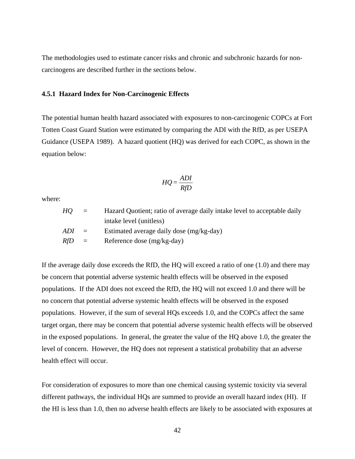The methodologies used to estimate cancer risks and chronic and subchronic hazards for noncarcinogens are described further in the sections below.

# **4.5.1 Hazard Index for Non-Carcinogenic Effects**

The potential human health hazard associated with exposures to non-carcinogenic COPCs at Fort Totten Coast Guard Station were estimated by comparing the ADI with the RfD, as per USEPA Guidance (USEPA 1989). A hazard quotient (HQ) was derived for each COPC, as shown in the equation below:

$$
HQ = \frac{ADI}{RfD}
$$

where:

| HO.     | $\equiv$               | Hazard Quotient; ratio of average daily intake level to acceptable daily |
|---------|------------------------|--------------------------------------------------------------------------|
|         |                        | intake level (unitless)                                                  |
| $ADI =$ |                        | Estimated average daily dose (mg/kg-day)                                 |
| RfD.    | $\alpha = \frac{1}{2}$ | Reference dose (mg/kg-day)                                               |

If the average daily dose exceeds the RfD, the HQ will exceed a ratio of one (1.0) and there may be concern that potential adverse systemic health effects will be observed in the exposed populations. If the ADI does not exceed the RfD, the HQ will not exceed 1.0 and there will be no concern that potential adverse systemic health effects will be observed in the exposed populations. However, if the sum of several HQs exceeds 1.0, and the COPCs affect the same target organ, there may be concern that potential adverse systemic health effects will be observed in the exposed populations. In general, the greater the value of the HQ above 1.0, the greater the level of concern. However, the HQ does not represent a statistical probability that an adverse health effect will occur.

For consideration of exposures to more than one chemical causing systemic toxicity via several different pathways, the individual HQs are summed to provide an overall hazard index (HI). If the HI is less than 1.0, then no adverse health effects are likely to be associated with exposures at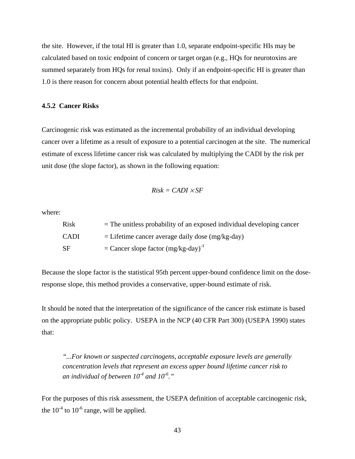the site. However, if the total HI is greater than 1.0, separate endpoint-specific HIs may be calculated based on toxic endpoint of concern or target organ (e.g., HQs for neurotoxins are summed separately from HQs for renal toxins). Only if an endpoint-specific HI is greater than 1.0 is there reason for concern about potential health effects for that endpoint.

# **4.5.2 Cancer Risks**

Carcinogenic risk was estimated as the incremental probability of an individual developing cancer over a lifetime as a result of exposure to a potential carcinogen at the site. The numerical estimate of excess lifetime cancer risk was calculated by multiplying the CADI by the risk per unit dose (the slope factor), as shown in the following equation:

$$
Risk = CADI \times SF
$$

where:

| Risk        | $=$ The unitless probability of an exposed individual developing cancer |
|-------------|-------------------------------------------------------------------------|
| <b>CADI</b> | $=$ Lifetime cancer average daily dose (mg/kg-day)                      |
| <b>SF</b>   | $=$ Cancer slope factor $(mg/kg$ -day) <sup>-1</sup>                    |

Because the slope factor is the statistical 95th percent upper-bound confidence limit on the doseresponse slope, this method provides a conservative, upper-bound estimate of risk.

It should be noted that the interpretation of the significance of the cancer risk estimate is based on the appropriate public policy. USEPA in the NCP (40 CFR Part 300) (USEPA 1990) states that:

*"...For known or suspected carcinogens, acceptable exposure levels are generally concentration levels that represent an excess upper bound lifetime cancer risk to an individual of between 10-4 and 10-6."* 

For the purposes of this risk assessment, the USEPA definition of acceptable carcinogenic risk, the  $10^{-4}$  to  $10^{-6}$  range, will be applied.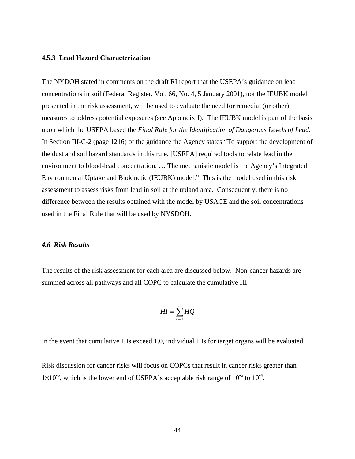# **4.5.3 Lead Hazard Characterization**

The NYDOH stated in comments on the draft RI report that the USEPA's guidance on lead concentrations in soil (Federal Register, Vol. 66, No. 4, 5 January 2001), not the IEUBK model presented in the risk assessment, will be used to evaluate the need for remedial (or other) measures to address potential exposures (see Appendix J). The IEUBK model is part of the basis upon which the USEPA based the *Final Rule for the Identification of Dangerous Levels of Lead*. In Section III-C-2 (page 1216) of the guidance the Agency states "To support the development of the dust and soil hazard standards in this rule, [USEPA] required tools to relate lead in the environment to blood-lead concentration. … The mechanistic model is the Agency's Integrated Environmental Uptake and Biokinetic (IEUBK) model." This is the model used in this risk assessment to assess risks from lead in soil at the upland area. Consequently, there is no difference between the results obtained with the model by USACE and the soil concentrations used in the Final Rule that will be used by NYSDOH.

### *4.6 Risk Results*

The results of the risk assessment for each area are discussed below. Non-cancer hazards are summed across all pathways and all COPC to calculate the cumulative HI:

$$
HI = \sum_{i=1}^{n} HQ
$$

In the event that cumulative HIs exceed 1.0, individual HIs for target organs will be evaluated.

Risk discussion for cancer risks will focus on COPCs that result in cancer risks greater than  $1\times10^{-6}$ , which is the lower end of USEPA's acceptable risk range of  $10^{-6}$  to  $10^{-4}$ .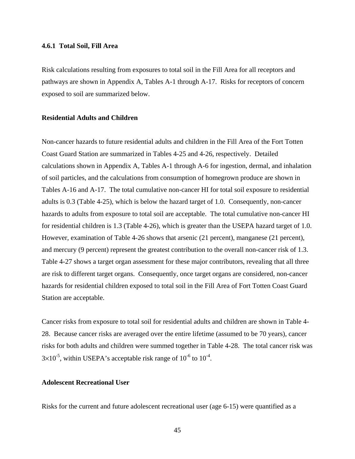#### **4.6.1 Total Soil, Fill Area**

Risk calculations resulting from exposures to total soil in the Fill Area for all receptors and pathways are shown in Appendix A, Tables A-1 through A-17. Risks for receptors of concern exposed to soil are summarized below.

# **Residential Adults and Children**

Non-cancer hazards to future residential adults and children in the Fill Area of the Fort Totten Coast Guard Station are summarized in Tables 4-25 and 4-26, respectively. Detailed calculations shown in Appendix A, Tables A-1 through A-6 for ingestion, dermal, and inhalation of soil particles, and the calculations from consumption of homegrown produce are shown in Tables A-16 and A-17. The total cumulative non-cancer HI for total soil exposure to residential adults is 0.3 (Table 4-25), which is below the hazard target of 1.0. Consequently, non-cancer hazards to adults from exposure to total soil are acceptable. The total cumulative non-cancer HI for residential children is 1.3 (Table 4-26), which is greater than the USEPA hazard target of 1.0. However, examination of Table 4-26 shows that arsenic (21 percent), manganese (21 percent), and mercury (9 percent) represent the greatest contribution to the overall non-cancer risk of 1.3. Table 4-27 shows a target organ assessment for these major contributors, revealing that all three are risk to different target organs. Consequently, once target organs are considered, non-cancer hazards for residential children exposed to total soil in the Fill Area of Fort Totten Coast Guard Station are acceptable.

Cancer risks from exposure to total soil for residential adults and children are shown in Table 4- 28. Because cancer risks are averaged over the entire lifetime (assumed to be 70 years), cancer risks for both adults and children were summed together in Table 4-28. The total cancer risk was  $3\times10^{-5}$ , within USEPA's acceptable risk range of  $10^{-6}$  to  $10^{-4}$ .

# **Adolescent Recreational User**

Risks for the current and future adolescent recreational user (age 6-15) were quantified as a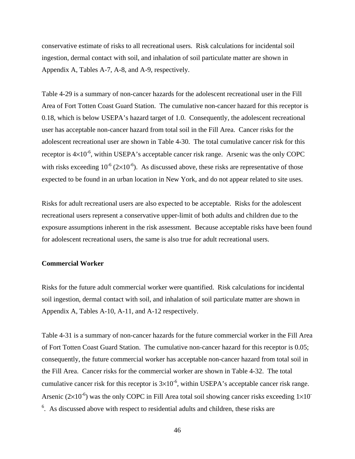conservative estimate of risks to all recreational users. Risk calculations for incidental soil ingestion, dermal contact with soil, and inhalation of soil particulate matter are shown in Appendix A, Tables A-7, A-8, and A-9, respectively.

Table 4-29 is a summary of non-cancer hazards for the adolescent recreational user in the Fill Area of Fort Totten Coast Guard Station. The cumulative non-cancer hazard for this receptor is 0.18, which is below USEPA's hazard target of 1.0. Consequently, the adolescent recreational user has acceptable non-cancer hazard from total soil in the Fill Area. Cancer risks for the adolescent recreational user are shown in Table 4-30. The total cumulative cancer risk for this receptor is  $4\times10^{-6}$ , within USEPA's acceptable cancer risk range. Arsenic was the only COPC with risks exceeding  $10^{-6}$  ( $2\times10^{-6}$ ). As discussed above, these risks are representative of those expected to be found in an urban location in New York, and do not appear related to site uses.

Risks for adult recreational users are also expected to be acceptable. Risks for the adolescent recreational users represent a conservative upper-limit of both adults and children due to the exposure assumptions inherent in the risk assessment. Because acceptable risks have been found for adolescent recreational users, the same is also true for adult recreational users.

## **Commercial Worker**

Risks for the future adult commercial worker were quantified. Risk calculations for incidental soil ingestion, dermal contact with soil, and inhalation of soil particulate matter are shown in Appendix A, Tables A-10, A-11, and A-12 respectively.

Table 4-31 is a summary of non-cancer hazards for the future commercial worker in the Fill Area of Fort Totten Coast Guard Station. The cumulative non-cancer hazard for this receptor is 0.05; consequently, the future commercial worker has acceptable non-cancer hazard from total soil in the Fill Area. Cancer risks for the commercial worker are shown in Table 4-32. The total cumulative cancer risk for this receptor is  $3\times10^{-6}$ , within USEPA's acceptable cancer risk range. Arsenic ( $2\times10^{-6}$ ) was the only COPC in Fill Area total soil showing cancer risks exceeding  $1\times10^{-7}$  $6$ . As discussed above with respect to residential adults and children, these risks are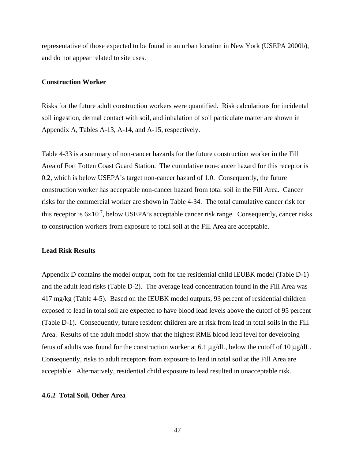representative of those expected to be found in an urban location in New York (USEPA 2000b), and do not appear related to site uses.

### **Construction Worker**

Risks for the future adult construction workers were quantified. Risk calculations for incidental soil ingestion, dermal contact with soil, and inhalation of soil particulate matter are shown in Appendix A, Tables A-13, A-14, and A-15, respectively.

Table 4-33 is a summary of non-cancer hazards for the future construction worker in the Fill Area of Fort Totten Coast Guard Station. The cumulative non-cancer hazard for this receptor is 0.2, which is below USEPA's target non-cancer hazard of 1.0. Consequently, the future construction worker has acceptable non-cancer hazard from total soil in the Fill Area. Cancer risks for the commercial worker are shown in Table 4-34. The total cumulative cancer risk for this receptor is  $6\times10^{-7}$ , below USEPA's acceptable cancer risk range. Consequently, cancer risks to construction workers from exposure to total soil at the Fill Area are acceptable.

### **Lead Risk Results**

Appendix D contains the model output, both for the residential child IEUBK model (Table D-1) and the adult lead risks (Table D-2). The average lead concentration found in the Fill Area was 417 mg/kg (Table 4-5). Based on the IEUBK model outputs, 93 percent of residential children exposed to lead in total soil are expected to have blood lead levels above the cutoff of 95 percent (Table D-1). Consequently, future resident children are at risk from lead in total soils in the Fill Area. Results of the adult model show that the highest RME blood lead level for developing fetus of adults was found for the construction worker at 6.1 μg/dL, below the cutoff of 10 μg/dL. Consequently, risks to adult receptors from exposure to lead in total soil at the Fill Area are acceptable. Alternatively, residential child exposure to lead resulted in unacceptable risk.

# **4.6.2 Total Soil, Other Area**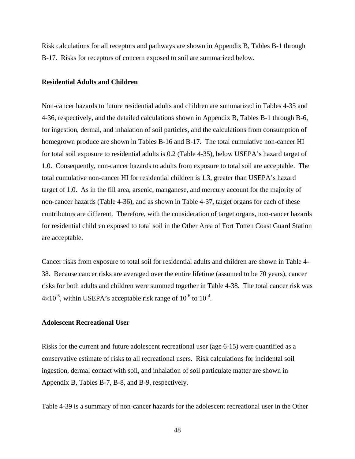Risk calculations for all receptors and pathways are shown in Appendix B, Tables B-1 through B-17. Risks for receptors of concern exposed to soil are summarized below.

## **Residential Adults and Children**

Non-cancer hazards to future residential adults and children are summarized in Tables 4-35 and 4-36, respectively, and the detailed calculations shown in Appendix B, Tables B-1 through B-6, for ingestion, dermal, and inhalation of soil particles, and the calculations from consumption of homegrown produce are shown in Tables B-16 and B-17. The total cumulative non-cancer HI for total soil exposure to residential adults is 0.2 (Table 4-35), below USEPA's hazard target of 1.0. Consequently, non-cancer hazards to adults from exposure to total soil are acceptable. The total cumulative non-cancer HI for residential children is 1.3, greater than USEPA's hazard target of 1.0. As in the fill area, arsenic, manganese, and mercury account for the majority of non-cancer hazards (Table 4-36), and as shown in Table 4-37, target organs for each of these contributors are different. Therefore, with the consideration of target organs, non-cancer hazards for residential children exposed to total soil in the Other Area of Fort Totten Coast Guard Station are acceptable.

Cancer risks from exposure to total soil for residential adults and children are shown in Table 4- 38. Because cancer risks are averaged over the entire lifetime (assumed to be 70 years), cancer risks for both adults and children were summed together in Table 4-38. The total cancer risk was  $4\times10^{-5}$ , within USEPA's acceptable risk range of  $10^{-6}$  to  $10^{-4}$ .

# **Adolescent Recreational User**

Risks for the current and future adolescent recreational user (age 6-15) were quantified as a conservative estimate of risks to all recreational users. Risk calculations for incidental soil ingestion, dermal contact with soil, and inhalation of soil particulate matter are shown in Appendix B, Tables B-7, B-8, and B-9, respectively.

Table 4-39 is a summary of non-cancer hazards for the adolescent recreational user in the Other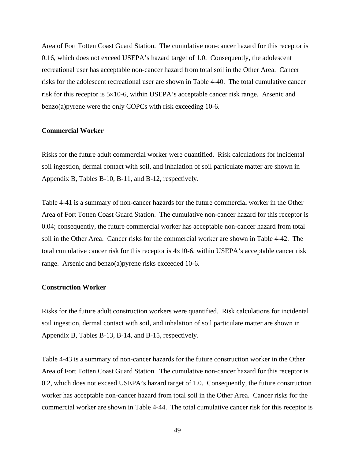Area of Fort Totten Coast Guard Station. The cumulative non-cancer hazard for this receptor is 0.16, which does not exceed USEPA's hazard target of 1.0. Consequently, the adolescent recreational user has acceptable non-cancer hazard from total soil in the Other Area. Cancer risks for the adolescent recreational user are shown in Table 4-40. The total cumulative cancer risk for this receptor is 5×10-6, within USEPA's acceptable cancer risk range. Arsenic and benzo(a)pyrene were the only COPCs with risk exceeding 10-6.

# **Commercial Worker**

Risks for the future adult commercial worker were quantified. Risk calculations for incidental soil ingestion, dermal contact with soil, and inhalation of soil particulate matter are shown in Appendix B, Tables B-10, B-11, and B-12, respectively.

Table 4-41 is a summary of non-cancer hazards for the future commercial worker in the Other Area of Fort Totten Coast Guard Station. The cumulative non-cancer hazard for this receptor is 0.04; consequently, the future commercial worker has acceptable non-cancer hazard from total soil in the Other Area. Cancer risks for the commercial worker are shown in Table 4-42. The total cumulative cancer risk for this receptor is  $4\times10^{-6}$ , within USEPA's acceptable cancer risk range. Arsenic and benzo(a)pyrene risks exceeded 10-6.

# **Construction Worker**

Risks for the future adult construction workers were quantified. Risk calculations for incidental soil ingestion, dermal contact with soil, and inhalation of soil particulate matter are shown in Appendix B, Tables B-13, B-14, and B-15, respectively.

Table 4-43 is a summary of non-cancer hazards for the future construction worker in the Other Area of Fort Totten Coast Guard Station. The cumulative non-cancer hazard for this receptor is 0.2, which does not exceed USEPA's hazard target of 1.0. Consequently, the future construction worker has acceptable non-cancer hazard from total soil in the Other Area. Cancer risks for the commercial worker are shown in Table 4-44. The total cumulative cancer risk for this receptor is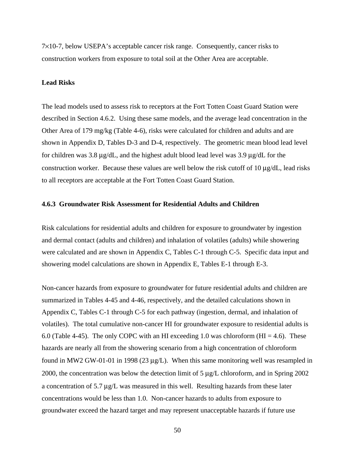7×10-7, below USEPA's acceptable cancer risk range. Consequently, cancer risks to construction workers from exposure to total soil at the Other Area are acceptable.

# **Lead Risks**

The lead models used to assess risk to receptors at the Fort Totten Coast Guard Station were described in Section 4.6.2. Using these same models, and the average lead concentration in the Other Area of 179 mg/kg (Table 4-6), risks were calculated for children and adults and are shown in Appendix D, Tables D-3 and D-4, respectively. The geometric mean blood lead level for children was 3.8 μg/dL, and the highest adult blood lead level was 3.9 μg/dL for the construction worker. Because these values are well below the risk cutoff of 10  $\mu$ g/dL, lead risks to all receptors are acceptable at the Fort Totten Coast Guard Station.

# **4.6.3 Groundwater Risk Assessment for Residential Adults and Children**

Risk calculations for residential adults and children for exposure to groundwater by ingestion and dermal contact (adults and children) and inhalation of volatiles (adults) while showering were calculated and are shown in Appendix C, Tables C-1 through C-5. Specific data input and showering model calculations are shown in Appendix E, Tables E-1 through E-3.

Non-cancer hazards from exposure to groundwater for future residential adults and children are summarized in Tables 4-45 and 4-46, respectively, and the detailed calculations shown in Appendix C, Tables C-1 through C-5 for each pathway (ingestion, dermal, and inhalation of volatiles). The total cumulative non-cancer HI for groundwater exposure to residential adults is 6.0 (Table 4-45). The only COPC with an HI exceeding 1.0 was chloroform (HI = 4.6). These hazards are nearly all from the showering scenario from a high concentration of chloroform found in MW2 GW-01-01 in 1998 (23  $\mu$ g/L). When this same monitoring well was resampled in 2000, the concentration was below the detection limit of 5 μg/L chloroform, and in Spring 2002 a concentration of 5.7  $\mu$ g/L was measured in this well. Resulting hazards from these later concentrations would be less than 1.0. Non-cancer hazards to adults from exposure to groundwater exceed the hazard target and may represent unacceptable hazards if future use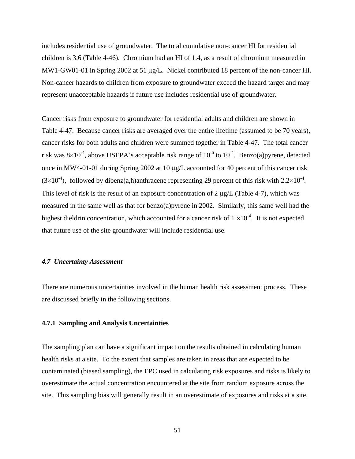includes residential use of groundwater. The total cumulative non-cancer HI for residential children is 3.6 (Table 4-46). Chromium had an HI of 1.4, as a result of chromium measured in MW1-GW01-01 in Spring 2002 at 51 μg/L. Nickel contributed 18 percent of the non-cancer HI. Non-cancer hazards to children from exposure to groundwater exceed the hazard target and may represent unacceptable hazards if future use includes residential use of groundwater.

Cancer risks from exposure to groundwater for residential adults and children are shown in Table 4-47. Because cancer risks are averaged over the entire lifetime (assumed to be 70 years), cancer risks for both adults and children were summed together in Table 4-47. The total cancer risk was  $8\times10^{-4}$ , above USEPA's acceptable risk range of  $10^{-6}$  to  $10^{-4}$ . Benzo(a)pyrene, detected once in MW4-01-01 during Spring 2002 at 10 μg/L accounted for 40 percent of this cancer risk  $(3\times10^{-4})$ , followed by dibenz(a,h)anthracene representing 29 percent of this risk with 2.2×10<sup>-4</sup>. This level of risk is the result of an exposure concentration of  $2 \mu g/L$  (Table 4-7), which was measured in the same well as that for benzo(a)pyrene in 2002. Similarly, this same well had the highest dieldrin concentration, which accounted for a cancer risk of  $1 \times 10^{-4}$ . It is not expected that future use of the site groundwater will include residential use.

# *4.7 Uncertainty Assessment*

There are numerous uncertainties involved in the human health risk assessment process. These are discussed briefly in the following sections.

# **4.7.1 Sampling and Analysis Uncertainties**

The sampling plan can have a significant impact on the results obtained in calculating human health risks at a site. To the extent that samples are taken in areas that are expected to be contaminated (biased sampling), the EPC used in calculating risk exposures and risks is likely to overestimate the actual concentration encountered at the site from random exposure across the site. This sampling bias will generally result in an overestimate of exposures and risks at a site.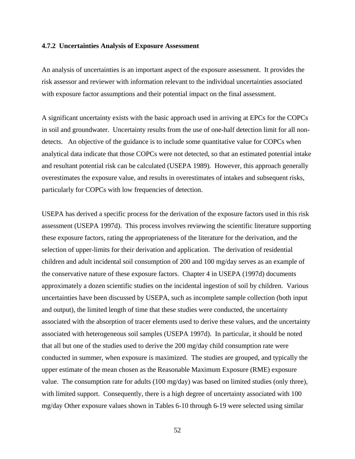### **4.7.2 Uncertainties Analysis of Exposure Assessment**

An analysis of uncertainties is an important aspect of the exposure assessment. It provides the risk assessor and reviewer with information relevant to the individual uncertainties associated with exposure factor assumptions and their potential impact on the final assessment.

A significant uncertainty exists with the basic approach used in arriving at EPCs for the COPCs in soil and groundwater. Uncertainty results from the use of one-half detection limit for all nondetects. An objective of the guidance is to include some quantitative value for COPCs when analytical data indicate that those COPCs were not detected, so that an estimated potential intake and resultant potential risk can be calculated (USEPA 1989). However, this approach generally overestimates the exposure value, and results in overestimates of intakes and subsequent risks, particularly for COPCs with low frequencies of detection.

USEPA has derived a specific process for the derivation of the exposure factors used in this risk assessment (USEPA 1997d). This process involves reviewing the scientific literature supporting these exposure factors, rating the appropriateness of the literature for the derivation, and the selection of upper-limits for their derivation and application. The derivation of residential children and adult incidental soil consumption of 200 and 100 mg/day serves as an example of the conservative nature of these exposure factors. Chapter 4 in USEPA (1997d) documents approximately a dozen scientific studies on the incidental ingestion of soil by children. Various uncertainties have been discussed by USEPA, such as incomplete sample collection (both input and output), the limited length of time that these studies were conducted, the uncertainty associated with the absorption of tracer elements used to derive these values, and the uncertainty associated with heterogeneous soil samples (USEPA 1997d). In particular, it should be noted that all but one of the studies used to derive the 200 mg/day child consumption rate were conducted in summer, when exposure is maximized. The studies are grouped, and typically the upper estimate of the mean chosen as the Reasonable Maximum Exposure (RME) exposure value. The consumption rate for adults (100 mg/day) was based on limited studies (only three), with limited support. Consequently, there is a high degree of uncertainty associated with 100 mg/day Other exposure values shown in Tables 6-10 through 6-19 were selected using similar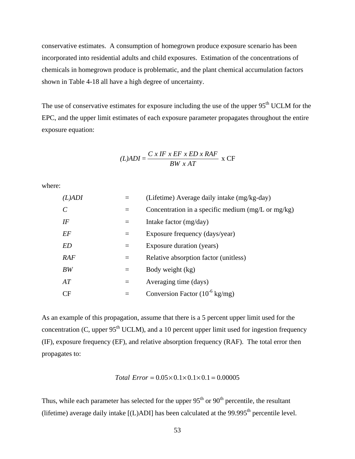conservative estimates. A consumption of homegrown produce exposure scenario has been incorporated into residential adults and child exposures. Estimation of the concentrations of chemicals in homegrown produce is problematic, and the plant chemical accumulation factors shown in Table 4-18 all have a high degree of uncertainty.

The use of conservative estimates for exposure including the use of the upper 95<sup>th</sup> UCLM for the EPC, and the upper limit estimates of each exposure parameter propagates throughout the entire exposure equation:

$$
(L)ADI = \frac{C \times IF \times EF \times ED \times RAF}{BW \times AT} \times CF
$$

where:

| $(L)$ ADI     |     | (Lifetime) Average daily intake (mg/kg-day)                   |
|---------------|-----|---------------------------------------------------------------|
| $\mathcal{C}$ | $=$ | Concentration in a specific medium $(mg/L \text{ or } mg/kg)$ |
| IF            | $=$ | Intake factor (mg/day)                                        |
| EF            | $=$ | Exposure frequency (days/year)                                |
| <i>ED</i>     | $=$ | Exposure duration (years)                                     |
| RAF           | $=$ | Relative absorption factor (unitless)                         |
| BW            | $=$ | Body weight (kg)                                              |
| AT            | $=$ | Averaging time (days)                                         |
| CF            |     | Conversion Factor $(10^{-6} \text{ kg/mg})$                   |

As an example of this propagation, assume that there is a 5 percent upper limit used for the concentration (C, upper  $95<sup>th</sup> UCLM$ ), and a 10 percent upper limit used for ingestion frequency (IF), exposure frequency (EF), and relative absorption frequency (RAF). The total error then propagates to:

*Total*  $Error = 0.05 \times 0.1 \times 0.1 \times 0.1 = 0.00005$ 

Thus, while each parameter has selected for the upper  $95<sup>th</sup>$  or  $90<sup>th</sup>$  percentile, the resultant (lifetime) average daily intake  $[(L)ADI]$  has been calculated at the 99.995<sup>th</sup> percentile level.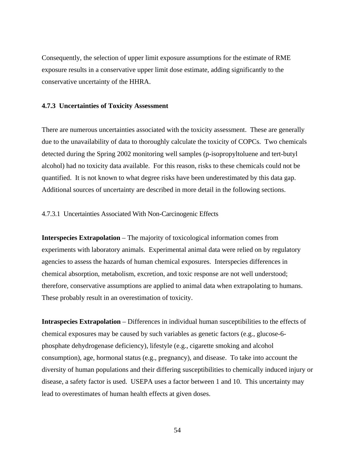Consequently, the selection of upper limit exposure assumptions for the estimate of RME exposure results in a conservative upper limit dose estimate, adding significantly to the conservative uncertainty of the HHRA.

## **4.7.3 Uncertainties of Toxicity Assessment**

There are numerous uncertainties associated with the toxicity assessment. These are generally due to the unavailability of data to thoroughly calculate the toxicity of COPCs. Two chemicals detected during the Spring 2002 monitoring well samples (p-isopropyltoluene and tert-butyl alcohol) had no toxicity data available. For this reason, risks to these chemicals could not be quantified. It is not known to what degree risks have been underestimated by this data gap. Additional sources of uncertainty are described in more detail in the following sections.

# 4.7.3.1 Uncertainties Associated With Non-Carcinogenic Effects

**Interspecies Extrapolation** – The majority of toxicological information comes from experiments with laboratory animals. Experimental animal data were relied on by regulatory agencies to assess the hazards of human chemical exposures. Interspecies differences in chemical absorption, metabolism, excretion, and toxic response are not well understood; therefore, conservative assumptions are applied to animal data when extrapolating to humans. These probably result in an overestimation of toxicity.

**Intraspecies Extrapolation** – Differences in individual human susceptibilities to the effects of chemical exposures may be caused by such variables as genetic factors (e.g., glucose-6 phosphate dehydrogenase deficiency), lifestyle (e.g., cigarette smoking and alcohol consumption), age, hormonal status (e.g., pregnancy), and disease. To take into account the diversity of human populations and their differing susceptibilities to chemically induced injury or disease, a safety factor is used. USEPA uses a factor between 1 and 10. This uncertainty may lead to overestimates of human health effects at given doses.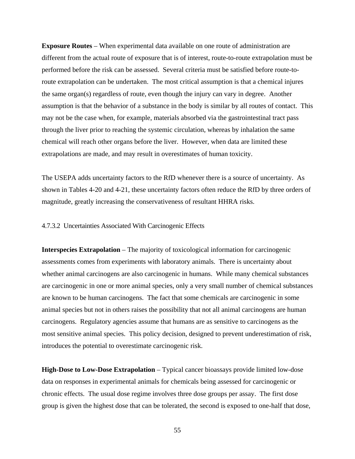**Exposure Routes** – When experimental data available on one route of administration are different from the actual route of exposure that is of interest, route-to-route extrapolation must be performed before the risk can be assessed. Several criteria must be satisfied before route-toroute extrapolation can be undertaken. The most critical assumption is that a chemical injures the same organ(s) regardless of route, even though the injury can vary in degree. Another assumption is that the behavior of a substance in the body is similar by all routes of contact. This may not be the case when, for example, materials absorbed via the gastrointestinal tract pass through the liver prior to reaching the systemic circulation, whereas by inhalation the same chemical will reach other organs before the liver. However, when data are limited these extrapolations are made, and may result in overestimates of human toxicity.

The USEPA adds uncertainty factors to the RfD whenever there is a source of uncertainty. As shown in Tables 4-20 and 4-21, these uncertainty factors often reduce the RfD by three orders of magnitude, greatly increasing the conservativeness of resultant HHRA risks.

4.7.3.2 Uncertainties Associated With Carcinogenic Effects

**Interspecies Extrapolation** – The majority of toxicological information for carcinogenic assessments comes from experiments with laboratory animals. There is uncertainty about whether animal carcinogens are also carcinogenic in humans. While many chemical substances are carcinogenic in one or more animal species, only a very small number of chemical substances are known to be human carcinogens. The fact that some chemicals are carcinogenic in some animal species but not in others raises the possibility that not all animal carcinogens are human carcinogens. Regulatory agencies assume that humans are as sensitive to carcinogens as the most sensitive animal species. This policy decision, designed to prevent underestimation of risk, introduces the potential to overestimate carcinogenic risk.

**High-Dose to Low-Dose Extrapolation** – Typical cancer bioassays provide limited low-dose data on responses in experimental animals for chemicals being assessed for carcinogenic or chronic effects. The usual dose regime involves three dose groups per assay. The first dose group is given the highest dose that can be tolerated, the second is exposed to one-half that dose,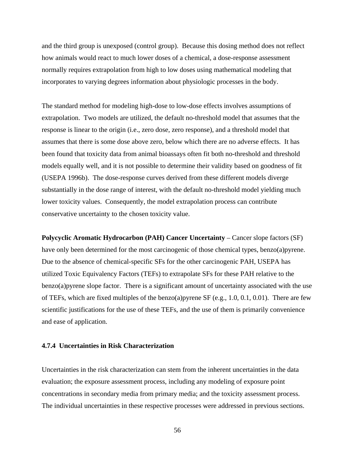and the third group is unexposed (control group). Because this dosing method does not reflect how animals would react to much lower doses of a chemical, a dose-response assessment normally requires extrapolation from high to low doses using mathematical modeling that incorporates to varying degrees information about physiologic processes in the body.

The standard method for modeling high-dose to low-dose effects involves assumptions of extrapolation. Two models are utilized, the default no-threshold model that assumes that the response is linear to the origin (i.e., zero dose, zero response), and a threshold model that assumes that there is some dose above zero, below which there are no adverse effects. It has been found that toxicity data from animal bioassays often fit both no-threshold and threshold models equally well, and it is not possible to determine their validity based on goodness of fit (USEPA 1996b). The dose-response curves derived from these different models diverge substantially in the dose range of interest, with the default no-threshold model yielding much lower toxicity values. Consequently, the model extrapolation process can contribute conservative uncertainty to the chosen toxicity value.

**Polycyclic Aromatic Hydrocarbon (PAH) Cancer Uncertainty** – Cancer slope factors (SF) have only been determined for the most carcinogenic of those chemical types, benzo(a)pyrene. Due to the absence of chemical-specific SFs for the other carcinogenic PAH, USEPA has utilized Toxic Equivalency Factors (TEFs) to extrapolate SFs for these PAH relative to the benzo(a)pyrene slope factor. There is a significant amount of uncertainty associated with the use of TEFs, which are fixed multiples of the benzo(a)pyrene SF (e.g., 1.0, 0.1, 0.01). There are few scientific justifications for the use of these TEFs, and the use of them is primarily convenience and ease of application.

### **4.7.4 Uncertainties in Risk Characterization**

Uncertainties in the risk characterization can stem from the inherent uncertainties in the data evaluation; the exposure assessment process, including any modeling of exposure point concentrations in secondary media from primary media; and the toxicity assessment process. The individual uncertainties in these respective processes were addressed in previous sections.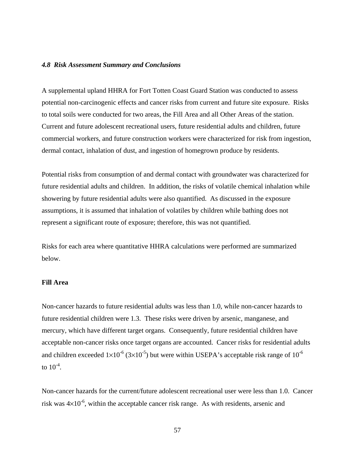## *4.8 Risk Assessment Summary and Conclusions*

A supplemental upland HHRA for Fort Totten Coast Guard Station was conducted to assess potential non-carcinogenic effects and cancer risks from current and future site exposure. Risks to total soils were conducted for two areas, the Fill Area and all Other Areas of the station. Current and future adolescent recreational users, future residential adults and children, future commercial workers, and future construction workers were characterized for risk from ingestion, dermal contact, inhalation of dust, and ingestion of homegrown produce by residents.

Potential risks from consumption of and dermal contact with groundwater was characterized for future residential adults and children. In addition, the risks of volatile chemical inhalation while showering by future residential adults were also quantified. As discussed in the exposure assumptions, it is assumed that inhalation of volatiles by children while bathing does not represent a significant route of exposure; therefore, this was not quantified.

Risks for each area where quantitative HHRA calculations were performed are summarized below.

# **Fill Area**

Non-cancer hazards to future residential adults was less than 1.0, while non-cancer hazards to future residential children were 1.3. These risks were driven by arsenic, manganese, and mercury, which have different target organs. Consequently, future residential children have acceptable non-cancer risks once target organs are accounted. Cancer risks for residential adults and children exceeded  $1\times10^{-6}$  (3 $\times10^{-5}$ ) but were within USEPA's acceptable risk range of 10<sup>-6</sup> to  $10^{-4}$ .

Non-cancer hazards for the current/future adolescent recreational user were less than 1.0. Cancer risk was  $4\times10^{-6}$ , within the acceptable cancer risk range. As with residents, arsenic and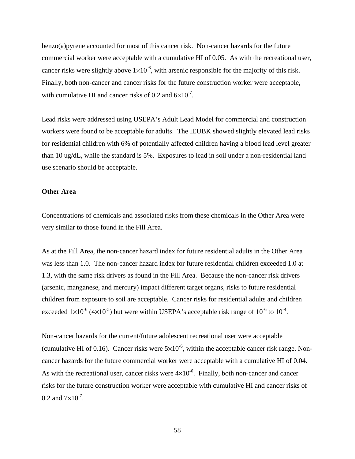benzo(a)pyrene accounted for most of this cancer risk. Non-cancer hazards for the future commercial worker were acceptable with a cumulative HI of 0.05. As with the recreational user, cancer risks were slightly above  $1\times10^{-6}$ , with arsenic responsible for the majority of this risk. Finally, both non-cancer and cancer risks for the future construction worker were acceptable, with cumulative HI and cancer risks of 0.2 and  $6\times10^{-7}$ .

Lead risks were addressed using USEPA's Adult Lead Model for commercial and construction workers were found to be acceptable for adults. The IEUBK showed slightly elevated lead risks for residential children with 6% of potentially affected children having a blood lead level greater than 10 ug/dL, while the standard is 5%. Exposures to lead in soil under a non-residential land use scenario should be acceptable.

# **Other Area**

Concentrations of chemicals and associated risks from these chemicals in the Other Area were very similar to those found in the Fill Area.

As at the Fill Area, the non-cancer hazard index for future residential adults in the Other Area was less than 1.0. The non-cancer hazard index for future residential children exceeded 1.0 at 1.3, with the same risk drivers as found in the Fill Area. Because the non-cancer risk drivers (arsenic, manganese, and mercury) impact different target organs, risks to future residential children from exposure to soil are acceptable. Cancer risks for residential adults and children exceeded  $1\times10^{-6}$  (4 $\times10^{-5}$ ) but were within USEPA's acceptable risk range of  $10^{-6}$  to  $10^{-4}$ .

Non-cancer hazards for the current/future adolescent recreational user were acceptable (cumulative HI of 0.16). Cancer risks were  $5\times10^{-6}$ , within the acceptable cancer risk range. Noncancer hazards for the future commercial worker were acceptable with a cumulative HI of 0.04. As with the recreational user, cancer risks were  $4\times10^{-6}$ . Finally, both non-cancer and cancer risks for the future construction worker were acceptable with cumulative HI and cancer risks of 0.2 and  $7 \times 10^{-7}$ .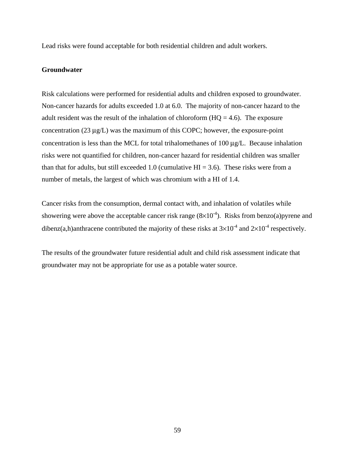Lead risks were found acceptable for both residential children and adult workers.

# **Groundwater**

Risk calculations were performed for residential adults and children exposed to groundwater. Non-cancer hazards for adults exceeded 1.0 at 6.0. The majority of non-cancer hazard to the adult resident was the result of the inhalation of chloroform  $(HQ = 4.6)$ . The exposure concentration (23 μg/L) was the maximum of this COPC; however, the exposure-point concentration is less than the MCL for total trihalomethanes of 100 μg/L. Because inhalation risks were not quantified for children, non-cancer hazard for residential children was smaller than that for adults, but still exceeded 1.0 (cumulative  $HI = 3.6$ ). These risks were from a number of metals, the largest of which was chromium with a HI of 1.4.

Cancer risks from the consumption, dermal contact with, and inhalation of volatiles while showering were above the acceptable cancer risk range  $(8\times10^{-4})$ . Risks from benzo(a)pyrene and dibenz(a,h)anthracene contributed the majority of these risks at  $3\times10^{-4}$  and  $2\times10^{-4}$  respectively.

The results of the groundwater future residential adult and child risk assessment indicate that groundwater may not be appropriate for use as a potable water source.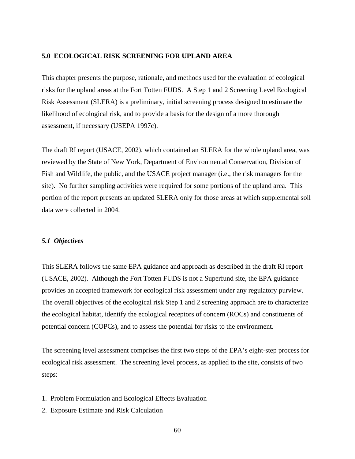#### **5.0 ECOLOGICAL RISK SCREENING FOR UPLAND AREA**

This chapter presents the purpose, rationale, and methods used for the evaluation of ecological risks for the upland areas at the Fort Totten FUDS. A Step 1 and 2 Screening Level Ecological Risk Assessment (SLERA) is a preliminary, initial screening process designed to estimate the likelihood of ecological risk, and to provide a basis for the design of a more thorough assessment, if necessary (USEPA 1997c).

The draft RI report (USACE, 2002), which contained an SLERA for the whole upland area, was reviewed by the State of New York, Department of Environmental Conservation, Division of Fish and Wildlife, the public, and the USACE project manager (i.e., the risk managers for the site). No further sampling activities were required for some portions of the upland area. This portion of the report presents an updated SLERA only for those areas at which supplemental soil data were collected in 2004.

# *5.1 Objectives*

This SLERA follows the same EPA guidance and approach as described in the draft RI report (USACE, 2002). Although the Fort Totten FUDS is not a Superfund site, the EPA guidance provides an accepted framework for ecological risk assessment under any regulatory purview. The overall objectives of the ecological risk Step 1 and 2 screening approach are to characterize the ecological habitat, identify the ecological receptors of concern (ROCs) and constituents of potential concern (COPCs), and to assess the potential for risks to the environment.

The screening level assessment comprises the first two steps of the EPA's eight-step process for ecological risk assessment. The screening level process, as applied to the site, consists of two steps:

- 1. Problem Formulation and Ecological Effects Evaluation
- 2. Exposure Estimate and Risk Calculation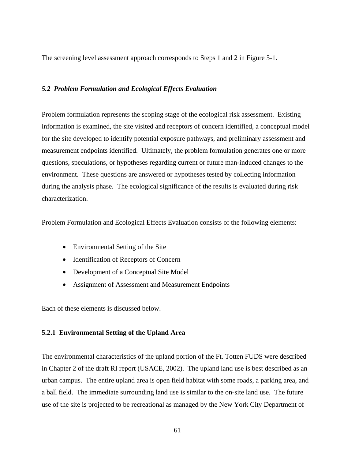The screening level assessment approach corresponds to Steps 1 and 2 in Figure 5-1.

# *5.2 Problem Formulation and Ecological Effects Evaluation*

Problem formulation represents the scoping stage of the ecological risk assessment. Existing information is examined, the site visited and receptors of concern identified, a conceptual model for the site developed to identify potential exposure pathways, and preliminary assessment and measurement endpoints identified. Ultimately, the problem formulation generates one or more questions, speculations, or hypotheses regarding current or future man-induced changes to the environment. These questions are answered or hypotheses tested by collecting information during the analysis phase. The ecological significance of the results is evaluated during risk characterization.

Problem Formulation and Ecological Effects Evaluation consists of the following elements:

- Environmental Setting of the Site
- Identification of Receptors of Concern
- Development of a Conceptual Site Model
- Assignment of Assessment and Measurement Endpoints

Each of these elements is discussed below.

# **5.2.1 Environmental Setting of the Upland Area**

The environmental characteristics of the upland portion of the Ft. Totten FUDS were described in Chapter 2 of the draft RI report (USACE, 2002). The upland land use is best described as an urban campus. The entire upland area is open field habitat with some roads, a parking area, and a ball field. The immediate surrounding land use is similar to the on-site land use. The future use of the site is projected to be recreational as managed by the New York City Department of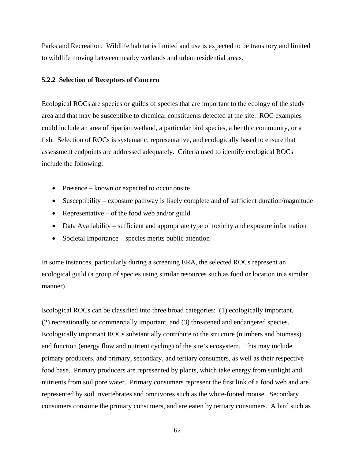Parks and Recreation. Wildlife habitat is limited and use is expected to be transitory and limited to wildlife moving between nearby wetlands and urban residential areas.

# **5.2.2 Selection of Receptors of Concern**

Ecological ROCs are species or guilds of species that are important to the ecology of the study area and that may be susceptible to chemical constituents detected at the site. ROC examples could include an area of riparian wetland, a particular bird species, a benthic community, or a fish. Selection of ROCs is systematic, representative, and ecologically based to ensure that assessment endpoints are addressed adequately. Criteria used to identify ecological ROCs include the following:

- Presence known or expected to occur onsite
- Susceptibility exposure pathway is likely complete and of sufficient duration/magnitude
- Representative of the food web and/or guild
- Data Availability sufficient and appropriate type of toxicity and exposure information
- Societal Importance species merits public attention

In some instances, particularly during a screening ERA, the selected ROCs represent an ecological guild (a group of species using similar resources such as food or location in a similar manner).

Ecological ROCs can be classified into three broad categories: (1) ecologically important, (2) recreationally or commercially important, and (3) threatened and endangered species. Ecologically important ROCs substantially contribute to the structure (numbers and biomass) and function (energy flow and nutrient cycling) of the site's ecosystem. This may include primary producers, and primary, secondary, and tertiary consumers, as well as their respective food base. Primary producers are represented by plants, which take energy from sunlight and nutrients from soil pore water. Primary consumers represent the first link of a food web and are represented by soil invertebrates and omnivores such as the white-footed mouse. Secondary consumers consume the primary consumers, and are eaten by tertiary consumers. A bird such as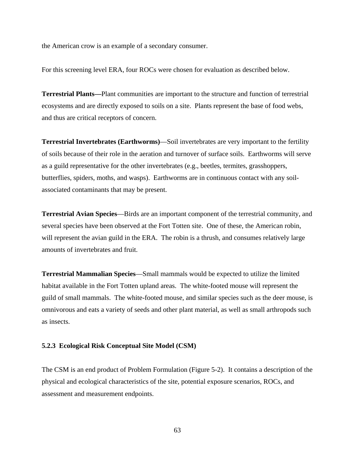the American crow is an example of a secondary consumer.

For this screening level ERA, four ROCs were chosen for evaluation as described below.

**Terrestrial Plants—**Plant communities are important to the structure and function of terrestrial ecosystems and are directly exposed to soils on a site. Plants represent the base of food webs, and thus are critical receptors of concern.

**Terrestrial Invertebrates (Earthworms)**—Soil invertebrates are very important to the fertility of soils because of their role in the aeration and turnover of surface soils. Earthworms will serve as a guild representative for the other invertebrates (e.g., beetles, termites, grasshoppers, butterflies, spiders, moths, and wasps). Earthworms are in continuous contact with any soilassociated contaminants that may be present.

**Terrestrial Avian Species**—Birds are an important component of the terrestrial community, and several species have been observed at the Fort Totten site. One of these, the American robin, will represent the avian guild in the ERA. The robin is a thrush, and consumes relatively large amounts of invertebrates and fruit.

**Terrestrial Mammalian Species**—Small mammals would be expected to utilize the limited habitat available in the Fort Totten upland areas. The white-footed mouse will represent the guild of small mammals. The white-footed mouse, and similar species such as the deer mouse, is omnivorous and eats a variety of seeds and other plant material, as well as small arthropods such as insects.

#### **5.2.3 Ecological Risk Conceptual Site Model (CSM)**

The CSM is an end product of Problem Formulation (Figure 5-2). It contains a description of the physical and ecological characteristics of the site, potential exposure scenarios, ROCs, and assessment and measurement endpoints.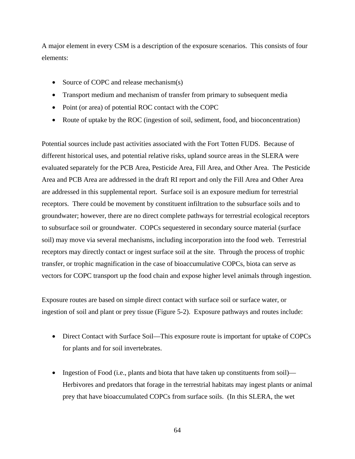A major element in every CSM is a description of the exposure scenarios. This consists of four elements:

- Source of COPC and release mechanism(s)
- Transport medium and mechanism of transfer from primary to subsequent media
- Point (or area) of potential ROC contact with the COPC
- Route of uptake by the ROC (ingestion of soil, sediment, food, and bioconcentration)

Potential sources include past activities associated with the Fort Totten FUDS. Because of different historical uses, and potential relative risks, upland source areas in the SLERA were evaluated separately for the PCB Area, Pesticide Area, Fill Area, and Other Area. The Pesticide Area and PCB Area are addressed in the draft RI report and only the Fill Area and Other Area are addressed in this supplemental report. Surface soil is an exposure medium for terrestrial receptors. There could be movement by constituent infiltration to the subsurface soils and to groundwater; however, there are no direct complete pathways for terrestrial ecological receptors to subsurface soil or groundwater. COPCs sequestered in secondary source material (surface soil) may move via several mechanisms, including incorporation into the food web. Terrestrial receptors may directly contact or ingest surface soil at the site. Through the process of trophic transfer, or trophic magnification in the case of bioaccumulative COPCs, biota can serve as vectors for COPC transport up the food chain and expose higher level animals through ingestion.

Exposure routes are based on simple direct contact with surface soil or surface water, or ingestion of soil and plant or prey tissue (Figure 5-2). Exposure pathways and routes include:

- Direct Contact with Surface Soil—This exposure route is important for uptake of COPCs for plants and for soil invertebrates.
- Ingestion of Food (i.e., plants and biota that have taken up constituents from soil)— Herbivores and predators that forage in the terrestrial habitats may ingest plants or animal prey that have bioaccumulated COPCs from surface soils. (In this SLERA, the wet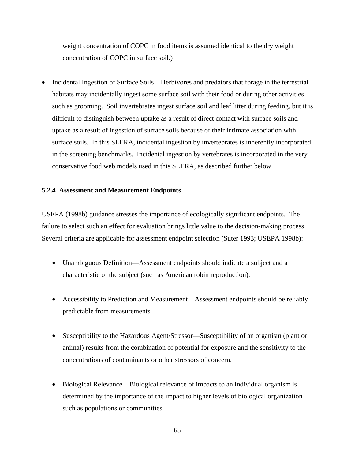weight concentration of COPC in food items is assumed identical to the dry weight concentration of COPC in surface soil.)

• Incidental Ingestion of Surface Soils—Herbivores and predators that forage in the terrestrial habitats may incidentally ingest some surface soil with their food or during other activities such as grooming. Soil invertebrates ingest surface soil and leaf litter during feeding, but it is difficult to distinguish between uptake as a result of direct contact with surface soils and uptake as a result of ingestion of surface soils because of their intimate association with surface soils. In this SLERA, incidental ingestion by invertebrates is inherently incorporated in the screening benchmarks. Incidental ingestion by vertebrates is incorporated in the very conservative food web models used in this SLERA, as described further below.

# **5.2.4 Assessment and Measurement Endpoints**

USEPA (1998b) guidance stresses the importance of ecologically significant endpoints. The failure to select such an effect for evaluation brings little value to the decision-making process. Several criteria are applicable for assessment endpoint selection (Suter 1993; USEPA 1998b):

- Unambiguous Definition—Assessment endpoints should indicate a subject and a characteristic of the subject (such as American robin reproduction).
- Accessibility to Prediction and Measurement—Assessment endpoints should be reliably predictable from measurements.
- Susceptibility to the Hazardous Agent/Stressor—Susceptibility of an organism (plant or animal) results from the combination of potential for exposure and the sensitivity to the concentrations of contaminants or other stressors of concern.
- Biological Relevance—Biological relevance of impacts to an individual organism is determined by the importance of the impact to higher levels of biological organization such as populations or communities.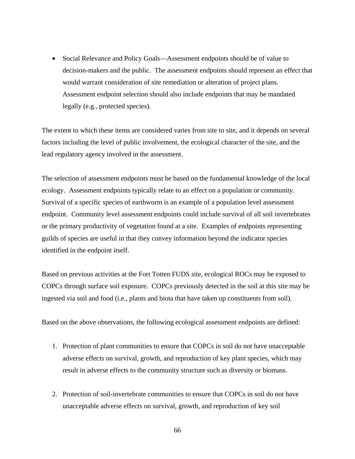• Social Relevance and Policy Goals—Assessment endpoints should be of value to decision-makers and the public. The assessment endpoints should represent an effect that would warrant consideration of site remediation or alteration of project plans. Assessment endpoint selection should also include endpoints that may be mandated legally (e.g., protected species).

The extent to which these items are considered varies from site to site, and it depends on several factors including the level of public involvement, the ecological character of the site, and the lead regulatory agency involved in the assessment.

The selection of assessment endpoints must be based on the fundamental knowledge of the local ecology. Assessment endpoints typically relate to an effect on a population or community. Survival of a specific species of earthworm is an example of a population level assessment endpoint. Community level assessment endpoints could include survival of all soil invertebrates or the primary productivity of vegetation found at a site. Examples of endpoints representing guilds of species are useful in that they convey information beyond the indicator species identified in the endpoint itself.

Based on previous activities at the Fort Totten FUDS site, ecological ROCs may be exposed to COPCs through surface soil exposure. COPCs previously detected in the soil at this site may be ingested via soil and food (i.e., plants and biota that have taken up constituents from soil).

Based on the above observations, the following ecological assessment endpoints are defined:

- 1. Protection of plant communities to ensure that COPCs in soil do not have unacceptable adverse effects on survival, growth, and reproduction of key plant species, which may result in adverse effects to the community structure such as diversity or biomass.
- 2. Protection of soil-invertebrate communities to ensure that COPCs in soil do not have unacceptable adverse effects on survival, growth, and reproduction of key soil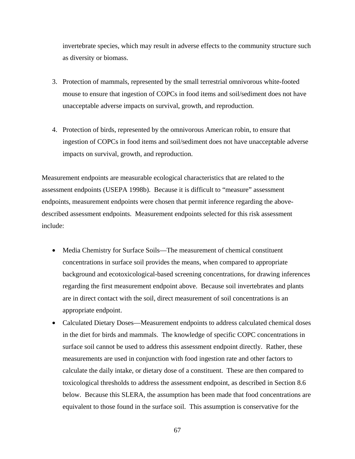invertebrate species, which may result in adverse effects to the community structure such as diversity or biomass.

- 3. Protection of mammals, represented by the small terrestrial omnivorous white-footed mouse to ensure that ingestion of COPCs in food items and soil/sediment does not have unacceptable adverse impacts on survival, growth, and reproduction.
- 4. Protection of birds, represented by the omnivorous American robin, to ensure that ingestion of COPCs in food items and soil/sediment does not have unacceptable adverse impacts on survival, growth, and reproduction.

Measurement endpoints are measurable ecological characteristics that are related to the assessment endpoints (USEPA 1998b). Because it is difficult to "measure" assessment endpoints, measurement endpoints were chosen that permit inference regarding the abovedescribed assessment endpoints. Measurement endpoints selected for this risk assessment include:

- Media Chemistry for Surface Soils—The measurement of chemical constituent concentrations in surface soil provides the means, when compared to appropriate background and ecotoxicological-based screening concentrations, for drawing inferences regarding the first measurement endpoint above. Because soil invertebrates and plants are in direct contact with the soil, direct measurement of soil concentrations is an appropriate endpoint.
- Calculated Dietary Doses—Measurement endpoints to address calculated chemical doses in the diet for birds and mammals. The knowledge of specific COPC concentrations in surface soil cannot be used to address this assessment endpoint directly. Rather, these measurements are used in conjunction with food ingestion rate and other factors to calculate the daily intake, or dietary dose of a constituent. These are then compared to toxicological thresholds to address the assessment endpoint, as described in Section 8.6 below. Because this SLERA, the assumption has been made that food concentrations are equivalent to those found in the surface soil. This assumption is conservative for the

67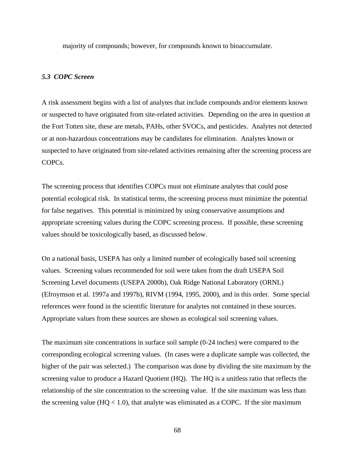majority of compounds; however, for compounds known to bioaccumulate.

# *5.3 COPC Screen*

A risk assessment begins with a list of analytes that include compounds and/or elements known or suspected to have originated from site-related activities. Depending on the area in question at the Fort Totten site, these are metals, PAHs, other SVOCs, and pesticides. Analytes not detected or at non-hazardous concentrations may be candidates for elimination. Analytes known or suspected to have originated from site-related activities remaining after the screening process are COPCs.

The screening process that identifies COPCs must not eliminate analytes that could pose potential ecological risk. In statistical terms, the screening process must minimize the potential for false negatives. This potential is minimized by using conservative assumptions and appropriate screening values during the COPC screening process. If possible, these screening values should be toxicologically based, as discussed below.

On a national basis, USEPA has only a limited number of ecologically based soil screening values. Screening values recommended for soil were taken from the draft USEPA Soil Screening Level documents (USEPA 2000b), Oak Ridge National Laboratory (ORNL) (Efroymson et al. 1997a and 1997b), RIVM (1994, 1995, 2000), and in this order. Some special references were found in the scientific literature for analytes not contained in these sources. Appropriate values from these sources are shown as ecological soil screening values.

The maximum site concentrations in surface soil sample (0-24 inches) were compared to the corresponding ecological screening values. (In cases were a duplicate sample was collected, the higher of the pair was selected.) The comparison was done by dividing the site maximum by the screening value to produce a Hazard Quotient (HQ). The HQ is a unitless ratio that reflects the relationship of the site concentration to the screening value. If the site maximum was less than the screening value  $(HQ < 1.0)$ , that analyte was eliminated as a COPC. If the site maximum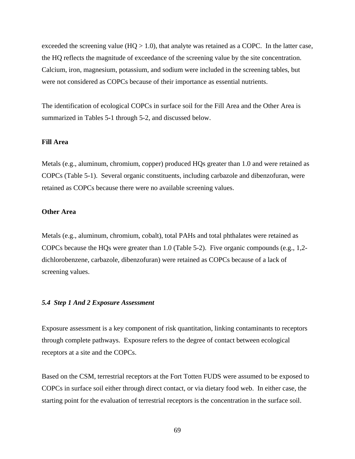exceeded the screening value ( $HQ > 1.0$ ), that analyte was retained as a COPC. In the latter case, the HQ reflects the magnitude of exceedance of the screening value by the site concentration. Calcium, iron, magnesium, potassium, and sodium were included in the screening tables, but were not considered as COPCs because of their importance as essential nutrients.

The identification of ecological COPCs in surface soil for the Fill Area and the Other Area is summarized in Tables 5**-**1 through 5-2, and discussed below.

# **Fill Area**

Metals (e.g., aluminum, chromium, copper) produced HQs greater than 1.0 and were retained as COPCs (Table 5-1). Several organic constituents, including carbazole and dibenzofuran, were retained as COPCs because there were no available screening values.

# **Other Area**

Metals (e.g., aluminum, chromium, cobalt), total PAHs and total phthalates were retained as COPCs because the HQs were greater than 1.0 (Table 5-2). Five organic compounds (e.g., 1,2 dichlorobenzene, carbazole, dibenzofuran) were retained as COPCs because of a lack of screening values.

### *5.4 Step 1 And 2 Exposure Assessment*

Exposure assessment is a key component of risk quantitation, linking contaminants to receptors through complete pathways. Exposure refers to the degree of contact between ecological receptors at a site and the COPCs.

Based on the CSM, terrestrial receptors at the Fort Totten FUDS were assumed to be exposed to COPCs in surface soil either through direct contact, or via dietary food web. In either case, the starting point for the evaluation of terrestrial receptors is the concentration in the surface soil.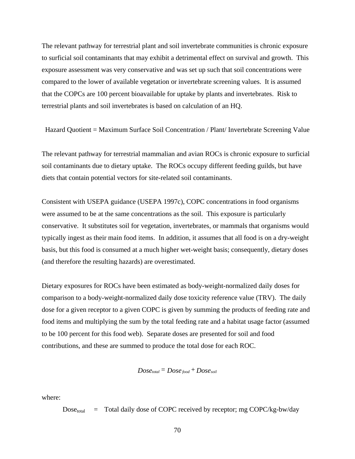The relevant pathway for terrestrial plant and soil invertebrate communities is chronic exposure to surficial soil contaminants that may exhibit a detrimental effect on survival and growth. This exposure assessment was very conservative and was set up such that soil concentrations were compared to the lower of available vegetation or invertebrate screening values. It is assumed that the COPCs are 100 percent bioavailable for uptake by plants and invertebrates. Risk to terrestrial plants and soil invertebrates is based on calculation of an HQ.

Hazard Quotient = Maximum Surface Soil Concentration / Plant/ Invertebrate Screening Value

The relevant pathway for terrestrial mammalian and avian ROCs is chronic exposure to surficial soil contaminants due to dietary uptake. The ROCs occupy different feeding guilds, but have diets that contain potential vectors for site-related soil contaminants.

Consistent with USEPA guidance (USEPA 1997c), COPC concentrations in food organisms were assumed to be at the same concentrations as the soil. This exposure is particularly conservative. It substitutes soil for vegetation, invertebrates, or mammals that organisms would typically ingest as their main food items. In addition, it assumes that all food is on a dry-weight basis, but this food is consumed at a much higher wet-weight basis; consequently, dietary doses (and therefore the resulting hazards) are overestimated.

Dietary exposures for ROCs have been estimated as body-weight-normalized daily doses for comparison to a body-weight-normalized daily dose toxicity reference value (TRV). The daily dose for a given receptor to a given COPC is given by summing the products of feeding rate and food items and multiplying the sum by the total feeding rate and a habitat usage factor (assumed to be 100 percent for this food web). Separate doses are presented for soil and food contributions, and these are summed to produce the total dose for each ROC.

# $Dose_{total} = Doese_{food} + Doese_{soil}$

where:

 $Dose_{total}$  = Total daily dose of COPC received by receptor; mg COPC/kg-bw/day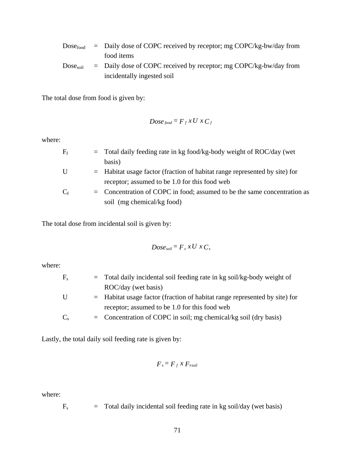| $\mathrm{Dose}_{\mathrm{food}}$ | $=$ Daily dose of COPC received by receptor; mg COPC/kg-bw/day from |
|---------------------------------|---------------------------------------------------------------------|
|                                 | food items                                                          |
| $\mathrm{Dose}_{\mathrm{soil}}$ | $=$ Daily dose of COPC received by receptor; mg COPC/kg-bw/day from |
|                                 | incidentally ingested soil                                          |

The total dose from food is given by:

$$
Dose_{food} = F_f x U x C_f
$$

where:

| $\rm F_f$        | $=$ Total daily feeding rate in kg food/kg-body weight of ROC/day (wet       |  |
|------------------|------------------------------------------------------------------------------|--|
|                  | basis)                                                                       |  |
| U                | $=$ Habitat usage factor (fraction of habitat range represented by site) for |  |
|                  | receptor; assumed to be 1.0 for this food web                                |  |
| $\mathrm{C_{f}}$ | $=$ Concentration of COPC in food; assumed to be the same concentration as   |  |
|                  | soil (mg chemical/kg food)                                                   |  |
|                  |                                                                              |  |

The total dose from incidental soil is given by:

$$
Dose_{soil} = F_s x U x C_s
$$

where:

| $\rm{F}_{s}$ | $=$ Total daily incidental soil feeding rate in kg soil/kg-body weight of    |  |
|--------------|------------------------------------------------------------------------------|--|
|              | ROC/day (wet basis)                                                          |  |
| U            | $=$ Habitat usage factor (fraction of habitat range represented by site) for |  |
|              | receptor; assumed to be 1.0 for this food web                                |  |
| $C_{s}$      | $=$ Concentration of COPC in soil; mg chemical/kg soil (dry basis)           |  |

Lastly, the total daily soil feeding rate is given by:

$$
F_s = F_f \times F_{xsoil}
$$

where:

 $F_s$  = Total daily incidental soil feeding rate in kg soil/day (wet basis)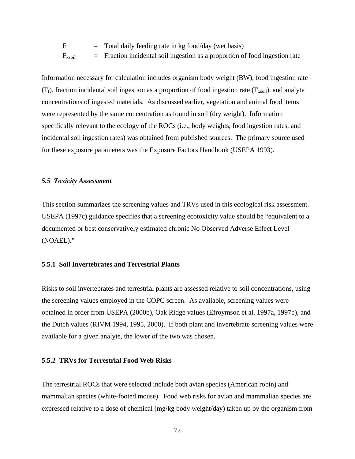$F_f$  = Total daily feeding rate in kg food/day (wet basis)  $F_{xsoil}$  = Fraction incidental soil ingestion as a proportion of food ingestion rate

Information necessary for calculation includes organism body weight (BW), food ingestion rate  $(F_f)$ , fraction incidental soil ingestion as a proportion of food ingestion rate  $(F_{xsoil})$ , and analyte concentrations of ingested materials. As discussed earlier, vegetation and animal food items were represented by the same concentration as found in soil (dry weight). Information specifically relevant to the ecology of the ROCs (i.e., body weights, food ingestion rates, and incidental soil ingestion rates) was obtained from published sources. The primary source used for these exposure parameters was the Exposure Factors Handbook (USEPA 1993).

#### *5.5 Toxicity Assessment*

This section summarizes the screening values and TRVs used in this ecological risk assessment. USEPA (1997c) guidance specifies that a screening ecotoxicity value should be "equivalent to a documented or best conservatively estimated chronic No Observed Adverse Effect Level (NOAEL)."

# **5.5.1 Soil Invertebrates and Terrestrial Plants**

Risks to soil invertebrates and terrestrial plants are assessed relative to soil concentrations, using the screening values employed in the COPC screen. As available, screening values were obtained in order from USEPA (2000b), Oak Ridge values (Efroymson et al. 1997a, 1997b), and the Dutch values (RIVM 1994, 1995, 2000). If both plant and invertebrate screening values were available for a given analyte, the lower of the two was chosen.

# **5.5.2 TRVs for Terrestrial Food Web Risks**

The terrestrial ROCs that were selected include both avian species (American robin) and mammalian species (white-footed mouse). Food web risks for avian and mammalian species are expressed relative to a dose of chemical (mg/kg body weight/day) taken up by the organism from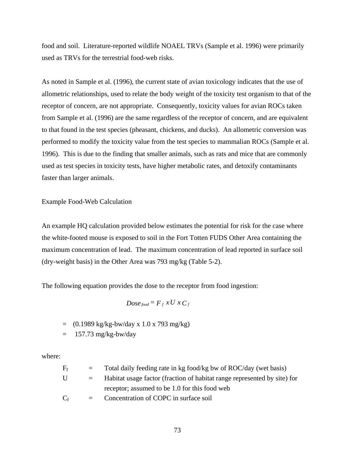food and soil. Literature-reported wildlife NOAEL TRVs (Sample et al. 1996) were primarily used as TRVs for the terrestrial food-web risks.

As noted in Sample et al. (1996), the current state of avian toxicology indicates that the use of allometric relationships, used to relate the body weight of the toxicity test organism to that of the receptor of concern, are not appropriate. Consequently, toxicity values for avian ROCs taken from Sample et al. (1996) are the same regardless of the receptor of concern, and are equivalent to that found in the test species (pheasant, chickens, and ducks). An allometric conversion was performed to modify the toxicity value from the test species to mammalian ROCs (Sample et al. 1996). This is due to the finding that smaller animals, such as rats and mice that are commonly used as test species in toxicity tests, have higher metabolic rates, and detoxify contaminants faster than larger animals.

Example Food-Web Calculation

An example HQ calculation provided below estimates the potential for risk for the case where the white-footed mouse is exposed to soil in the Fort Totten FUDS Other Area containing the maximum concentration of lead. The maximum concentration of lead reported in surface soil (dry-weight basis) in the Other Area was 793 mg/kg (Table 5-2).

The following equation provides the dose to the receptor from food ingestion:

$$
Dose_{food} = F_f x U x C_f
$$

 $=$  (0.1989 kg/kg-bw/day x 1.0 x 793 mg/kg)

 $=$  157.73 mg/kg-bw/day

where:

| $F_f$ | $=$ $-$  | Total daily feeding rate in kg food/kg bw of ROC/day (wet basis)         |
|-------|----------|--------------------------------------------------------------------------|
| U     | $\equiv$ | Habitat usage factor (fraction of habitat range represented by site) for |
|       |          | receptor; assumed to be 1.0 for this food web                            |
| $C_f$ |          | Concentration of COPC in surface soil                                    |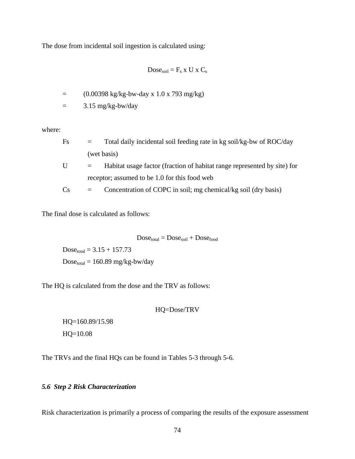The dose from incidental soil ingestion is calculated using:

$$
Dose_{soil} = F_s \times U \times C_s
$$

 $=$  (0.00398 kg/kg-bw-day x 1.0 x 793 mg/kg)

 $=$  3.15 mg/kg-bw/day

where:

| Fs | $\equiv$                                      | Total daily incidental soil feeding rate in kg soil/kg-bw of ROC/day     |
|----|-----------------------------------------------|--------------------------------------------------------------------------|
|    |                                               | (wet basis)                                                              |
| U  | $=$                                           | Habitat usage factor (fraction of habitat range represented by site) for |
|    | receptor; assumed to be 1.0 for this food web |                                                                          |
| Cs |                                               | Concentration of COPC in soil; mg chemical/kg soil (dry basis)           |

The final dose is calculated as follows:

 $Dose_{total} = Does_{solid} + Does_{food}$ 

 $Dose_{total} = 3.15 + 157.73$  $Dose<sub>total</sub> = 160.89 mg/kg-bw/day$ 

The HQ is calculated from the dose and the TRV as follows:

HQ=Dose/TRV

 HQ=160.89/15.98 HQ=10.08

The TRVs and the final HQs can be found in Tables 5-3 through 5-6.

# *5.6 Step 2 Risk Characterization*

Risk characterization is primarily a process of comparing the results of the exposure assessment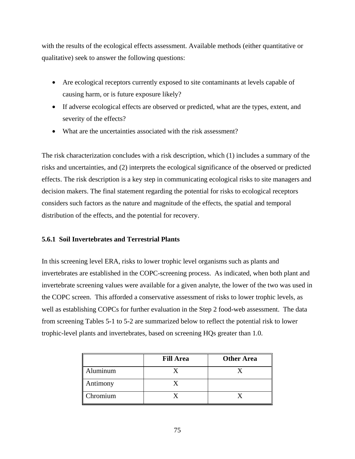with the results of the ecological effects assessment. Available methods (either quantitative or qualitative) seek to answer the following questions:

- Are ecological receptors currently exposed to site contaminants at levels capable of causing harm, or is future exposure likely?
- If adverse ecological effects are observed or predicted, what are the types, extent, and severity of the effects?
- What are the uncertainties associated with the risk assessment?

The risk characterization concludes with a risk description, which (1) includes a summary of the risks and uncertainties, and (2) interprets the ecological significance of the observed or predicted effects. The risk description is a key step in communicating ecological risks to site managers and decision makers. The final statement regarding the potential for risks to ecological receptors considers such factors as the nature and magnitude of the effects, the spatial and temporal distribution of the effects, and the potential for recovery.

# **5.6.1 Soil Invertebrates and Terrestrial Plants**

In this screening level ERA, risks to lower trophic level organisms such as plants and invertebrates are established in the COPC-screening process. As indicated, when both plant and invertebrate screening values were available for a given analyte, the lower of the two was used in the COPC screen. This afforded a conservative assessment of risks to lower trophic levels, as well as establishing COPCs for further evaluation in the Step 2 food-web assessment. The data from screening Tables 5-1 to 5-2 are summarized below to reflect the potential risk to lower trophic-level plants and invertebrates, based on screening HQs greater than 1.0.

|          | <b>Fill Area</b> | <b>Other Area</b> |
|----------|------------------|-------------------|
| Aluminum |                  |                   |
| Antimony |                  |                   |
| Chromium |                  |                   |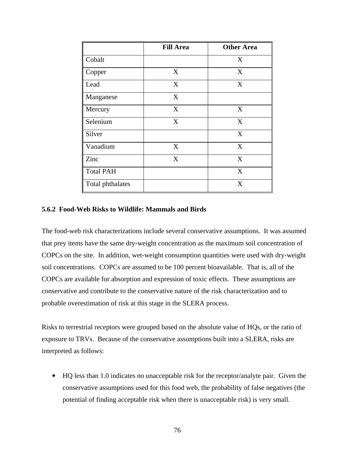|                  | <b>Fill Area</b> | <b>Other Area</b> |
|------------------|------------------|-------------------|
| Cobalt           |                  | X                 |
| Copper           | X                | X                 |
| Lead             | $\mathbf X$      | X                 |
| Manganese        | X                |                   |
| Mercury          | X                | X                 |
| Selenium         | X                | X                 |
| Silver           |                  | X                 |
| Vanadium         | X                | X                 |
| Zinc             | $\mathbf X$      | X                 |
| <b>Total PAH</b> |                  | X                 |
| Total phthalates |                  | X                 |

# **5.6.2 Food-Web Risks to Wildlife: Mammals and Birds**

The food-web risk characterizations include several conservative assumptions. It was assumed that prey items have the same dry-weight concentration as the maximum soil concentration of COPCs on the site. In addition, wet-weight consumption quantities were used with dry-weight soil concentrations. COPCs are assumed to be 100 percent bioavailable. That is, all of the COPCs are available for absorption and expression of toxic effects. These assumptions are conservative and contribute to the conservative nature of the risk characterization and to probable overestimation of risk at this stage in the SLERA process.

Risks to terrestrial receptors were grouped based on the absolute value of HQs, or the ratio of exposure to TRVs. Because of the conservative assumptions built into a SLERA, risks are interpreted as follows:

• HQ less than 1.0 indicates no unacceptable risk for the receptor/analyte pair. Given the conservative assumptions used for this food web, the probability of false negatives (the potential of finding acceptable risk when there is unacceptable risk) is very small.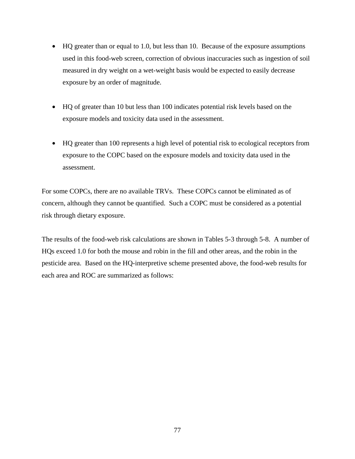- HQ greater than or equal to 1.0, but less than 10. Because of the exposure assumptions used in this food-web screen, correction of obvious inaccuracies such as ingestion of soil measured in dry weight on a wet-weight basis would be expected to easily decrease exposure by an order of magnitude.
- HQ of greater than 10 but less than 100 indicates potential risk levels based on the exposure models and toxicity data used in the assessment.
- HQ greater than 100 represents a high level of potential risk to ecological receptors from exposure to the COPC based on the exposure models and toxicity data used in the assessment.

For some COPCs, there are no available TRVs. These COPCs cannot be eliminated as of concern, although they cannot be quantified. Such a COPC must be considered as a potential risk through dietary exposure.

The results of the food-web risk calculations are shown in Tables 5-3 through 5-8. A number of HQs exceed 1.0 for both the mouse and robin in the fill and other areas, and the robin in the pesticide area. Based on the HQ-interpretive scheme presented above, the food-web results for each area and ROC are summarized as follows: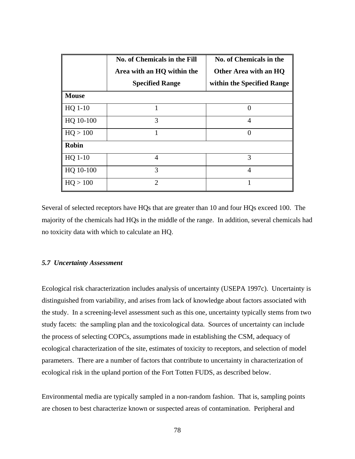|              | No. of Chemicals in the Fill | No. of Chemicals in the    |  |
|--------------|------------------------------|----------------------------|--|
|              | Area with an HQ within the   | Other Area with an HQ      |  |
|              | <b>Specified Range</b>       | within the Specified Range |  |
| <b>Mouse</b> |                              |                            |  |
| $HQ 1-10$    | 1                            | 0                          |  |
| HQ 10-100    | 3                            | 4                          |  |
| HQ > 100     | 1                            | $\Omega$                   |  |
| <b>Robin</b> |                              |                            |  |
| HQ 1-10      | 4                            | 3                          |  |
| HQ 10-100    | 3                            | 4                          |  |
| HQ > 100     | $\overline{2}$               |                            |  |

Several of selected receptors have HQs that are greater than 10 and four HQs exceed 100. The majority of the chemicals had HQs in the middle of the range. In addition, several chemicals had no toxicity data with which to calculate an HQ.

# *5.7 Uncertainty Assessment*

Ecological risk characterization includes analysis of uncertainty (USEPA 1997c). Uncertainty is distinguished from variability, and arises from lack of knowledge about factors associated with the study. In a screening-level assessment such as this one, uncertainty typically stems from two study facets: the sampling plan and the toxicological data. Sources of uncertainty can include the process of selecting COPCs, assumptions made in establishing the CSM, adequacy of ecological characterization of the site, estimates of toxicity to receptors, and selection of model parameters. There are a number of factors that contribute to uncertainty in characterization of ecological risk in the upland portion of the Fort Totten FUDS, as described below.

Environmental media are typically sampled in a non-random fashion. That is, sampling points are chosen to best characterize known or suspected areas of contamination. Peripheral and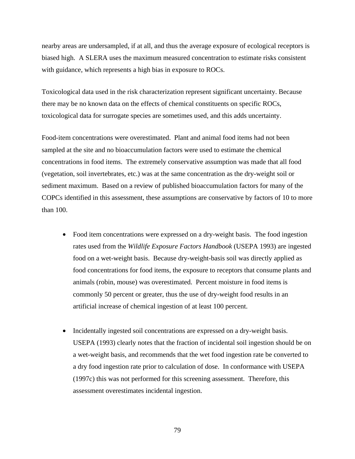nearby areas are undersampled, if at all, and thus the average exposure of ecological receptors is biased high. A SLERA uses the maximum measured concentration to estimate risks consistent with guidance, which represents a high bias in exposure to ROCs.

Toxicological data used in the risk characterization represent significant uncertainty. Because there may be no known data on the effects of chemical constituents on specific ROCs, toxicological data for surrogate species are sometimes used, and this adds uncertainty.

Food-item concentrations were overestimated. Plant and animal food items had not been sampled at the site and no bioaccumulation factors were used to estimate the chemical concentrations in food items. The extremely conservative assumption was made that all food (vegetation, soil invertebrates, etc.) was at the same concentration as the dry-weight soil or sediment maximum. Based on a review of published bioaccumulation factors for many of the COPCs identified in this assessment, these assumptions are conservative by factors of 10 to more than 100.

- Food item concentrations were expressed on a dry-weight basis. The food ingestion rates used from the *Wildlife Exposure Factors Handbook* (USEPA 1993) are ingested food on a wet-weight basis. Because dry-weight-basis soil was directly applied as food concentrations for food items, the exposure to receptors that consume plants and animals (robin, mouse) was overestimated. Percent moisture in food items is commonly 50 percent or greater, thus the use of dry-weight food results in an artificial increase of chemical ingestion of at least 100 percent.
- Incidentally ingested soil concentrations are expressed on a dry-weight basis. USEPA (1993) clearly notes that the fraction of incidental soil ingestion should be on a wet-weight basis, and recommends that the wet food ingestion rate be converted to a dry food ingestion rate prior to calculation of dose. In conformance with USEPA (1997c) this was not performed for this screening assessment. Therefore, this assessment overestimates incidental ingestion.

79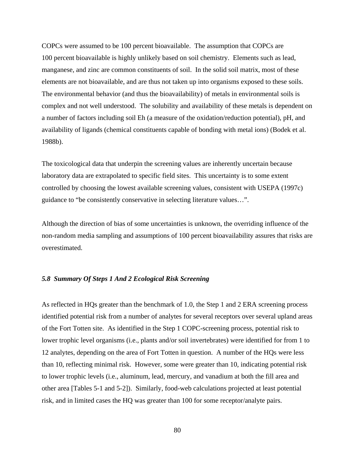COPCs were assumed to be 100 percent bioavailable. The assumption that COPCs are 100 percent bioavailable is highly unlikely based on soil chemistry. Elements such as lead, manganese, and zinc are common constituents of soil. In the solid soil matrix, most of these elements are not bioavailable, and are thus not taken up into organisms exposed to these soils. The environmental behavior (and thus the bioavailability) of metals in environmental soils is complex and not well understood. The solubility and availability of these metals is dependent on a number of factors including soil Eh (a measure of the oxidation/reduction potential), pH, and availability of ligands (chemical constituents capable of bonding with metal ions) (Bodek et al. 1988b).

The toxicological data that underpin the screening values are inherently uncertain because laboratory data are extrapolated to specific field sites. This uncertainty is to some extent controlled by choosing the lowest available screening values, consistent with USEPA (1997c) guidance to "be consistently conservative in selecting literature values…".

Although the direction of bias of some uncertainties is unknown, the overriding influence of the non-random media sampling and assumptions of 100 percent bioavailability assures that risks are overestimated.

#### *5.8 Summary Of Steps 1 And 2 Ecological Risk Screening*

As reflected in HQs greater than the benchmark of 1.0, the Step 1 and 2 ERA screening process identified potential risk from a number of analytes for several receptors over several upland areas of the Fort Totten site. As identified in the Step 1 COPC-screening process, potential risk to lower trophic level organisms (i.e., plants and/or soil invertebrates) were identified for from 1 to 12 analytes, depending on the area of Fort Totten in question. A number of the HQs were less than 10, reflecting minimal risk. However, some were greater than 10, indicating potential risk to lower trophic levels (i.e., aluminum, lead, mercury, and vanadium at both the fill area and other area [Tables 5-1 and 5-2]). Similarly, food-web calculations projected at least potential risk, and in limited cases the HQ was greater than 100 for some receptor/analyte pairs.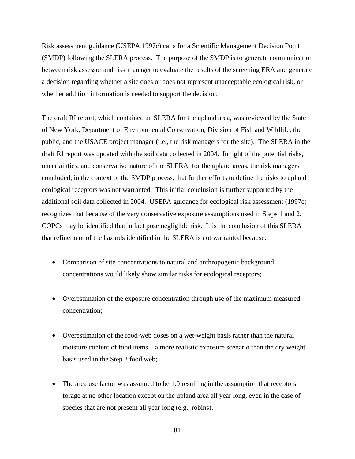Risk assessment guidance (USEPA 1997c) calls for a Scientific Management Decision Point (SMDP) following the SLERA process. The purpose of the SMDP is to generate communication between risk assessor and risk manager to evaluate the results of the screening ERA and generate a decision regarding whether a site does or does not represent unacceptable ecological risk, or whether addition information is needed to support the decision.

The draft RI report, which contained an SLERA for the upland area, was reviewed by the State of New York, Department of Environmental Conservation, Division of Fish and Wildlife, the public, and the USACE project manager (i.e., the risk managers for the site). The SLERA in the draft RI report was updated with the soil data collected in 2004. In light of the potential risks, uncertainties, and conservative nature of the SLERA for the upland areas, the risk managers concluded, in the context of the SMDP process, that further efforts to define the risks to upland ecological receptors was not warranted. This initial conclusion is further supported by the additional soil data collected in 2004. USEPA guidance for ecological risk assessment (1997c) recognizes that because of the very conservative exposure assumptions used in Steps 1 and 2, COPCs may be identified that in fact pose negligible risk. It is the conclusion of this SLERA that refinement of the hazards identified in the SLERA is not warranted because:

- Comparison of site concentrations to natural and anthropogenic background concentrations would likely show similar risks for ecological receptors;
- Overestimation of the exposure concentration through use of the maximum measured concentration;
- Overestimation of the food-web doses on a wet-weight basis rather than the natural moisture content of food items – a more realistic exposure scenario than the dry weight basis used in the Step 2 food web;
- The area use factor was assumed to be 1.0 resulting in the assumption that receptors forage at no other location except on the upland area all year long, even in the case of species that are not present all year long (e.g., robins).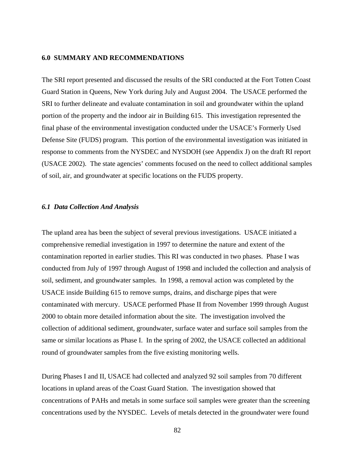#### **6.0 SUMMARY AND RECOMMENDATIONS**

The SRI report presented and discussed the results of the SRI conducted at the Fort Totten Coast Guard Station in Queens, New York during July and August 2004. The USACE performed the SRI to further delineate and evaluate contamination in soil and groundwater within the upland portion of the property and the indoor air in Building 615. This investigation represented the final phase of the environmental investigation conducted under the USACE's Formerly Used Defense Site (FUDS) program. This portion of the environmental investigation was initiated in response to comments from the NYSDEC and NYSDOH (see Appendix J) on the draft RI report (USACE 2002). The state agencies' comments focused on the need to collect additional samples of soil, air, and groundwater at specific locations on the FUDS property.

## *6.1 Data Collection And Analysis*

The upland area has been the subject of several previous investigations. USACE initiated a comprehensive remedial investigation in 1997 to determine the nature and extent of the contamination reported in earlier studies. This RI was conducted in two phases. Phase I was conducted from July of 1997 through August of 1998 and included the collection and analysis of soil, sediment, and groundwater samples. In 1998, a removal action was completed by the USACE inside Building 615 to remove sumps, drains, and discharge pipes that were contaminated with mercury. USACE performed Phase II from November 1999 through August 2000 to obtain more detailed information about the site. The investigation involved the collection of additional sediment, groundwater, surface water and surface soil samples from the same or similar locations as Phase I. In the spring of 2002, the USACE collected an additional round of groundwater samples from the five existing monitoring wells.

During Phases I and II, USACE had collected and analyzed 92 soil samples from 70 different locations in upland areas of the Coast Guard Station. The investigation showed that concentrations of PAHs and metals in some surface soil samples were greater than the screening concentrations used by the NYSDEC. Levels of metals detected in the groundwater were found

82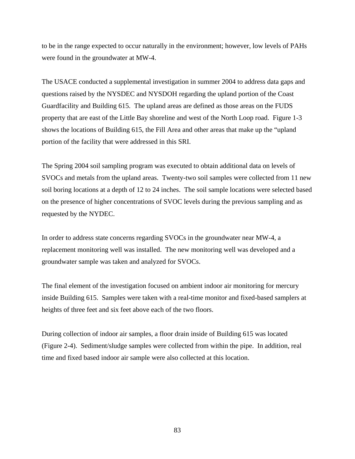to be in the range expected to occur naturally in the environment; however, low levels of PAHs were found in the groundwater at MW-4.

The USACE conducted a supplemental investigation in summer 2004 to address data gaps and questions raised by the NYSDEC and NYSDOH regarding the upland portion of the Coast Guardfacility and Building 615. The upland areas are defined as those areas on the FUDS property that are east of the Little Bay shoreline and west of the North Loop road. Figure 1-3 shows the locations of Building 615, the Fill Area and other areas that make up the "upland portion of the facility that were addressed in this SRI.

The Spring 2004 soil sampling program was executed to obtain additional data on levels of SVOCs and metals from the upland areas. Twenty-two soil samples were collected from 11 new soil boring locations at a depth of 12 to 24 inches. The soil sample locations were selected based on the presence of higher concentrations of SVOC levels during the previous sampling and as requested by the NYDEC.

In order to address state concerns regarding SVOCs in the groundwater near MW-4, a replacement monitoring well was installed. The new monitoring well was developed and a groundwater sample was taken and analyzed for SVOCs.

The final element of the investigation focused on ambient indoor air monitoring for mercury inside Building 615. Samples were taken with a real-time monitor and fixed-based samplers at heights of three feet and six feet above each of the two floors.

During collection of indoor air samples, a floor drain inside of Building 615 was located (Figure 2-4). Sediment/sludge samples were collected from within the pipe. In addition, real time and fixed based indoor air sample were also collected at this location.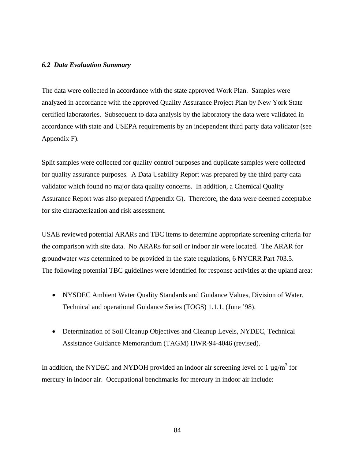# *6.2 Data Evaluation Summary*

The data were collected in accordance with the state approved Work Plan. Samples were analyzed in accordance with the approved Quality Assurance Project Plan by New York State certified laboratories. Subsequent to data analysis by the laboratory the data were validated in accordance with state and USEPA requirements by an independent third party data validator (see Appendix F).

Split samples were collected for quality control purposes and duplicate samples were collected for quality assurance purposes. A Data Usability Report was prepared by the third party data validator which found no major data quality concerns. In addition, a Chemical Quality Assurance Report was also prepared (Appendix G). Therefore, the data were deemed acceptable for site characterization and risk assessment.

USAE reviewed potential ARARs and TBC items to determine appropriate screening criteria for the comparison with site data. No ARARs for soil or indoor air were located. The ARAR for groundwater was determined to be provided in the state regulations, 6 NYCRR Part 703.5. The following potential TBC guidelines were identified for response activities at the upland area:

- NYSDEC Ambient Water Quality Standards and Guidance Values, Division of Water, Technical and operational Guidance Series (TOGS) 1.1.1, (June '98).
- Determination of Soil Cleanup Objectives and Cleanup Levels, NYDEC, Technical Assistance Guidance Memorandum (TAGM) HWR-94-4046 (revised).

In addition, the NYDEC and NYDOH provided an indoor air screening level of 1  $\mu$ g/m<sup>3</sup> for mercury in indoor air. Occupational benchmarks for mercury in indoor air include: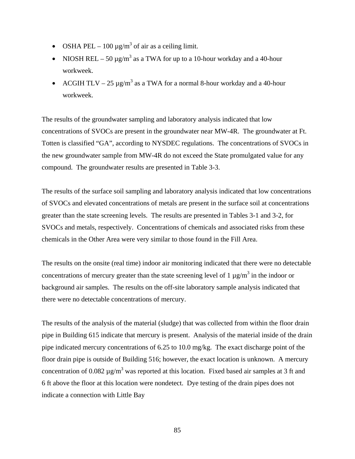- OSHA PEL 100  $\mu$ g/m<sup>3</sup> of air as a ceiling limit.
- NIOSH REL 50  $\mu$ g/m<sup>3</sup> as a TWA for up to a 10-hour workday and a 40-hour workweek.
- ACGIH TLV 25  $\mu$ g/m<sup>3</sup> as a TWA for a normal 8-hour workday and a 40-hour workweek.

The results of the groundwater sampling and laboratory analysis indicated that low concentrations of SVOCs are present in the groundwater near MW-4R. The groundwater at Ft. Totten is classified "GA", according to NYSDEC regulations. The concentrations of SVOCs in the new groundwater sample from MW-4R do not exceed the State promulgated value for any compound. The groundwater results are presented in Table 3-3.

The results of the surface soil sampling and laboratory analysis indicated that low concentrations of SVOCs and elevated concentrations of metals are present in the surface soil at concentrations greater than the state screening levels. The results are presented in Tables 3-1 and 3-2, for SVOCs and metals, respectively. Concentrations of chemicals and associated risks from these chemicals in the Other Area were very similar to those found in the Fill Area.

The results on the onsite (real time) indoor air monitoring indicated that there were no detectable concentrations of mercury greater than the state screening level of 1  $\mu$ g/m<sup>3</sup> in the indoor or background air samples. The results on the off-site laboratory sample analysis indicated that there were no detectable concentrations of mercury.

The results of the analysis of the material (sludge) that was collected from within the floor drain pipe in Building 615 indicate that mercury is present. Analysis of the material inside of the drain pipe indicated mercury concentrations of 6.25 to 10.0 mg/kg. The exact discharge point of the floor drain pipe is outside of Building 516; however, the exact location is unknown. A mercury concentration of 0.082  $\mu$ g/m<sup>3</sup> was reported at this location. Fixed based air samples at 3 ft and 6 ft above the floor at this location were nondetect. Dye testing of the drain pipes does not indicate a connection with Little Bay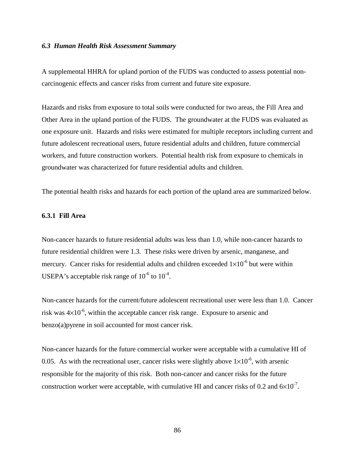#### *6.3 Human Health Risk Assessment Summary*

A supplemental HHRA for upland portion of the FUDS was conducted to assess potential noncarcinogenic effects and cancer risks from current and future site exposure.

Hazards and risks from exposure to total soils were conducted for two areas, the Fill Area and Other Area in the upland portion of the FUDS. The groundwater at the FUDS was evaluated as one exposure unit. Hazards and risks were estimated for multiple receptors including current and future adolescent recreational users, future residential adults and children, future commercial workers, and future construction workers. Potential health risk from exposure to chemicals in groundwater was characterized for future residential adults and children.

The potential health risks and hazards for each portion of the upland area are summarized below.

# **6.3.1 Fill Area**

Non-cancer hazards to future residential adults was less than 1.0, while non-cancer hazards to future residential children were 1.3. These risks were driven by arsenic, manganese, and mercury. Cancer risks for residential adults and children exceeded  $1\times10^{-6}$  but were within USEPA's acceptable risk range of  $10^{-6}$  to  $10^{-4}$ .

Non-cancer hazards for the current/future adolescent recreational user were less than 1.0. Cancer risk was  $4\times10^{-6}$ , within the acceptable cancer risk range. Exposure to arsenic and benzo(a)pyrene in soil accounted for most cancer risk.

Non-cancer hazards for the future commercial worker were acceptable with a cumulative HI of 0.05. As with the recreational user, cancer risks were slightly above  $1\times10^{-6}$ , with arsenic responsible for the majority of this risk. Both non-cancer and cancer risks for the future construction worker were acceptable, with cumulative HI and cancer risks of 0.2 and  $6\times10^{-7}$ .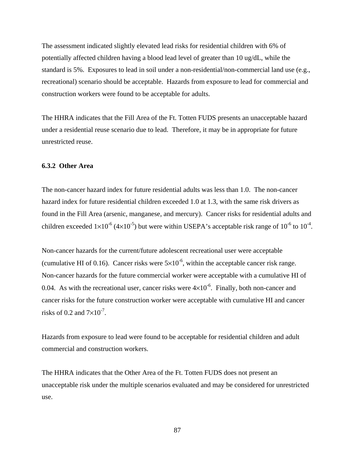The assessment indicated slightly elevated lead risks for residential children with 6% of potentially affected children having a blood lead level of greater than 10 ug/dL, while the standard is 5%. Exposures to lead in soil under a non-residential/non-commercial land use (e.g., recreational) scenario should be acceptable. Hazards from exposure to lead for commercial and construction workers were found to be acceptable for adults.

The HHRA indicates that the Fill Area of the Ft. Totten FUDS presents an unacceptable hazard under a residential reuse scenario due to lead. Therefore, it may be in appropriate for future unrestricted reuse.

# **6.3.2 Other Area**

The non-cancer hazard index for future residential adults was less than 1.0. The non-cancer hazard index for future residential children exceeded 1.0 at 1.3, with the same risk drivers as found in the Fill Area (arsenic, manganese, and mercury). Cancer risks for residential adults and children exceeded  $1\times10^{-6}$  (4 $\times10^{-5}$ ) but were within USEPA's acceptable risk range of  $10^{-6}$  to  $10^{-4}$ .

Non-cancer hazards for the current/future adolescent recreational user were acceptable (cumulative HI of 0.16). Cancer risks were  $5\times10^{-6}$ , within the acceptable cancer risk range. Non-cancer hazards for the future commercial worker were acceptable with a cumulative HI of 0.04. As with the recreational user, cancer risks were  $4\times10^{-6}$ . Finally, both non-cancer and cancer risks for the future construction worker were acceptable with cumulative HI and cancer risks of 0.2 and  $7\times10^{-7}$ .

Hazards from exposure to lead were found to be acceptable for residential children and adult commercial and construction workers.

The HHRA indicates that the Other Area of the Ft. Totten FUDS does not present an unacceptable risk under the multiple scenarios evaluated and may be considered for unrestricted use.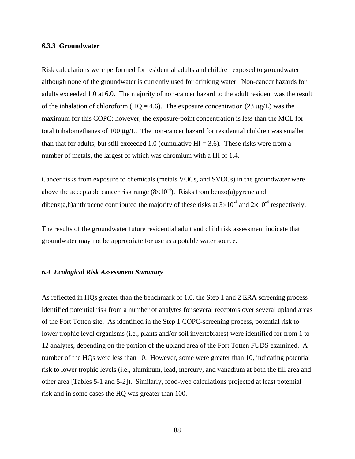#### **6.3.3 Groundwater**

Risk calculations were performed for residential adults and children exposed to groundwater although none of the groundwater is currently used for drinking water. Non-cancer hazards for adults exceeded 1.0 at 6.0. The majority of non-cancer hazard to the adult resident was the result of the inhalation of chloroform (HQ = 4.6). The exposure concentration (23  $\mu$ g/L) was the maximum for this COPC; however, the exposure-point concentration is less than the MCL for total trihalomethanes of 100 μg/L. The non-cancer hazard for residential children was smaller than that for adults, but still exceeded 1.0 (cumulative  $HI = 3.6$ ). These risks were from a number of metals, the largest of which was chromium with a HI of 1.4.

Cancer risks from exposure to chemicals (metals VOCs, and SVOCs) in the groundwater were above the acceptable cancer risk range  $(8\times10^{-4})$ . Risks from benzo(a)pyrene and dibenz(a,h)anthracene contributed the majority of these risks at  $3\times10^{-4}$  and  $2\times10^{-4}$  respectively.

The results of the groundwater future residential adult and child risk assessment indicate that groundwater may not be appropriate for use as a potable water source.

#### *6.4 Ecological Risk Assessment Summary*

As reflected in HQs greater than the benchmark of 1.0, the Step 1 and 2 ERA screening process identified potential risk from a number of analytes for several receptors over several upland areas of the Fort Totten site. As identified in the Step 1 COPC-screening process, potential risk to lower trophic level organisms (i.e., plants and/or soil invertebrates) were identified for from 1 to 12 analytes, depending on the portion of the upland area of the Fort Totten FUDS examined. A number of the HQs were less than 10. However, some were greater than 10, indicating potential risk to lower trophic levels (i.e., aluminum, lead, mercury, and vanadium at both the fill area and other area [Tables 5-1 and 5-2]). Similarly, food-web calculations projected at least potential risk and in some cases the HQ was greater than 100.

88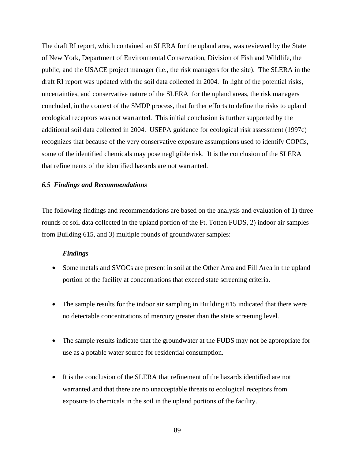The draft RI report, which contained an SLERA for the upland area, was reviewed by the State of New York, Department of Environmental Conservation, Division of Fish and Wildlife, the public, and the USACE project manager (i.e., the risk managers for the site). The SLERA in the draft RI report was updated with the soil data collected in 2004. In light of the potential risks, uncertainties, and conservative nature of the SLERA for the upland areas, the risk managers concluded, in the context of the SMDP process, that further efforts to define the risks to upland ecological receptors was not warranted. This initial conclusion is further supported by the additional soil data collected in 2004. USEPA guidance for ecological risk assessment (1997c) recognizes that because of the very conservative exposure assumptions used to identify COPCs, some of the identified chemicals may pose negligible risk. It is the conclusion of the SLERA that refinements of the identified hazards are not warranted.

# *6.5 Findings and Recommendations*

The following findings and recommendations are based on the analysis and evaluation of 1) three rounds of soil data collected in the upland portion of the Ft. Totten FUDS, 2) indoor air samples from Building 615, and 3) multiple rounds of groundwater samples:

#### *Findings*

- Some metals and SVOCs are present in soil at the Other Area and Fill Area in the upland portion of the facility at concentrations that exceed state screening criteria.
- The sample results for the indoor air sampling in Building 615 indicated that there were no detectable concentrations of mercury greater than the state screening level.
- The sample results indicate that the groundwater at the FUDS may not be appropriate for use as a potable water source for residential consumption.
- It is the conclusion of the SLERA that refinement of the hazards identified are not warranted and that there are no unacceptable threats to ecological receptors from exposure to chemicals in the soil in the upland portions of the facility.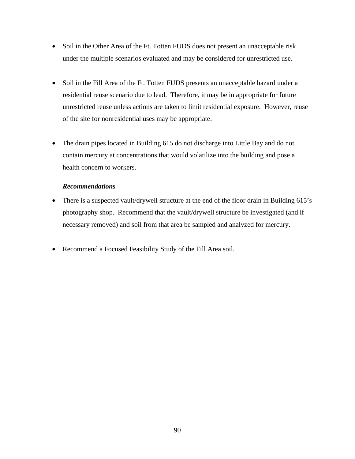- Soil in the Other Area of the Ft. Totten FUDS does not present an unacceptable risk under the multiple scenarios evaluated and may be considered for unrestricted use.
- Soil in the Fill Area of the Ft. Totten FUDS presents an unacceptable hazard under a residential reuse scenario due to lead. Therefore, it may be in appropriate for future unrestricted reuse unless actions are taken to limit residential exposure. However, reuse of the site for nonresidential uses may be appropriate.
- The drain pipes located in Building 615 do not discharge into Little Bay and do not contain mercury at concentrations that would volatilize into the building and pose a health concern to workers.

# *Recommendations*

- There is a suspected vault/drywell structure at the end of the floor drain in Building 615's photography shop. Recommend that the vault/drywell structure be investigated (and if necessary removed) and soil from that area be sampled and analyzed for mercury.
- Recommend a Focused Feasibility Study of the Fill Area soil.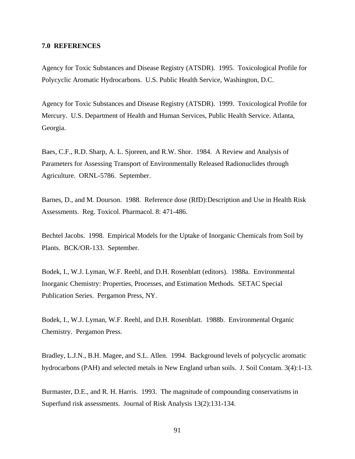#### **7.0 REFERENCES**

Agency for Toxic Substances and Disease Registry (ATSDR). 1995. Toxicological Profile for Polycyclic Aromatic Hydrocarbons. U.S. Public Health Service, Washington, D.C.

Agency for Toxic Substances and Disease Registry (ATSDR). 1999. Toxicological Profile for Mercury. U.S. Department of Health and Human Services, Public Health Service. Atlanta, Georgia.

Baes, C.F., R.D. Sharp, A. L. Sjoreen, and R.W. Shor. 1984. A Review and Analysis of Parameters for Assessing Transport of Environmentally Released Radionuclides through Agriculture. ORNL-5786. September.

Barnes, D., and M. Dourson. 1988. Reference dose (RfD):Description and Use in Health Risk Assessments. Reg. Toxicol. Pharmacol. 8: 471-486.

Bechtel Jacobs. 1998. Empirical Models for the Uptake of Inorganic Chemicals from Soil by Plants. BCK/OR-133. September.

Bodek, I., W.J. Lyman, W.F. Reehl, and D.H. Rosenblatt (editors). 1988a. Environmental Inorganic Chemistry: Properties, Processes, and Estimation Methods. SETAC Special Publication Series. Pergamon Press, NY.

Bodek, I., W.J. Lyman, W.F. Reehl, and D.H. Rosenblatt. 1988b. Environmental Organic Chemistry. Pergamon Press.

Bradley, L.J.N., B.H. Magee, and S.L. Allen. 1994. Background levels of polycyclic aromatic hydrocarbons (PAH) and selected metals in New England urban soils. J. Soil Contam. 3(4):1-13.

Burmaster, D.E., and R. H. Harris. 1993. The magnitude of compounding conservatisms in Superfund risk assessments. Journal of Risk Analysis 13(2):131-134.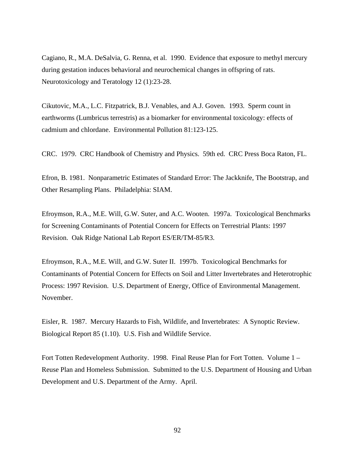Cagiano, R., M.A. DeSalvia, G. Renna, et al. 1990. Evidence that exposure to methyl mercury during gestation induces behavioral and neurochemical changes in offspring of rats. Neurotoxicology and Teratology 12 (1):23-28.

Cikutovic, M.A., L.C. Fitzpatrick, B.J. Venables, and A.J. Goven. 1993. Sperm count in earthworms (Lumbricus terrestris) as a biomarker for environmental toxicology: effects of cadmium and chlordane. Environmental Pollution 81:123-125.

CRC. 1979. CRC Handbook of Chemistry and Physics. 59th ed. CRC Press Boca Raton, FL.

Efron, B. 1981. Nonparametric Estimates of Standard Error: The Jackknife, The Bootstrap, and Other Resampling Plans. Philadelphia: SIAM.

Efroymson, R.A., M.E. Will, G.W. Suter, and A.C. Wooten. 1997a. Toxicological Benchmarks for Screening Contaminants of Potential Concern for Effects on Terrestrial Plants: 1997 Revision. Oak Ridge National Lab Report ES/ER/TM-85/R3.

Efroymson, R.A., M.E. Will, and G.W. Suter II. 1997b. Toxicological Benchmarks for Contaminants of Potential Concern for Effects on Soil and Litter Invertebrates and Heterotrophic Process: 1997 Revision. U.S. Department of Energy, Office of Environmental Management. November.

Eisler, R. 1987. Mercury Hazards to Fish, Wildlife, and Invertebrates: A Synoptic Review. Biological Report 85 (1.10). U.S. Fish and Wildlife Service.

Fort Totten Redevelopment Authority. 1998. Final Reuse Plan for Fort Totten. Volume 1 – Reuse Plan and Homeless Submission. Submitted to the U.S. Department of Housing and Urban Development and U.S. Department of the Army. April.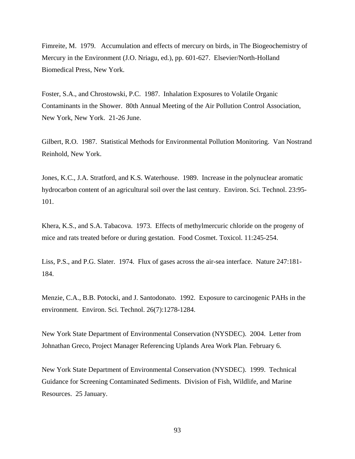Fimreite, M. 1979. Accumulation and effects of mercury on birds, in The Biogeochemistry of Mercury in the Environment (J.O. Nriagu, ed.), pp. 601-627. Elsevier/North-Holland Biomedical Press, New York.

Foster, S.A., and Chrostowski, P.C. 1987. Inhalation Exposures to Volatile Organic Contaminants in the Shower. 80th Annual Meeting of the Air Pollution Control Association, New York, New York. 21-26 June.

Gilbert, R.O. 1987. Statistical Methods for Environmental Pollution Monitoring. Van Nostrand Reinhold, New York.

Jones, K.C., J.A. Stratford, and K.S. Waterhouse. 1989. Increase in the polynuclear aromatic hydrocarbon content of an agricultural soil over the last century. Environ. Sci. Technol. 23:95- 101.

Khera, K.S., and S.A. Tabacova. 1973. Effects of methylmercuric chloride on the progeny of mice and rats treated before or during gestation. Food Cosmet. Toxicol. 11:245-254.

Liss, P.S., and P.G. Slater. 1974. Flux of gases across the air-sea interface. Nature 247:181- 184.

Menzie, C.A., B.B. Potocki, and J. Santodonato. 1992. Exposure to carcinogenic PAHs in the environment. Environ. Sci. Technol. 26(7):1278-1284.

New York State Department of Environmental Conservation (NYSDEC). 2004. Letter from Johnathan Greco, Project Manager Referencing Uplands Area Work Plan. February 6.

New York State Department of Environmental Conservation (NYSDEC). 1999. Technical Guidance for Screening Contaminated Sediments. Division of Fish, Wildlife, and Marine Resources. 25 January.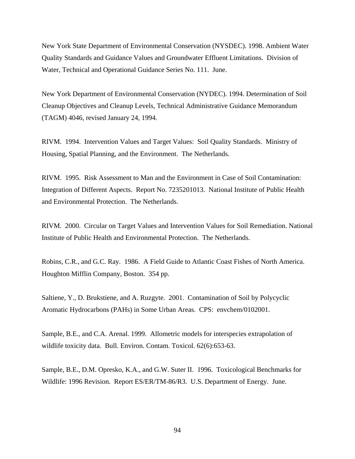New York State Department of Environmental Conservation (NYSDEC). 1998. Ambient Water Quality Standards and Guidance Values and Groundwater Effluent Limitations. Division of Water, Technical and Operational Guidance Series No. 111. June.

New York Department of Environmental Conservation (NYDEC). 1994. Determination of Soil Cleanup Objectives and Cleanup Levels, Technical Administrative Guidance Memorandum (TAGM) 4046, revised January 24, 1994.

RIVM. 1994. Intervention Values and Target Values: Soil Quality Standards. Ministry of Housing, Spatial Planning, and the Environment. The Netherlands.

RIVM. 1995. Risk Assessment to Man and the Environment in Case of Soil Contamination: Integration of Different Aspects. Report No. 7235201013. National Institute of Public Health and Environmental Protection. The Netherlands.

RIVM. 2000. Circular on Target Values and Intervention Values for Soil Remediation. National Institute of Public Health and Environmental Protection. The Netherlands.

Robins, C.R., and G.C. Ray. 1986. A Field Guide to Atlantic Coast Fishes of North America. Houghton Mifflin Company, Boston. 354 pp.

Saltiene, Y., D. Brukstiene, and A. Ruzgyte. 2001. Contamination of Soil by Polycyclic Aromatic Hydrocarbons (PAHs) in Some Urban Areas. CPS: envchem/0102001.

Sample, B.E., and C.A. Arenal. 1999. Allometric models for interspecies extrapolation of wildlife toxicity data. Bull. Environ. Contam. Toxicol. 62(6):653-63.

Sample, B.E., D.M. Opresko, K.A., and G.W. Suter II. 1996. Toxicological Benchmarks for Wildlife: 1996 Revision. Report ES/ER/TM-86/R3. U.S. Department of Energy. June.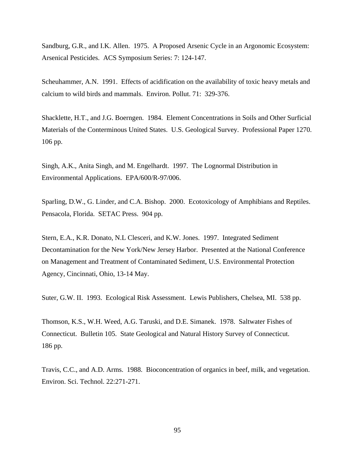Sandburg, G.R., and I.K. Allen. 1975. A Proposed Arsenic Cycle in an Argonomic Ecosystem: Arsenical Pesticides. ACS Symposium Series: 7: 124-147.

Scheuhammer, A.N. 1991. Effects of acidification on the availability of toxic heavy metals and calcium to wild birds and mammals. Environ. Pollut. 71: 329-376.

Shacklette, H.T., and J.G. Boerngen. 1984. Element Concentrations in Soils and Other Surficial Materials of the Conterminous United States. U.S. Geological Survey. Professional Paper 1270. 106 pp.

Singh, A.K., Anita Singh, and M. Engelhardt. 1997. The Lognormal Distribution in Environmental Applications. EPA/600/R-97/006.

Sparling, D.W., G. Linder, and C.A. Bishop. 2000. Ecotoxicology of Amphibians and Reptiles. Pensacola, Florida. SETAC Press. 904 pp.

Stern, E.A., K.R. Donato, N.L Clesceri, and K.W. Jones. 1997. Integrated Sediment Decontamination for the New York/New Jersey Harbor. Presented at the National Conference on Management and Treatment of Contaminated Sediment, U.S. Environmental Protection Agency, Cincinnati, Ohio, 13-14 May.

Suter, G.W. II. 1993. Ecological Risk Assessment. Lewis Publishers, Chelsea, MI. 538 pp.

Thomson, K.S., W.H. Weed, A.G. Taruski, and D.E. Simanek. 1978. Saltwater Fishes of Connecticut. Bulletin 105. State Geological and Natural History Survey of Connecticut. 186 pp.

Travis, C.C., and A.D. Arms. 1988. Bioconcentration of organics in beef, milk, and vegetation. Environ. Sci. Technol. 22:271-271.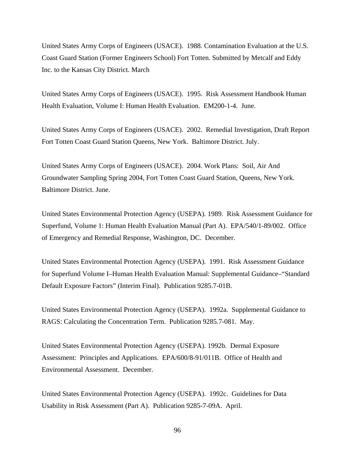United States Army Corps of Engineers (USACE). 1988. Contamination Evaluation at the U.S. Coast Guard Station (Former Engineers School) Fort Totten. Submitted by Metcalf and Eddy Inc. to the Kansas City District. March

United States Army Corps of Engineers (USACE). 1995. Risk Assessment Handbook Human Health Evaluation, Volume I: Human Health Evaluation. EM200-1-4. June.

United States Army Corps of Engineers (USACE). 2002. Remedial Investigation, Draft Report Fort Totten Coast Guard Station Queens, New York. Baltimore District. July.

United States Army Corps of Engineers (USACE). 2004. Work Plans: Soil, Air And Groundwater Sampling Spring 2004, Fort Totten Coast Guard Station, Queens, New York. Baltimore District. June.

United States Environmental Protection Agency (USEPA). 1989. Risk Assessment Guidance for Superfund, Volume 1: Human Health Evaluation Manual (Part A). EPA/540/1-89/002. Office of Emergency and Remedial Response, Washington, DC. December.

United States Environmental Protection Agency (USEPA). 1991. Risk Assessment Guidance for Superfund Volume I–Human Health Evaluation Manual: Supplemental Guidance–"Standard Default Exposure Factors" (Interim Final). Publication 9285.7-01B.

United States Environmental Protection Agency (USEPA). 1992a. Supplemental Guidance to RAGS: Calculating the Concentration Term. Publication 9285.7-081. May.

United States Environmental Protection Agency (USEPA). 1992b. Dermal Exposure Assessment: Principles and Applications. EPA/600/8-91/011B. Office of Health and Environmental Assessment. December.

United States Environmental Protection Agency (USEPA). 1992c. Guidelines for Data Usability in Risk Assessment (Part A). Publication 9285-7-09A. April.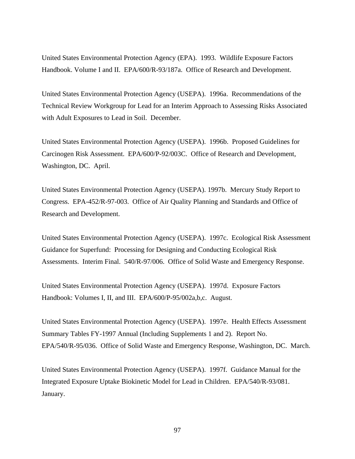United States Environmental Protection Agency (EPA). 1993. Wildlife Exposure Factors Handbook. Volume I and II. EPA/600/R-93/187a. Office of Research and Development.

United States Environmental Protection Agency (USEPA). 1996a. Recommendations of the Technical Review Workgroup for Lead for an Interim Approach to Assessing Risks Associated with Adult Exposures to Lead in Soil. December.

United States Environmental Protection Agency (USEPA). 1996b. Proposed Guidelines for Carcinogen Risk Assessment. EPA/600/P-92/003C. Office of Research and Development, Washington, DC. April.

United States Environmental Protection Agency (USEPA). 1997b. Mercury Study Report to Congress. EPA-452/R-97-003. Office of Air Quality Planning and Standards and Office of Research and Development.

United States Environmental Protection Agency (USEPA). 1997c. Ecological Risk Assessment Guidance for Superfund: Processing for Designing and Conducting Ecological Risk Assessments. Interim Final. 540/R-97/006. Office of Solid Waste and Emergency Response.

United States Environmental Protection Agency (USEPA). 1997d. Exposure Factors Handbook: Volumes I, II, and III. EPA/600/P-95/002a,b,c. August.

United States Environmental Protection Agency (USEPA). 1997e. Health Effects Assessment Summary Tables FY-1997 Annual (Including Supplements 1 and 2). Report No. EPA/540/R-95/036. Office of Solid Waste and Emergency Response, Washington, DC. March.

United States Environmental Protection Agency (USEPA). 1997f. Guidance Manual for the Integrated Exposure Uptake Biokinetic Model for Lead in Children. EPA/540/R-93/081. January.